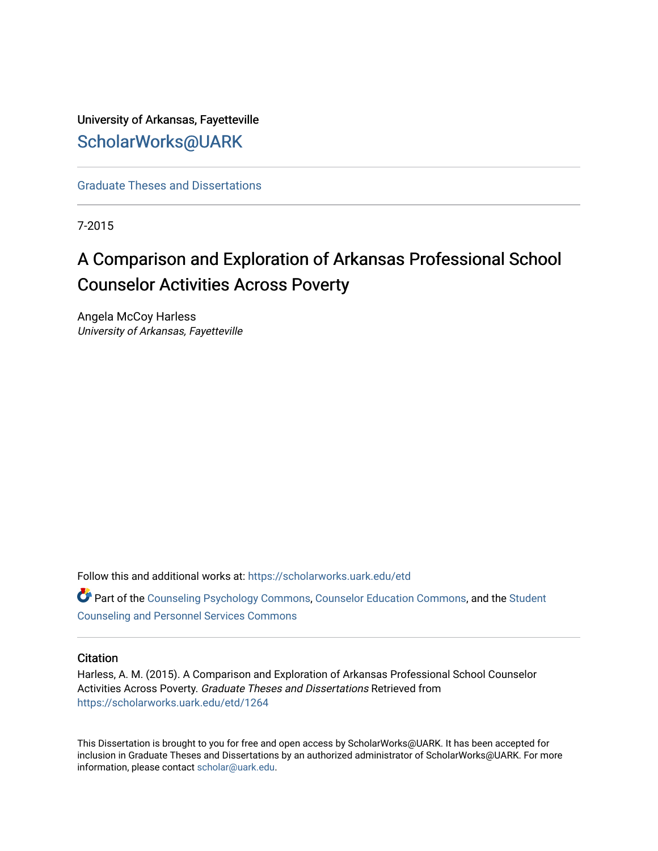University of Arkansas, Fayetteville [ScholarWorks@UARK](https://scholarworks.uark.edu/) 

[Graduate Theses and Dissertations](https://scholarworks.uark.edu/etd) 

7-2015

# A Comparison and Exploration of Arkansas Professional School Counselor Activities Across Poverty

Angela McCoy Harless University of Arkansas, Fayetteville

Follow this and additional works at: [https://scholarworks.uark.edu/etd](https://scholarworks.uark.edu/etd?utm_source=scholarworks.uark.edu%2Fetd%2F1264&utm_medium=PDF&utm_campaign=PDFCoverPages)

Part of the [Counseling Psychology Commons](http://network.bepress.com/hgg/discipline/1044?utm_source=scholarworks.uark.edu%2Fetd%2F1264&utm_medium=PDF&utm_campaign=PDFCoverPages), [Counselor Education Commons](http://network.bepress.com/hgg/discipline/1278?utm_source=scholarworks.uark.edu%2Fetd%2F1264&utm_medium=PDF&utm_campaign=PDFCoverPages), and the [Student](http://network.bepress.com/hgg/discipline/802?utm_source=scholarworks.uark.edu%2Fetd%2F1264&utm_medium=PDF&utm_campaign=PDFCoverPages)  [Counseling and Personnel Services Commons](http://network.bepress.com/hgg/discipline/802?utm_source=scholarworks.uark.edu%2Fetd%2F1264&utm_medium=PDF&utm_campaign=PDFCoverPages) 

#### **Citation**

Harless, A. M. (2015). A Comparison and Exploration of Arkansas Professional School Counselor Activities Across Poverty. Graduate Theses and Dissertations Retrieved from [https://scholarworks.uark.edu/etd/1264](https://scholarworks.uark.edu/etd/1264?utm_source=scholarworks.uark.edu%2Fetd%2F1264&utm_medium=PDF&utm_campaign=PDFCoverPages)

This Dissertation is brought to you for free and open access by ScholarWorks@UARK. It has been accepted for inclusion in Graduate Theses and Dissertations by an authorized administrator of ScholarWorks@UARK. For more information, please contact [scholar@uark.edu.](mailto:scholar@uark.edu)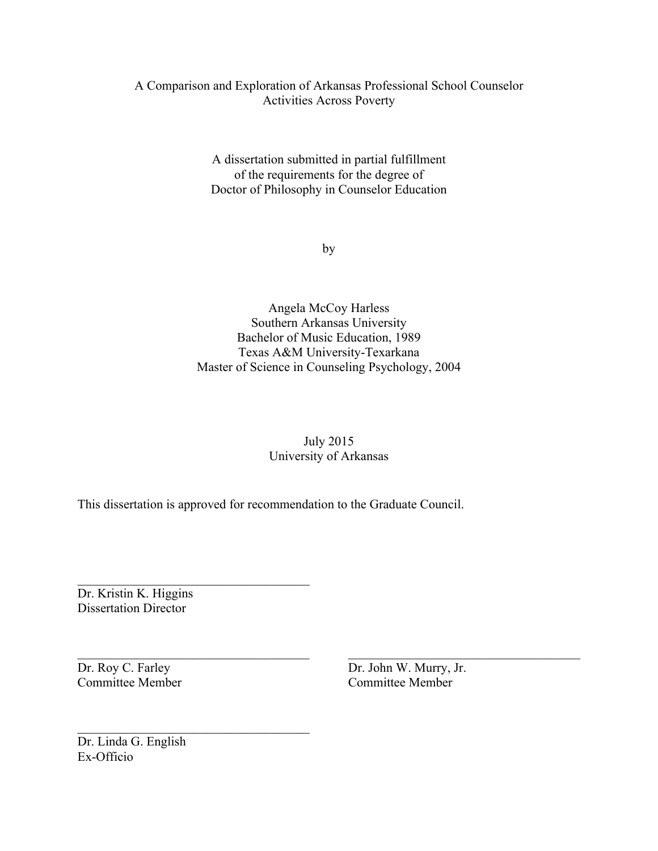# A Comparison and Exploration of Arkansas Professional School Counselor Activities Across Poverty

A dissertation submitted in partial fulfillment of the requirements for the degree of Doctor of Philosophy in Counselor Education

by

Angela McCoy Harless Southern Arkansas University Bachelor of Music Education, 1989 Texas A&M University-Texarkana Master of Science in Counseling Psychology, 2004

# July 2015 University of Arkansas

 $\_$  , and the contribution of the contribution of  $\overline{a}$  , and  $\overline{b}$  , and  $\overline{b}$  , and  $\overline{b}$  , and  $\overline{b}$ 

This dissertation is approved for recommendation to the Graduate Council.

Dr. Kristin K. Higgins Dissertation Director

 $\mathcal{L}_\text{max}$ 

 $\mathcal{L}_\text{max}$ 

Dr. Roy C. Farley Dr. John W. Murry, Jr. Committee Member Committee Member

Dr. Linda G. English Ex-Officio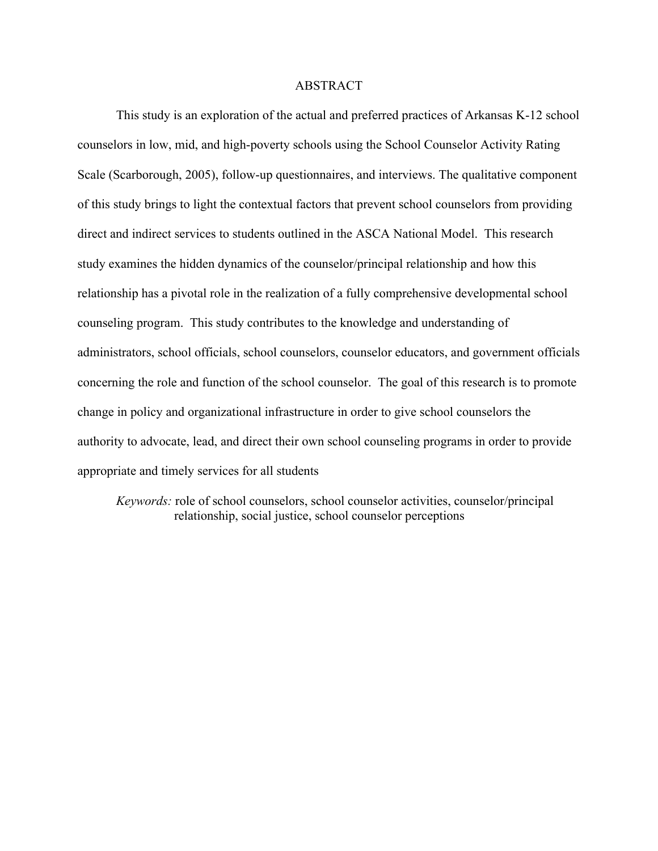### ABSTRACT

This study is an exploration of the actual and preferred practices of Arkansas K-12 school counselors in low, mid, and high-poverty schools using the School Counselor Activity Rating Scale (Scarborough, 2005), follow-up questionnaires, and interviews. The qualitative component of this study brings to light the contextual factors that prevent school counselors from providing direct and indirect services to students outlined in the ASCA National Model. This research study examines the hidden dynamics of the counselor/principal relationship and how this relationship has a pivotal role in the realization of a fully comprehensive developmental school counseling program. This study contributes to the knowledge and understanding of administrators, school officials, school counselors, counselor educators, and government officials concerning the role and function of the school counselor. The goal of this research is to promote change in policy and organizational infrastructure in order to give school counselors the authority to advocate, lead, and direct their own school counseling programs in order to provide appropriate and timely services for all students

*Keywords:* role of school counselors, school counselor activities, counselor/principal relationship, social justice, school counselor perceptions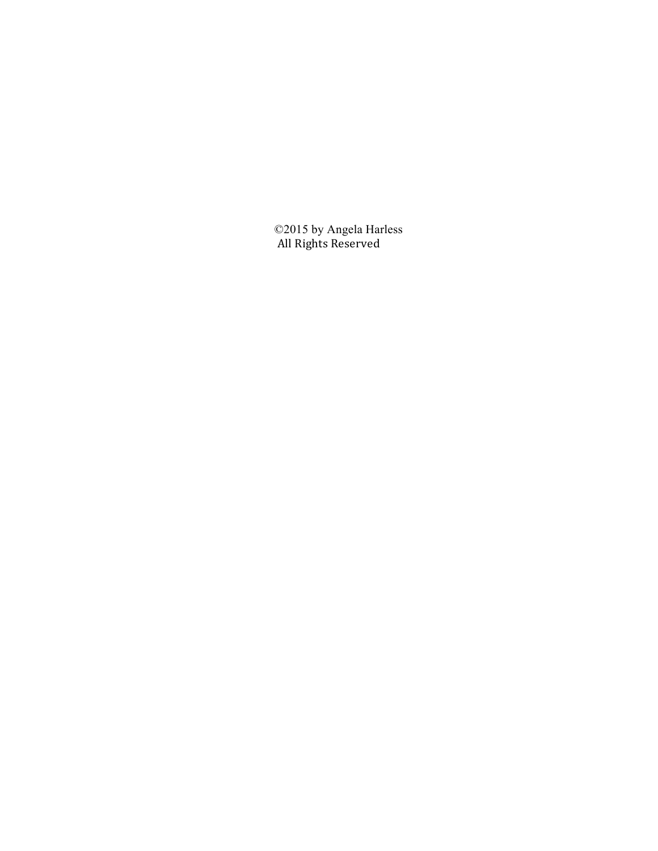©2015 by Angela Harless All Rights Reserved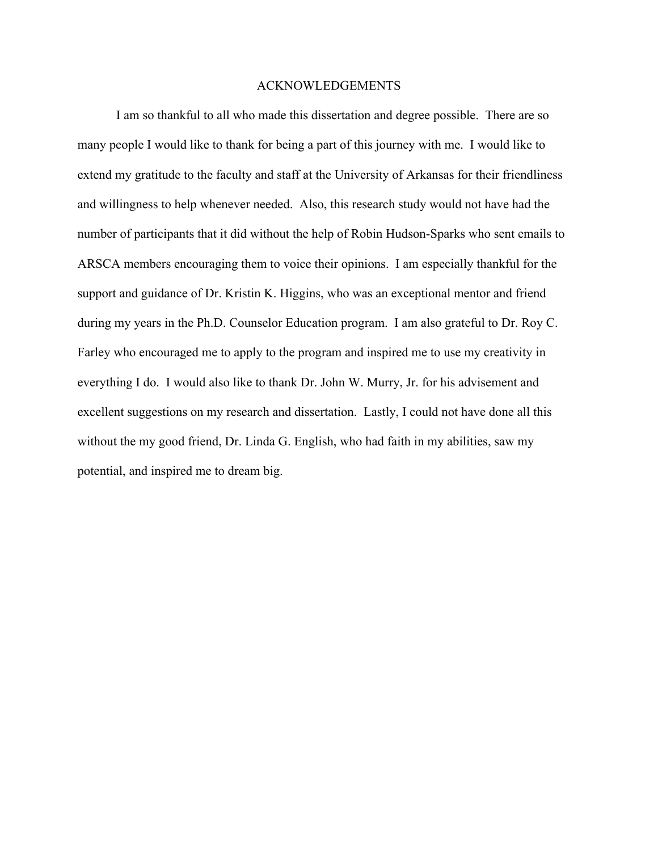### ACKNOWLEDGEMENTS

I am so thankful to all who made this dissertation and degree possible. There are so many people I would like to thank for being a part of this journey with me. I would like to extend my gratitude to the faculty and staff at the University of Arkansas for their friendliness and willingness to help whenever needed. Also, this research study would not have had the number of participants that it did without the help of Robin Hudson-Sparks who sent emails to ARSCA members encouraging them to voice their opinions. I am especially thankful for the support and guidance of Dr. Kristin K. Higgins, who was an exceptional mentor and friend during my years in the Ph.D. Counselor Education program. I am also grateful to Dr. Roy C. Farley who encouraged me to apply to the program and inspired me to use my creativity in everything I do. I would also like to thank Dr. John W. Murry, Jr. for his advisement and excellent suggestions on my research and dissertation. Lastly, I could not have done all this without the my good friend, Dr. Linda G. English, who had faith in my abilities, saw my potential, and inspired me to dream big.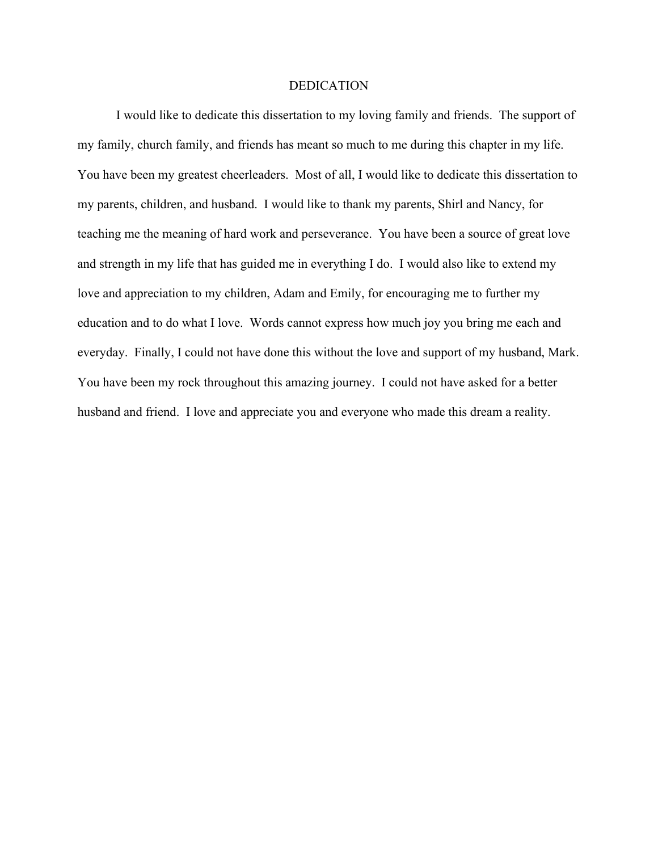#### **DEDICATION**

I would like to dedicate this dissertation to my loving family and friends. The support of my family, church family, and friends has meant so much to me during this chapter in my life. You have been my greatest cheerleaders. Most of all, I would like to dedicate this dissertation to my parents, children, and husband. I would like to thank my parents, Shirl and Nancy, for teaching me the meaning of hard work and perseverance. You have been a source of great love and strength in my life that has guided me in everything I do. I would also like to extend my love and appreciation to my children, Adam and Emily, for encouraging me to further my education and to do what I love. Words cannot express how much joy you bring me each and everyday. Finally, I could not have done this without the love and support of my husband, Mark. You have been my rock throughout this amazing journey. I could not have asked for a better husband and friend. I love and appreciate you and everyone who made this dream a reality.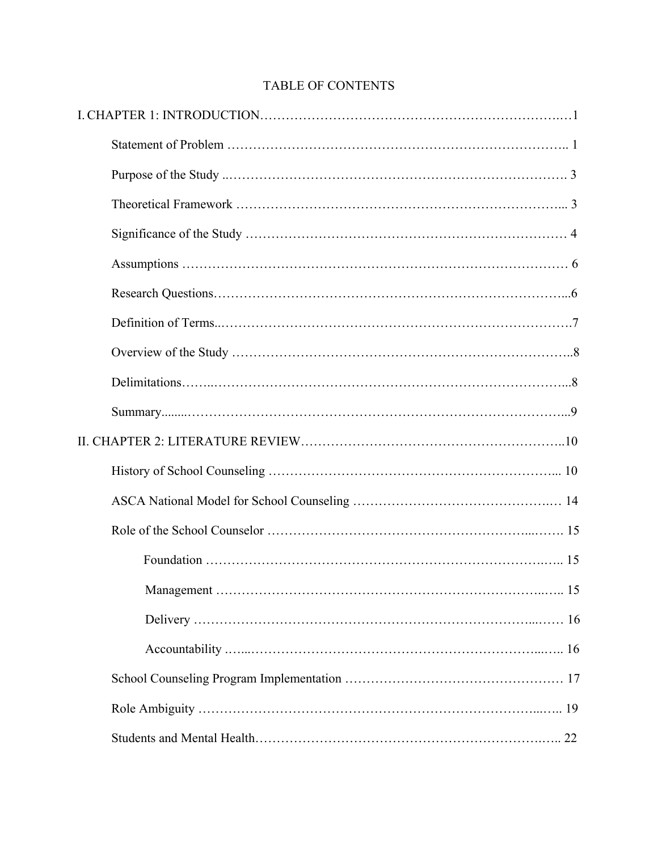# TABLE OF CONTENTS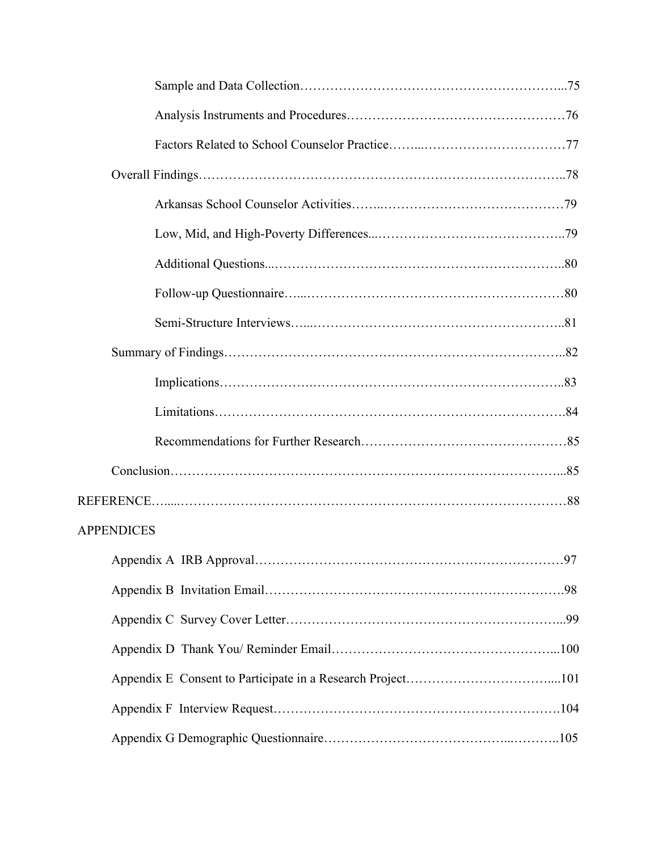| <b>APPENDICES</b> |  |
|-------------------|--|
|                   |  |
|                   |  |
|                   |  |
|                   |  |
|                   |  |
|                   |  |
|                   |  |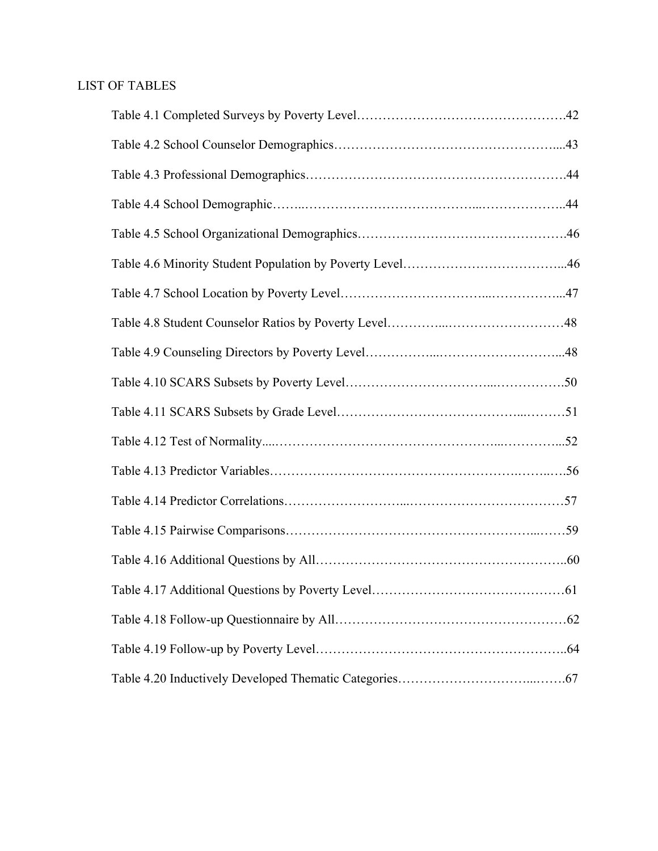# LIST OF TABLES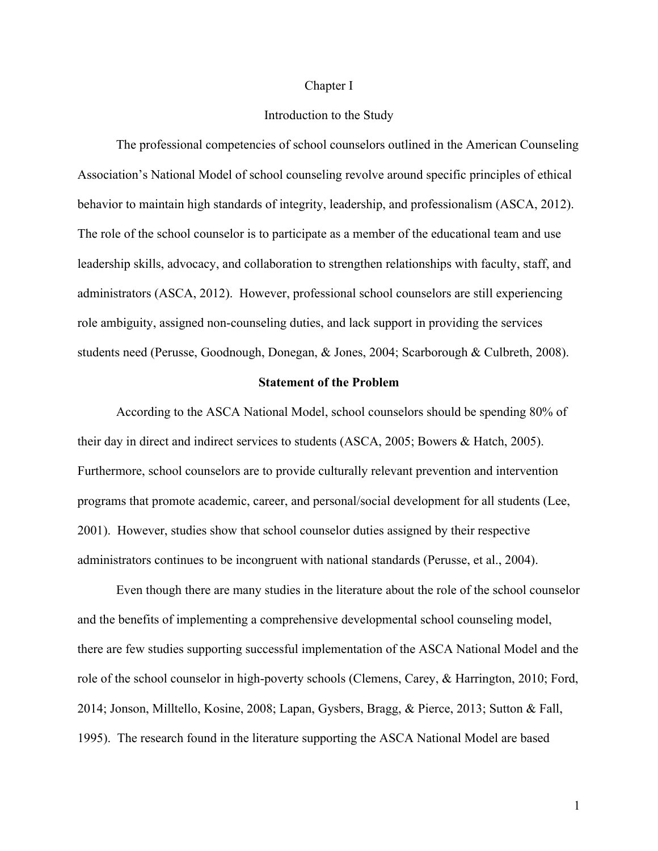#### Chapter I

# Introduction to the Study

The professional competencies of school counselors outlined in the American Counseling Association's National Model of school counseling revolve around specific principles of ethical behavior to maintain high standards of integrity, leadership, and professionalism (ASCA, 2012). The role of the school counselor is to participate as a member of the educational team and use leadership skills, advocacy, and collaboration to strengthen relationships with faculty, staff, and administrators (ASCA, 2012). However, professional school counselors are still experiencing role ambiguity, assigned non-counseling duties, and lack support in providing the services students need (Perusse, Goodnough, Donegan, & Jones, 2004; Scarborough & Culbreth, 2008).

#### **Statement of the Problem**

According to the ASCA National Model, school counselors should be spending 80% of their day in direct and indirect services to students (ASCA, 2005; Bowers & Hatch, 2005). Furthermore, school counselors are to provide culturally relevant prevention and intervention programs that promote academic, career, and personal/social development for all students (Lee, 2001). However, studies show that school counselor duties assigned by their respective administrators continues to be incongruent with national standards (Perusse, et al., 2004).

Even though there are many studies in the literature about the role of the school counselor and the benefits of implementing a comprehensive developmental school counseling model, there are few studies supporting successful implementation of the ASCA National Model and the role of the school counselor in high-poverty schools (Clemens, Carey, & Harrington, 2010; Ford, 2014; Jonson, Milltello, Kosine, 2008; Lapan, Gysbers, Bragg, & Pierce, 2013; Sutton & Fall, 1995). The research found in the literature supporting the ASCA National Model are based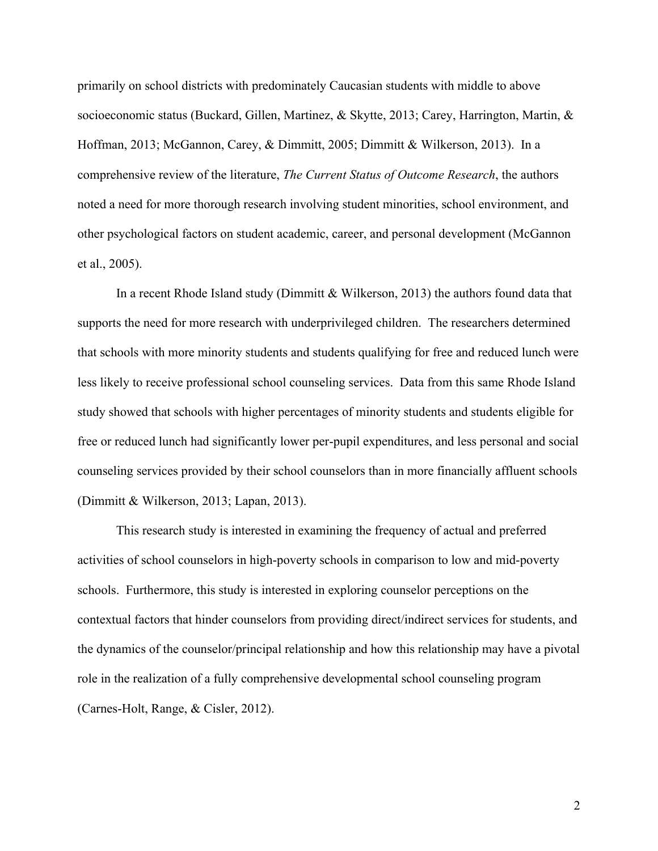primarily on school districts with predominately Caucasian students with middle to above socioeconomic status (Buckard, Gillen, Martinez, & Skytte, 2013; Carey, Harrington, Martin, & Hoffman, 2013; McGannon, Carey, & Dimmitt, 2005; Dimmitt & Wilkerson, 2013). In a comprehensive review of the literature, *The Current Status of Outcome Research*, the authors noted a need for more thorough research involving student minorities, school environment, and other psychological factors on student academic, career, and personal development (McGannon et al., 2005).

In a recent Rhode Island study (Dimmitt & Wilkerson, 2013) the authors found data that supports the need for more research with underprivileged children. The researchers determined that schools with more minority students and students qualifying for free and reduced lunch were less likely to receive professional school counseling services. Data from this same Rhode Island study showed that schools with higher percentages of minority students and students eligible for free or reduced lunch had significantly lower per-pupil expenditures, and less personal and social counseling services provided by their school counselors than in more financially affluent schools (Dimmitt & Wilkerson, 2013; Lapan, 2013).

This research study is interested in examining the frequency of actual and preferred activities of school counselors in high-poverty schools in comparison to low and mid-poverty schools. Furthermore, this study is interested in exploring counselor perceptions on the contextual factors that hinder counselors from providing direct/indirect services for students, and the dynamics of the counselor/principal relationship and how this relationship may have a pivotal role in the realization of a fully comprehensive developmental school counseling program (Carnes-Holt, Range, & Cisler, 2012).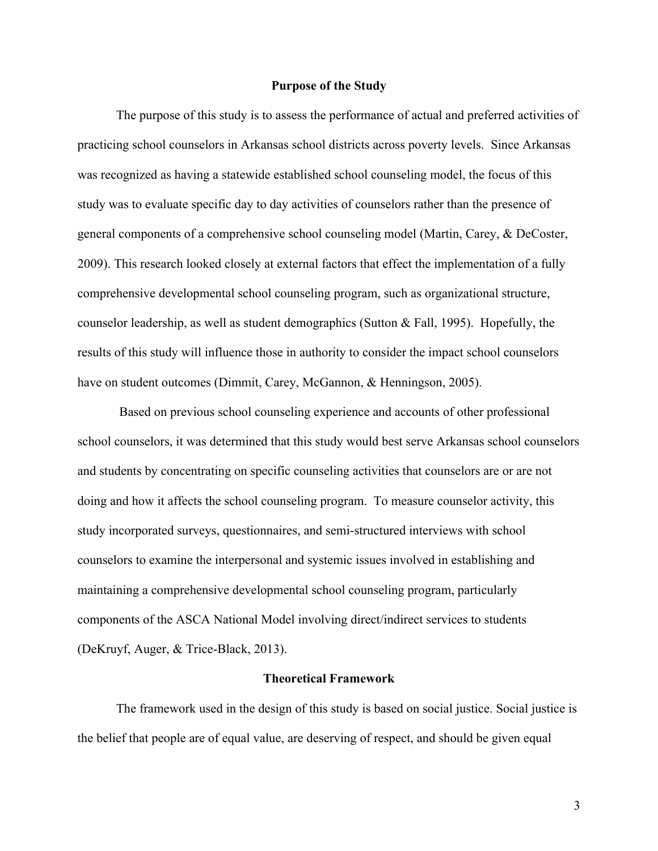# **Purpose of the Study**

The purpose of this study is to assess the performance of actual and preferred activities of practicing school counselors in Arkansas school districts across poverty levels. Since Arkansas was recognized as having a statewide established school counseling model, the focus of this study was to evaluate specific day to day activities of counselors rather than the presence of general components of a comprehensive school counseling model (Martin, Carey, & DeCoster, 2009). This research looked closely at external factors that effect the implementation of a fully comprehensive developmental school counseling program, such as organizational structure, counselor leadership, as well as student demographics (Sutton & Fall, 1995). Hopefully, the results of this study will influence those in authority to consider the impact school counselors have on student outcomes (Dimmit, Carey, McGannon, & Henningson, 2005).

Based on previous school counseling experience and accounts of other professional school counselors, it was determined that this study would best serve Arkansas school counselors and students by concentrating on specific counseling activities that counselors are or are not doing and how it affects the school counseling program. To measure counselor activity, this study incorporated surveys, questionnaires, and semi-structured interviews with school counselors to examine the interpersonal and systemic issues involved in establishing and maintaining a comprehensive developmental school counseling program, particularly components of the ASCA National Model involving direct/indirect services to students (DeKruyf, Auger, & Trice-Black, 2013).

# **Theoretical Framework**

The framework used in the design of this study is based on social justice. Social justice is the belief that people are of equal value, are deserving of respect, and should be given equal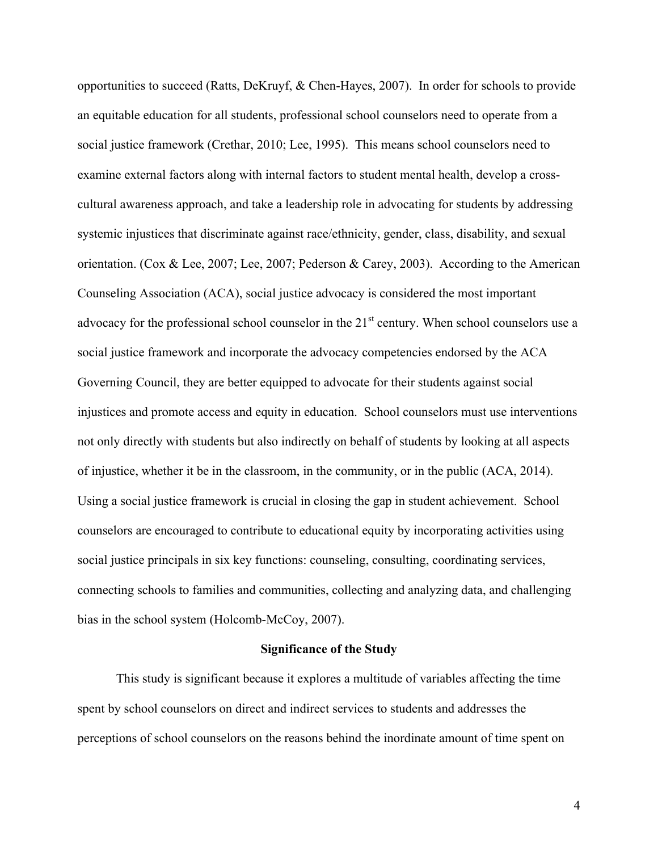opportunities to succeed (Ratts, DeKruyf, & Chen-Hayes, 2007). In order for schools to provide an equitable education for all students, professional school counselors need to operate from a social justice framework (Crethar, 2010; Lee, 1995). This means school counselors need to examine external factors along with internal factors to student mental health, develop a crosscultural awareness approach, and take a leadership role in advocating for students by addressing systemic injustices that discriminate against race/ethnicity, gender, class, disability, and sexual orientation. (Cox & Lee, 2007; Lee, 2007; Pederson & Carey, 2003). According to the American Counseling Association (ACA), social justice advocacy is considered the most important advocacy for the professional school counselor in the  $21<sup>st</sup>$  century. When school counselors use a social justice framework and incorporate the advocacy competencies endorsed by the ACA Governing Council, they are better equipped to advocate for their students against social injustices and promote access and equity in education. School counselors must use interventions not only directly with students but also indirectly on behalf of students by looking at all aspects of injustice, whether it be in the classroom, in the community, or in the public (ACA, 2014). Using a social justice framework is crucial in closing the gap in student achievement. School counselors are encouraged to contribute to educational equity by incorporating activities using social justice principals in six key functions: counseling, consulting, coordinating services, connecting schools to families and communities, collecting and analyzing data, and challenging bias in the school system (Holcomb-McCoy, 2007).

## **Significance of the Study**

This study is significant because it explores a multitude of variables affecting the time spent by school counselors on direct and indirect services to students and addresses the perceptions of school counselors on the reasons behind the inordinate amount of time spent on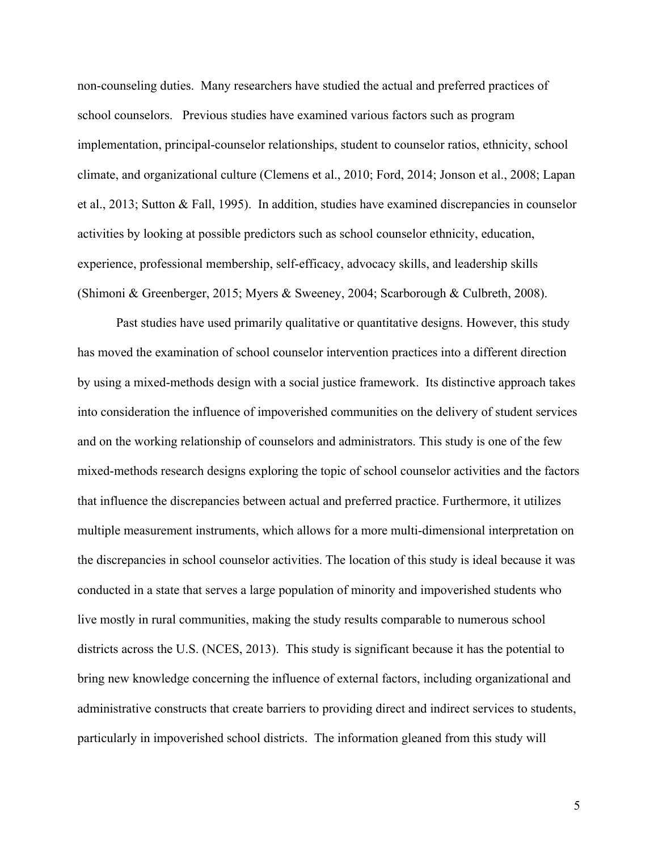non-counseling duties. Many researchers have studied the actual and preferred practices of school counselors. Previous studies have examined various factors such as program implementation, principal-counselor relationships, student to counselor ratios, ethnicity, school climate, and organizational culture (Clemens et al., 2010; Ford, 2014; Jonson et al., 2008; Lapan et al., 2013; Sutton & Fall, 1995). In addition, studies have examined discrepancies in counselor activities by looking at possible predictors such as school counselor ethnicity, education, experience, professional membership, self-efficacy, advocacy skills, and leadership skills (Shimoni & Greenberger, 2015; Myers & Sweeney, 2004; Scarborough & Culbreth, 2008).

Past studies have used primarily qualitative or quantitative designs. However, this study has moved the examination of school counselor intervention practices into a different direction by using a mixed-methods design with a social justice framework. Its distinctive approach takes into consideration the influence of impoverished communities on the delivery of student services and on the working relationship of counselors and administrators. This study is one of the few mixed-methods research designs exploring the topic of school counselor activities and the factors that influence the discrepancies between actual and preferred practice. Furthermore, it utilizes multiple measurement instruments, which allows for a more multi-dimensional interpretation on the discrepancies in school counselor activities. The location of this study is ideal because it was conducted in a state that serves a large population of minority and impoverished students who live mostly in rural communities, making the study results comparable to numerous school districts across the U.S. (NCES, 2013). This study is significant because it has the potential to bring new knowledge concerning the influence of external factors, including organizational and administrative constructs that create barriers to providing direct and indirect services to students, particularly in impoverished school districts. The information gleaned from this study will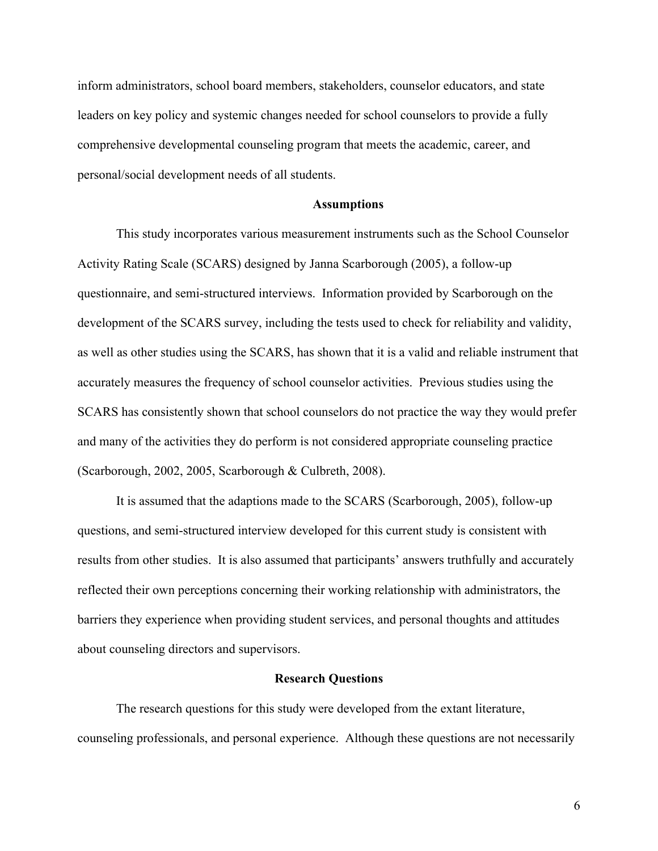inform administrators, school board members, stakeholders, counselor educators, and state leaders on key policy and systemic changes needed for school counselors to provide a fully comprehensive developmental counseling program that meets the academic, career, and personal/social development needs of all students.

# **Assumptions**

This study incorporates various measurement instruments such as the School Counselor Activity Rating Scale (SCARS) designed by Janna Scarborough (2005), a follow-up questionnaire, and semi-structured interviews. Information provided by Scarborough on the development of the SCARS survey, including the tests used to check for reliability and validity, as well as other studies using the SCARS, has shown that it is a valid and reliable instrument that accurately measures the frequency of school counselor activities. Previous studies using the SCARS has consistently shown that school counselors do not practice the way they would prefer and many of the activities they do perform is not considered appropriate counseling practice (Scarborough, 2002, 2005, Scarborough & Culbreth, 2008).

It is assumed that the adaptions made to the SCARS (Scarborough, 2005), follow-up questions, and semi-structured interview developed for this current study is consistent with results from other studies. It is also assumed that participants' answers truthfully and accurately reflected their own perceptions concerning their working relationship with administrators, the barriers they experience when providing student services, and personal thoughts and attitudes about counseling directors and supervisors.

#### **Research Questions**

The research questions for this study were developed from the extant literature, counseling professionals, and personal experience. Although these questions are not necessarily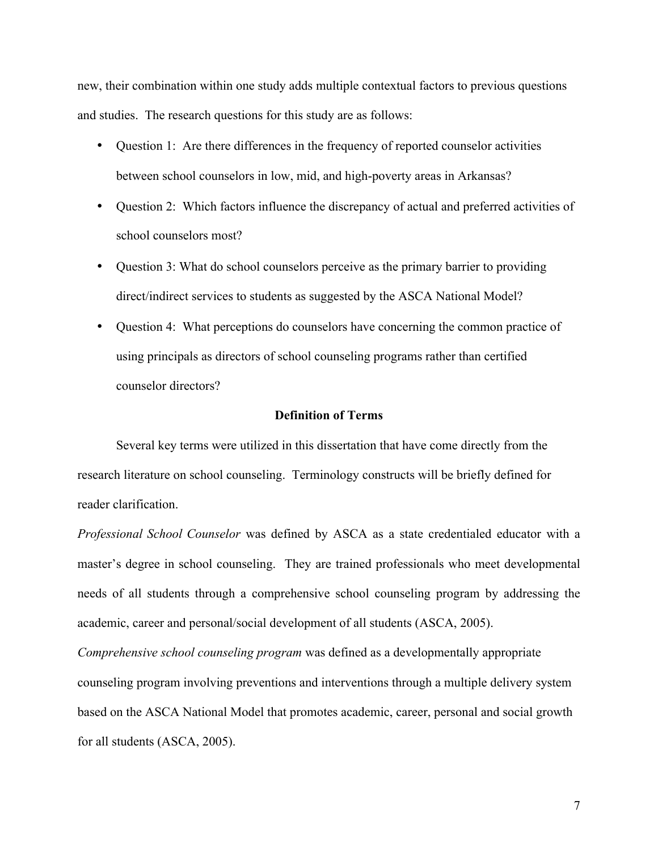new, their combination within one study adds multiple contextual factors to previous questions and studies. The research questions for this study are as follows:

- Question 1: Are there differences in the frequency of reported counselor activities between school counselors in low, mid, and high-poverty areas in Arkansas?
- Question 2: Which factors influence the discrepancy of actual and preferred activities of school counselors most?
- Question 3: What do school counselors perceive as the primary barrier to providing direct/indirect services to students as suggested by the ASCA National Model?
- Question 4: What perceptions do counselors have concerning the common practice of using principals as directors of school counseling programs rather than certified counselor directors?

# **Definition of Terms**

Several key terms were utilized in this dissertation that have come directly from the research literature on school counseling. Terminology constructs will be briefly defined for reader clarification.

*Professional School Counselor* was defined by ASCA as a state credentialed educator with a master's degree in school counseling. They are trained professionals who meet developmental needs of all students through a comprehensive school counseling program by addressing the academic, career and personal/social development of all students (ASCA, 2005).

*Comprehensive school counseling program* was defined as a developmentally appropriate counseling program involving preventions and interventions through a multiple delivery system based on the ASCA National Model that promotes academic, career, personal and social growth for all students (ASCA, 2005).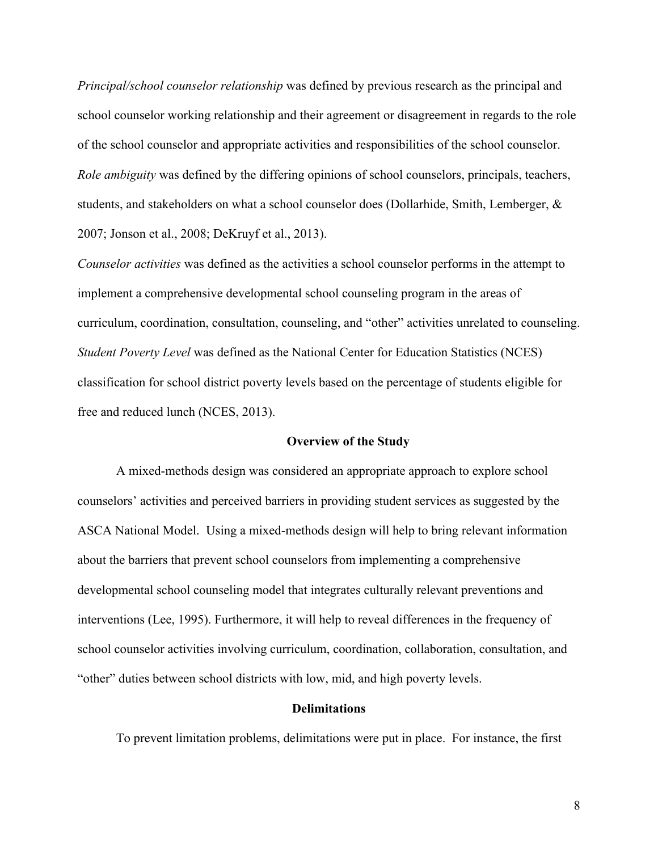*Principal/school counselor relationship* was defined by previous research as the principal and school counselor working relationship and their agreement or disagreement in regards to the role of the school counselor and appropriate activities and responsibilities of the school counselor. *Role ambiguity* was defined by the differing opinions of school counselors, principals, teachers, students, and stakeholders on what a school counselor does (Dollarhide, Smith, Lemberger, & 2007; Jonson et al., 2008; DeKruyf et al., 2013).

*Counselor activities* was defined as the activities a school counselor performs in the attempt to implement a comprehensive developmental school counseling program in the areas of curriculum, coordination, consultation, counseling, and "other" activities unrelated to counseling. *Student Poverty Level* was defined as the National Center for Education Statistics (NCES) classification for school district poverty levels based on the percentage of students eligible for free and reduced lunch (NCES, 2013).

# **Overview of the Study**

A mixed-methods design was considered an appropriate approach to explore school counselors' activities and perceived barriers in providing student services as suggested by the ASCA National Model. Using a mixed-methods design will help to bring relevant information about the barriers that prevent school counselors from implementing a comprehensive developmental school counseling model that integrates culturally relevant preventions and interventions (Lee, 1995). Furthermore, it will help to reveal differences in the frequency of school counselor activities involving curriculum, coordination, collaboration, consultation, and "other" duties between school districts with low, mid, and high poverty levels.

# **Delimitations**

To prevent limitation problems, delimitations were put in place. For instance, the first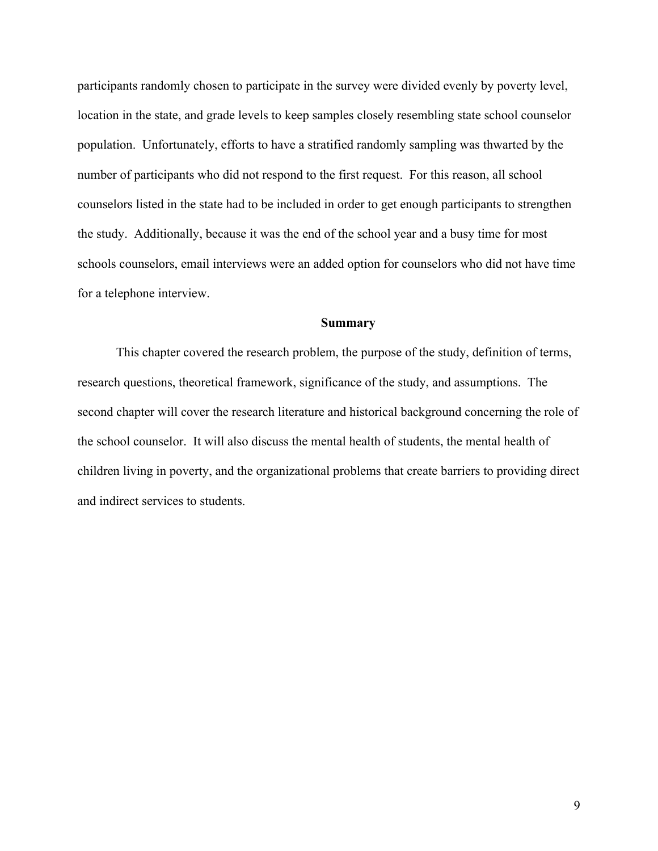participants randomly chosen to participate in the survey were divided evenly by poverty level, location in the state, and grade levels to keep samples closely resembling state school counselor population. Unfortunately, efforts to have a stratified randomly sampling was thwarted by the number of participants who did not respond to the first request. For this reason, all school counselors listed in the state had to be included in order to get enough participants to strengthen the study. Additionally, because it was the end of the school year and a busy time for most schools counselors, email interviews were an added option for counselors who did not have time for a telephone interview.

# **Summary**

This chapter covered the research problem, the purpose of the study, definition of terms, research questions, theoretical framework, significance of the study, and assumptions. The second chapter will cover the research literature and historical background concerning the role of the school counselor. It will also discuss the mental health of students, the mental health of children living in poverty, and the organizational problems that create barriers to providing direct and indirect services to students.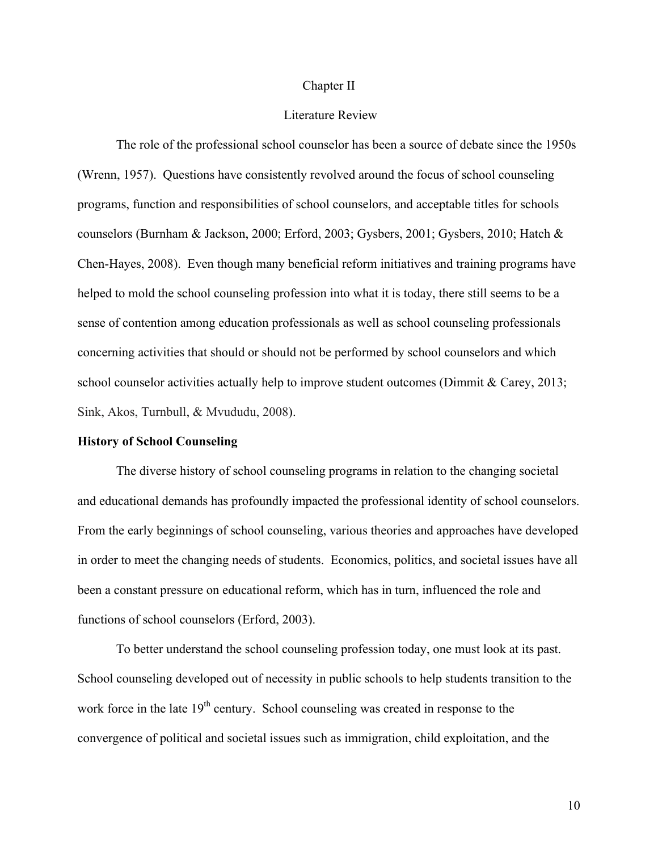#### Chapter II

# Literature Review

The role of the professional school counselor has been a source of debate since the 1950s (Wrenn, 1957). Questions have consistently revolved around the focus of school counseling programs, function and responsibilities of school counselors, and acceptable titles for schools counselors (Burnham & Jackson, 2000; Erford, 2003; Gysbers, 2001; Gysbers, 2010; Hatch & Chen-Hayes, 2008). Even though many beneficial reform initiatives and training programs have helped to mold the school counseling profession into what it is today, there still seems to be a sense of contention among education professionals as well as school counseling professionals concerning activities that should or should not be performed by school counselors and which school counselor activities actually help to improve student outcomes (Dimmit & Carey, 2013; Sink, Akos, Turnbull, & Mvududu, 2008).

#### **History of School Counseling**

The diverse history of school counseling programs in relation to the changing societal and educational demands has profoundly impacted the professional identity of school counselors. From the early beginnings of school counseling, various theories and approaches have developed in order to meet the changing needs of students. Economics, politics, and societal issues have all been a constant pressure on educational reform, which has in turn, influenced the role and functions of school counselors (Erford, 2003).

To better understand the school counseling profession today, one must look at its past. School counseling developed out of necessity in public schools to help students transition to the work force in the late  $19<sup>th</sup>$  century. School counseling was created in response to the convergence of political and societal issues such as immigration, child exploitation, and the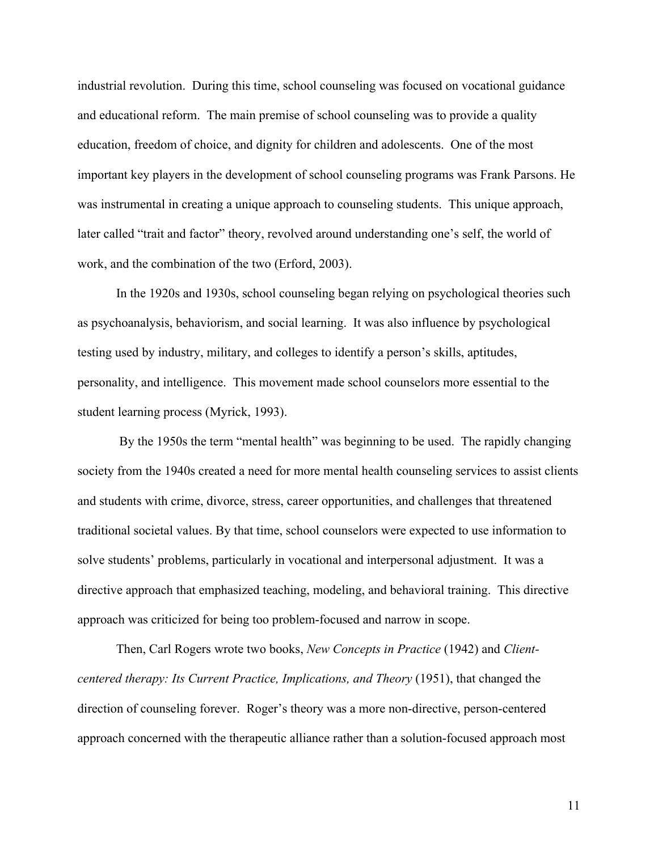industrial revolution. During this time, school counseling was focused on vocational guidance and educational reform. The main premise of school counseling was to provide a quality education, freedom of choice, and dignity for children and adolescents. One of the most important key players in the development of school counseling programs was Frank Parsons. He was instrumental in creating a unique approach to counseling students. This unique approach, later called "trait and factor" theory, revolved around understanding one's self, the world of work, and the combination of the two (Erford, 2003).

In the 1920s and 1930s, school counseling began relying on psychological theories such as psychoanalysis, behaviorism, and social learning. It was also influence by psychological testing used by industry, military, and colleges to identify a person's skills, aptitudes, personality, and intelligence. This movement made school counselors more essential to the student learning process (Myrick, 1993).

By the 1950s the term "mental health" was beginning to be used. The rapidly changing society from the 1940s created a need for more mental health counseling services to assist clients and students with crime, divorce, stress, career opportunities, and challenges that threatened traditional societal values. By that time, school counselors were expected to use information to solve students' problems, particularly in vocational and interpersonal adjustment. It was a directive approach that emphasized teaching, modeling, and behavioral training. This directive approach was criticized for being too problem-focused and narrow in scope.

Then, Carl Rogers wrote two books, *New Concepts in Practice* (1942) and *Clientcentered therapy: Its Current Practice, Implications, and Theory* (1951), that changed the direction of counseling forever. Roger's theory was a more non-directive, person-centered approach concerned with the therapeutic alliance rather than a solution-focused approach most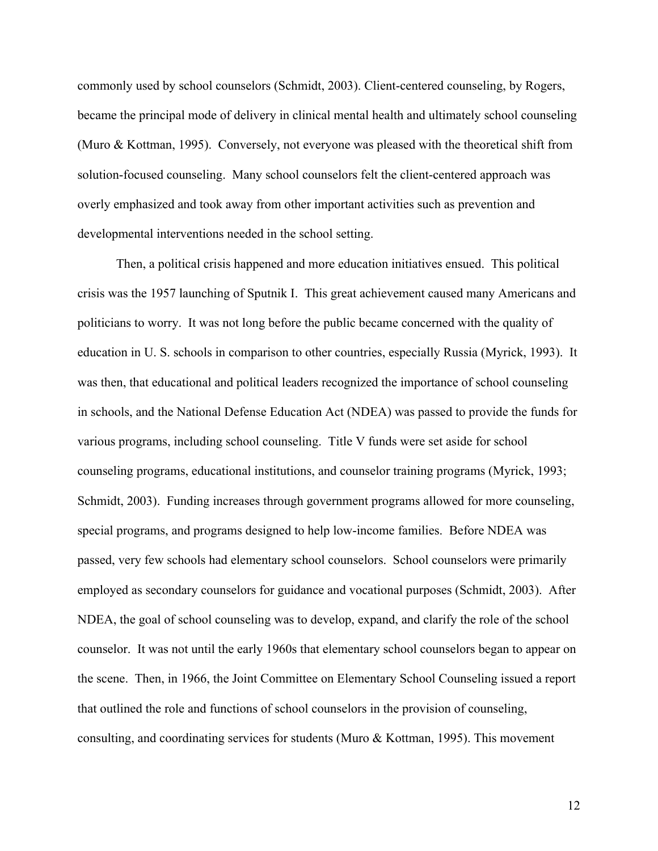commonly used by school counselors (Schmidt, 2003). Client-centered counseling, by Rogers, became the principal mode of delivery in clinical mental health and ultimately school counseling (Muro & Kottman, 1995). Conversely, not everyone was pleased with the theoretical shift from solution-focused counseling. Many school counselors felt the client-centered approach was overly emphasized and took away from other important activities such as prevention and developmental interventions needed in the school setting.

Then, a political crisis happened and more education initiatives ensued. This political crisis was the 1957 launching of Sputnik I. This great achievement caused many Americans and politicians to worry. It was not long before the public became concerned with the quality of education in U. S. schools in comparison to other countries, especially Russia (Myrick, 1993). It was then, that educational and political leaders recognized the importance of school counseling in schools, and the National Defense Education Act (NDEA) was passed to provide the funds for various programs, including school counseling. Title V funds were set aside for school counseling programs, educational institutions, and counselor training programs (Myrick, 1993; Schmidt, 2003). Funding increases through government programs allowed for more counseling, special programs, and programs designed to help low-income families. Before NDEA was passed, very few schools had elementary school counselors. School counselors were primarily employed as secondary counselors for guidance and vocational purposes (Schmidt, 2003). After NDEA, the goal of school counseling was to develop, expand, and clarify the role of the school counselor. It was not until the early 1960s that elementary school counselors began to appear on the scene. Then, in 1966, the Joint Committee on Elementary School Counseling issued a report that outlined the role and functions of school counselors in the provision of counseling, consulting, and coordinating services for students (Muro & Kottman, 1995). This movement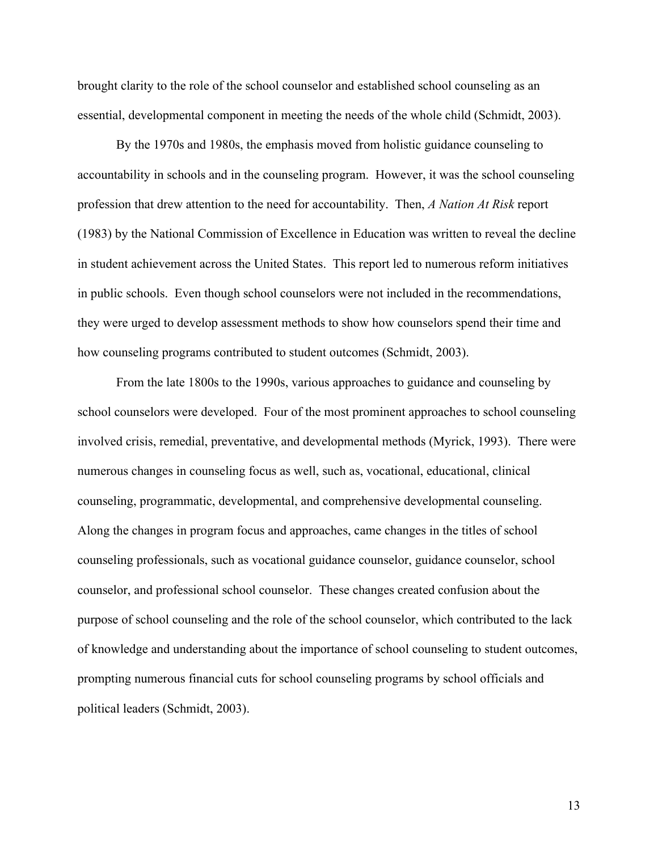brought clarity to the role of the school counselor and established school counseling as an essential, developmental component in meeting the needs of the whole child (Schmidt, 2003).

By the 1970s and 1980s, the emphasis moved from holistic guidance counseling to accountability in schools and in the counseling program. However, it was the school counseling profession that drew attention to the need for accountability. Then, *A Nation At Risk* report (1983) by the National Commission of Excellence in Education was written to reveal the decline in student achievement across the United States. This report led to numerous reform initiatives in public schools. Even though school counselors were not included in the recommendations, they were urged to develop assessment methods to show how counselors spend their time and how counseling programs contributed to student outcomes (Schmidt, 2003).

From the late 1800s to the 1990s, various approaches to guidance and counseling by school counselors were developed. Four of the most prominent approaches to school counseling involved crisis, remedial, preventative, and developmental methods (Myrick, 1993). There were numerous changes in counseling focus as well, such as, vocational, educational, clinical counseling, programmatic, developmental, and comprehensive developmental counseling. Along the changes in program focus and approaches, came changes in the titles of school counseling professionals, such as vocational guidance counselor, guidance counselor, school counselor, and professional school counselor. These changes created confusion about the purpose of school counseling and the role of the school counselor, which contributed to the lack of knowledge and understanding about the importance of school counseling to student outcomes, prompting numerous financial cuts for school counseling programs by school officials and political leaders (Schmidt, 2003).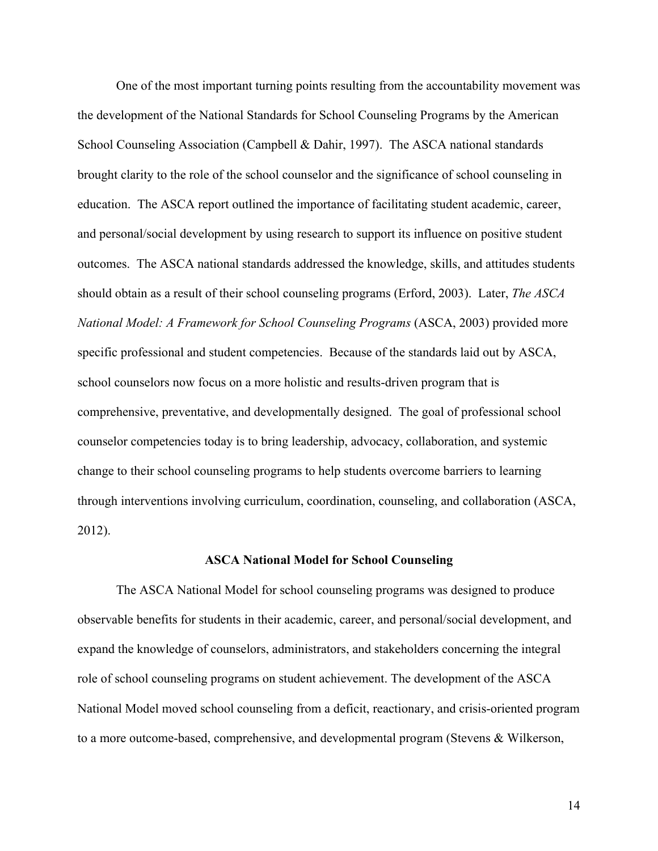One of the most important turning points resulting from the accountability movement was the development of the National Standards for School Counseling Programs by the American School Counseling Association (Campbell & Dahir, 1997). The ASCA national standards brought clarity to the role of the school counselor and the significance of school counseling in education. The ASCA report outlined the importance of facilitating student academic, career, and personal/social development by using research to support its influence on positive student outcomes. The ASCA national standards addressed the knowledge, skills, and attitudes students should obtain as a result of their school counseling programs (Erford, 2003). Later, *The ASCA National Model: A Framework for School Counseling Programs* (ASCA, 2003) provided more specific professional and student competencies. Because of the standards laid out by ASCA, school counselors now focus on a more holistic and results-driven program that is comprehensive, preventative, and developmentally designed. The goal of professional school counselor competencies today is to bring leadership, advocacy, collaboration, and systemic change to their school counseling programs to help students overcome barriers to learning through interventions involving curriculum, coordination, counseling, and collaboration (ASCA, 2012).

#### **ASCA National Model for School Counseling**

The ASCA National Model for school counseling programs was designed to produce observable benefits for students in their academic, career, and personal/social development, and expand the knowledge of counselors, administrators, and stakeholders concerning the integral role of school counseling programs on student achievement. The development of the ASCA National Model moved school counseling from a deficit, reactionary, and crisis-oriented program to a more outcome-based, comprehensive, and developmental program (Stevens & Wilkerson,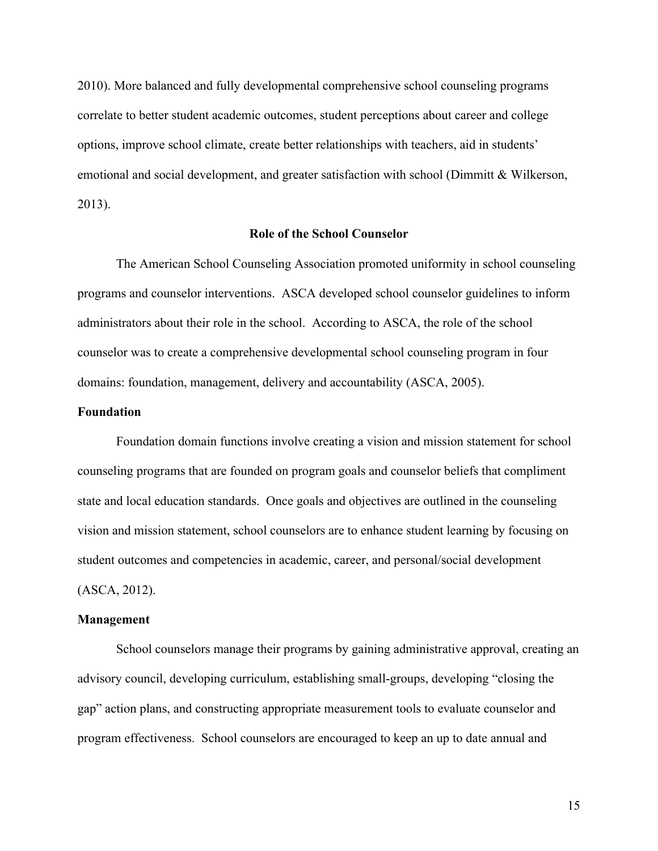2010). More balanced and fully developmental comprehensive school counseling programs correlate to better student academic outcomes, student perceptions about career and college options, improve school climate, create better relationships with teachers, aid in students' emotional and social development, and greater satisfaction with school (Dimmitt & Wilkerson, 2013).

# **Role of the School Counselor**

The American School Counseling Association promoted uniformity in school counseling programs and counselor interventions. ASCA developed school counselor guidelines to inform administrators about their role in the school. According to ASCA, the role of the school counselor was to create a comprehensive developmental school counseling program in four domains: foundation, management, delivery and accountability (ASCA, 2005).

# **Foundation**

Foundation domain functions involve creating a vision and mission statement for school counseling programs that are founded on program goals and counselor beliefs that compliment state and local education standards. Once goals and objectives are outlined in the counseling vision and mission statement, school counselors are to enhance student learning by focusing on student outcomes and competencies in academic, career, and personal/social development (ASCA, 2012).

#### **Management**

School counselors manage their programs by gaining administrative approval, creating an advisory council, developing curriculum, establishing small-groups, developing "closing the gap" action plans, and constructing appropriate measurement tools to evaluate counselor and program effectiveness. School counselors are encouraged to keep an up to date annual and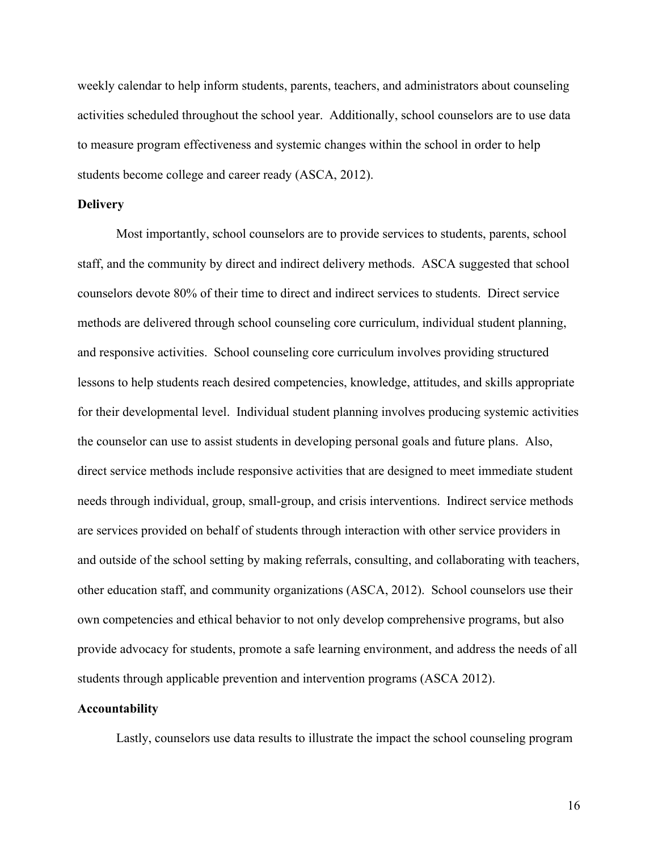weekly calendar to help inform students, parents, teachers, and administrators about counseling activities scheduled throughout the school year. Additionally, school counselors are to use data to measure program effectiveness and systemic changes within the school in order to help students become college and career ready (ASCA, 2012).

# **Delivery**

Most importantly, school counselors are to provide services to students, parents, school staff, and the community by direct and indirect delivery methods. ASCA suggested that school counselors devote 80% of their time to direct and indirect services to students. Direct service methods are delivered through school counseling core curriculum, individual student planning, and responsive activities. School counseling core curriculum involves providing structured lessons to help students reach desired competencies, knowledge, attitudes, and skills appropriate for their developmental level. Individual student planning involves producing systemic activities the counselor can use to assist students in developing personal goals and future plans. Also, direct service methods include responsive activities that are designed to meet immediate student needs through individual, group, small-group, and crisis interventions. Indirect service methods are services provided on behalf of students through interaction with other service providers in and outside of the school setting by making referrals, consulting, and collaborating with teachers, other education staff, and community organizations (ASCA, 2012). School counselors use their own competencies and ethical behavior to not only develop comprehensive programs, but also provide advocacy for students, promote a safe learning environment, and address the needs of all students through applicable prevention and intervention programs (ASCA 2012).

# **Accountability**

Lastly, counselors use data results to illustrate the impact the school counseling program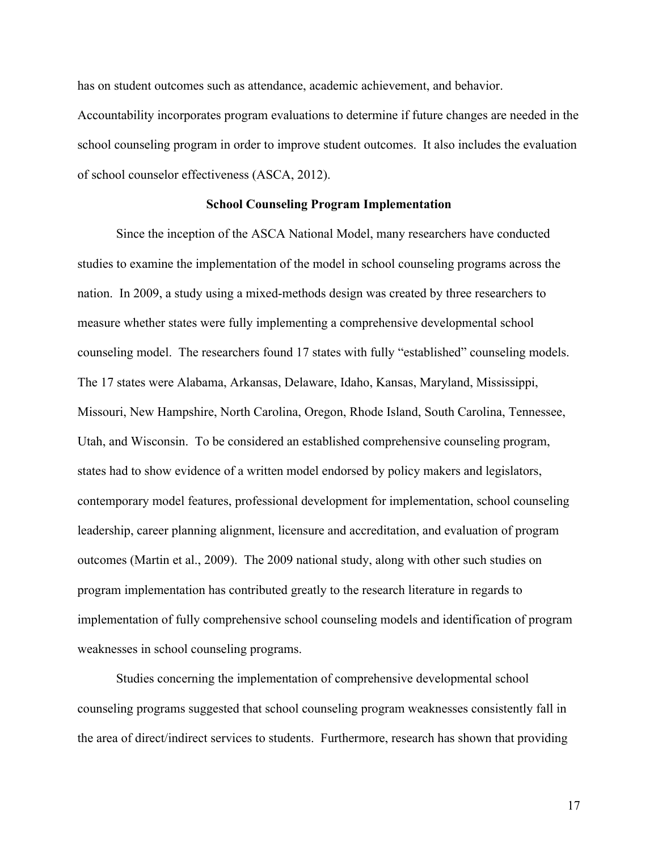has on student outcomes such as attendance, academic achievement, and behavior.

Accountability incorporates program evaluations to determine if future changes are needed in the school counseling program in order to improve student outcomes. It also includes the evaluation of school counselor effectiveness (ASCA, 2012).

#### **School Counseling Program Implementation**

Since the inception of the ASCA National Model, many researchers have conducted studies to examine the implementation of the model in school counseling programs across the nation. In 2009, a study using a mixed-methods design was created by three researchers to measure whether states were fully implementing a comprehensive developmental school counseling model. The researchers found 17 states with fully "established" counseling models. The 17 states were Alabama, Arkansas, Delaware, Idaho, Kansas, Maryland, Mississippi, Missouri, New Hampshire, North Carolina, Oregon, Rhode Island, South Carolina, Tennessee, Utah, and Wisconsin. To be considered an established comprehensive counseling program, states had to show evidence of a written model endorsed by policy makers and legislators, contemporary model features, professional development for implementation, school counseling leadership, career planning alignment, licensure and accreditation, and evaluation of program outcomes (Martin et al., 2009). The 2009 national study, along with other such studies on program implementation has contributed greatly to the research literature in regards to implementation of fully comprehensive school counseling models and identification of program weaknesses in school counseling programs.

Studies concerning the implementation of comprehensive developmental school counseling programs suggested that school counseling program weaknesses consistently fall in the area of direct/indirect services to students. Furthermore, research has shown that providing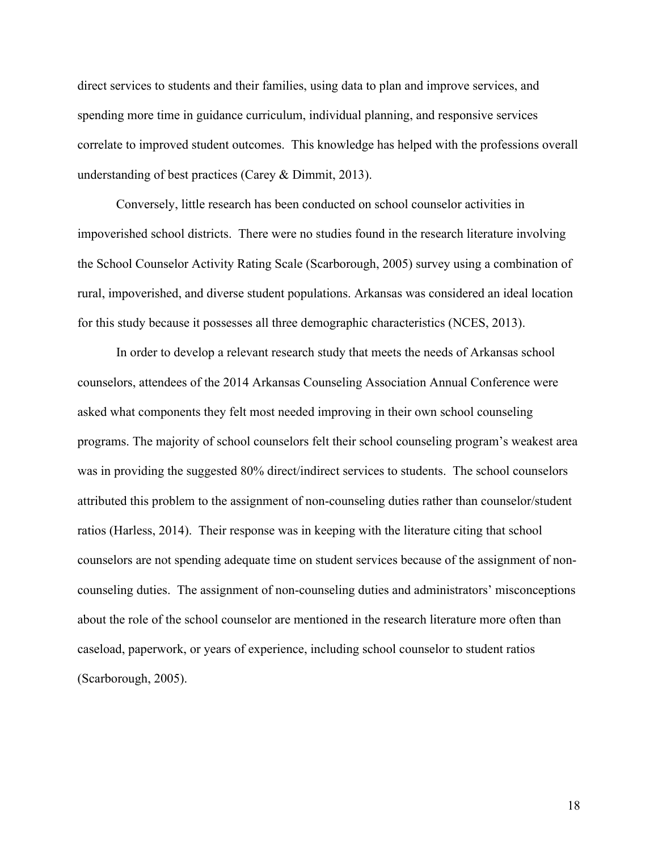direct services to students and their families, using data to plan and improve services, and spending more time in guidance curriculum, individual planning, and responsive services correlate to improved student outcomes. This knowledge has helped with the professions overall understanding of best practices (Carey & Dimmit, 2013).

Conversely, little research has been conducted on school counselor activities in impoverished school districts. There were no studies found in the research literature involving the School Counselor Activity Rating Scale (Scarborough, 2005) survey using a combination of rural, impoverished, and diverse student populations. Arkansas was considered an ideal location for this study because it possesses all three demographic characteristics (NCES, 2013).

In order to develop a relevant research study that meets the needs of Arkansas school counselors, attendees of the 2014 Arkansas Counseling Association Annual Conference were asked what components they felt most needed improving in their own school counseling programs. The majority of school counselors felt their school counseling program's weakest area was in providing the suggested 80% direct/indirect services to students. The school counselors attributed this problem to the assignment of non-counseling duties rather than counselor/student ratios (Harless, 2014). Their response was in keeping with the literature citing that school counselors are not spending adequate time on student services because of the assignment of noncounseling duties. The assignment of non-counseling duties and administrators' misconceptions about the role of the school counselor are mentioned in the research literature more often than caseload, paperwork, or years of experience, including school counselor to student ratios (Scarborough, 2005).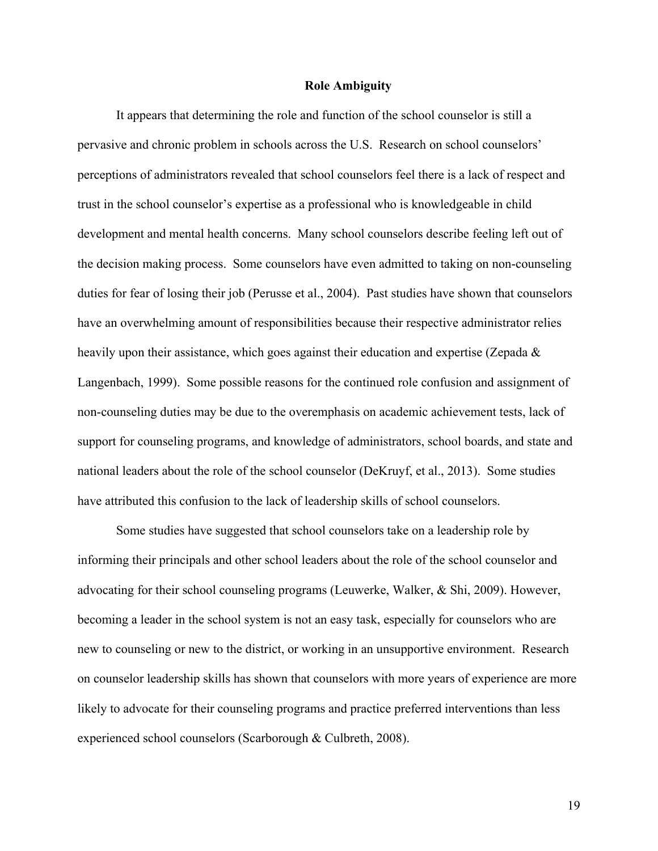#### **Role Ambiguity**

It appears that determining the role and function of the school counselor is still a pervasive and chronic problem in schools across the U.S. Research on school counselors' perceptions of administrators revealed that school counselors feel there is a lack of respect and trust in the school counselor's expertise as a professional who is knowledgeable in child development and mental health concerns. Many school counselors describe feeling left out of the decision making process. Some counselors have even admitted to taking on non-counseling duties for fear of losing their job (Perusse et al., 2004). Past studies have shown that counselors have an overwhelming amount of responsibilities because their respective administrator relies heavily upon their assistance, which goes against their education and expertise (Zepada & Langenbach, 1999). Some possible reasons for the continued role confusion and assignment of non-counseling duties may be due to the overemphasis on academic achievement tests, lack of support for counseling programs, and knowledge of administrators, school boards, and state and national leaders about the role of the school counselor (DeKruyf, et al., 2013). Some studies have attributed this confusion to the lack of leadership skills of school counselors.

Some studies have suggested that school counselors take on a leadership role by informing their principals and other school leaders about the role of the school counselor and advocating for their school counseling programs (Leuwerke, Walker, & Shi, 2009). However, becoming a leader in the school system is not an easy task, especially for counselors who are new to counseling or new to the district, or working in an unsupportive environment. Research on counselor leadership skills has shown that counselors with more years of experience are more likely to advocate for their counseling programs and practice preferred interventions than less experienced school counselors (Scarborough & Culbreth, 2008).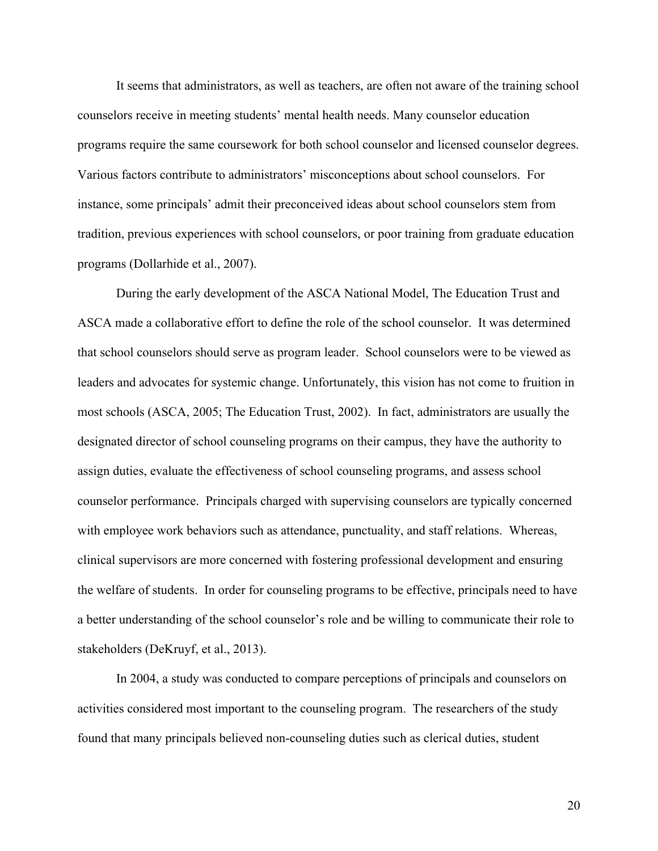It seems that administrators, as well as teachers, are often not aware of the training school counselors receive in meeting students' mental health needs. Many counselor education programs require the same coursework for both school counselor and licensed counselor degrees. Various factors contribute to administrators' misconceptions about school counselors. For instance, some principals' admit their preconceived ideas about school counselors stem from tradition, previous experiences with school counselors, or poor training from graduate education programs (Dollarhide et al., 2007).

During the early development of the ASCA National Model, The Education Trust and ASCA made a collaborative effort to define the role of the school counselor. It was determined that school counselors should serve as program leader. School counselors were to be viewed as leaders and advocates for systemic change. Unfortunately, this vision has not come to fruition in most schools (ASCA, 2005; The Education Trust, 2002). In fact, administrators are usually the designated director of school counseling programs on their campus, they have the authority to assign duties, evaluate the effectiveness of school counseling programs, and assess school counselor performance. Principals charged with supervising counselors are typically concerned with employee work behaviors such as attendance, punctuality, and staff relations. Whereas, clinical supervisors are more concerned with fostering professional development and ensuring the welfare of students. In order for counseling programs to be effective, principals need to have a better understanding of the school counselor's role and be willing to communicate their role to stakeholders (DeKruyf, et al., 2013).

In 2004, a study was conducted to compare perceptions of principals and counselors on activities considered most important to the counseling program. The researchers of the study found that many principals believed non-counseling duties such as clerical duties, student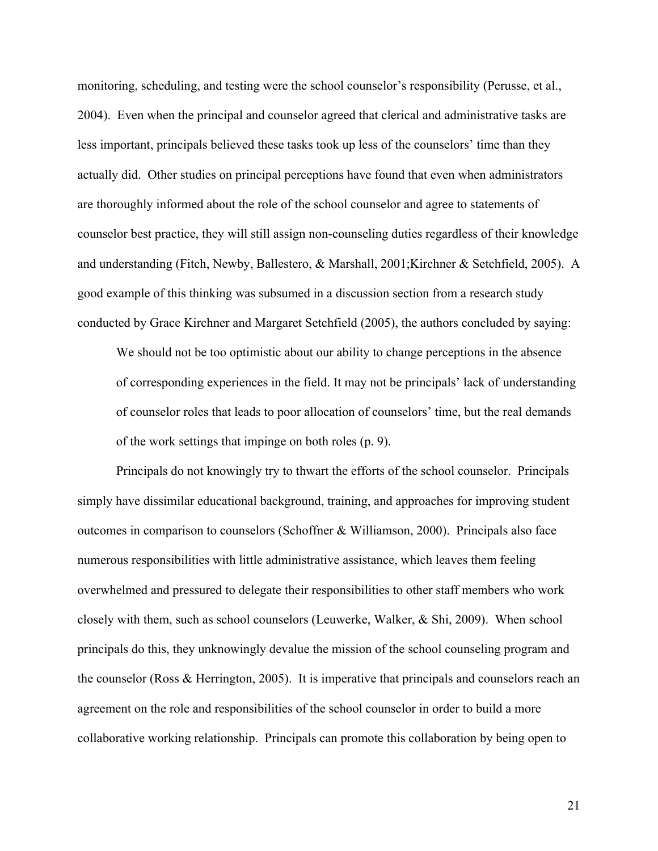monitoring, scheduling, and testing were the school counselor's responsibility (Perusse, et al., 2004). Even when the principal and counselor agreed that clerical and administrative tasks are less important, principals believed these tasks took up less of the counselors' time than they actually did. Other studies on principal perceptions have found that even when administrators are thoroughly informed about the role of the school counselor and agree to statements of counselor best practice, they will still assign non-counseling duties regardless of their knowledge and understanding (Fitch, Newby, Ballestero, & Marshall, 2001;Kirchner & Setchfield, 2005). A good example of this thinking was subsumed in a discussion section from a research study conducted by Grace Kirchner and Margaret Setchfield (2005), the authors concluded by saying:

We should not be too optimistic about our ability to change perceptions in the absence of corresponding experiences in the field. It may not be principals' lack of understanding of counselor roles that leads to poor allocation of counselors' time, but the real demands of the work settings that impinge on both roles (p. 9).

Principals do not knowingly try to thwart the efforts of the school counselor. Principals simply have dissimilar educational background, training, and approaches for improving student outcomes in comparison to counselors (Schoffner & Williamson, 2000). Principals also face numerous responsibilities with little administrative assistance, which leaves them feeling overwhelmed and pressured to delegate their responsibilities to other staff members who work closely with them, such as school counselors (Leuwerke, Walker, & Shi, 2009). When school principals do this, they unknowingly devalue the mission of the school counseling program and the counselor (Ross & Herrington, 2005). It is imperative that principals and counselors reach an agreement on the role and responsibilities of the school counselor in order to build a more collaborative working relationship. Principals can promote this collaboration by being open to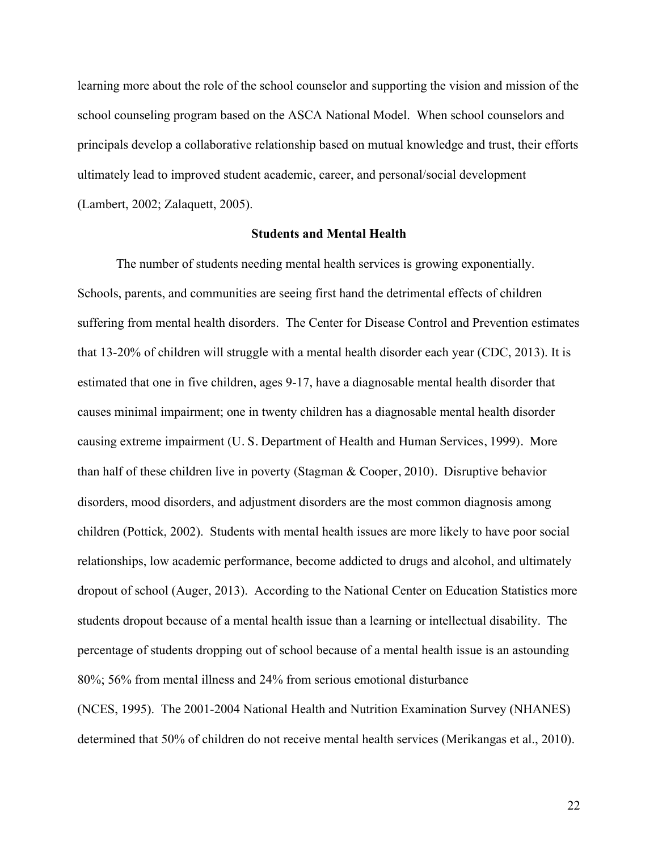learning more about the role of the school counselor and supporting the vision and mission of the school counseling program based on the ASCA National Model. When school counselors and principals develop a collaborative relationship based on mutual knowledge and trust, their efforts ultimately lead to improved student academic, career, and personal/social development (Lambert, 2002; Zalaquett, 2005).

# **Students and Mental Health**

The number of students needing mental health services is growing exponentially. Schools, parents, and communities are seeing first hand the detrimental effects of children suffering from mental health disorders. The Center for Disease Control and Prevention estimates that 13-20% of children will struggle with a mental health disorder each year (CDC, 2013). It is estimated that one in five children, ages 9-17, have a diagnosable mental health disorder that causes minimal impairment; one in twenty children has a diagnosable mental health disorder causing extreme impairment (U. S. Department of Health and Human Services, 1999). More than half of these children live in poverty (Stagman & Cooper, 2010). Disruptive behavior disorders, mood disorders, and adjustment disorders are the most common diagnosis among children (Pottick, 2002). Students with mental health issues are more likely to have poor social relationships, low academic performance, become addicted to drugs and alcohol, and ultimately dropout of school (Auger, 2013). According to the National Center on Education Statistics more students dropout because of a mental health issue than a learning or intellectual disability. The percentage of students dropping out of school because of a mental health issue is an astounding 80%; 56% from mental illness and 24% from serious emotional disturbance

(NCES, 1995). The 2001-2004 National Health and Nutrition Examination Survey (NHANES) determined that 50% of children do not receive mental health services (Merikangas et al., 2010).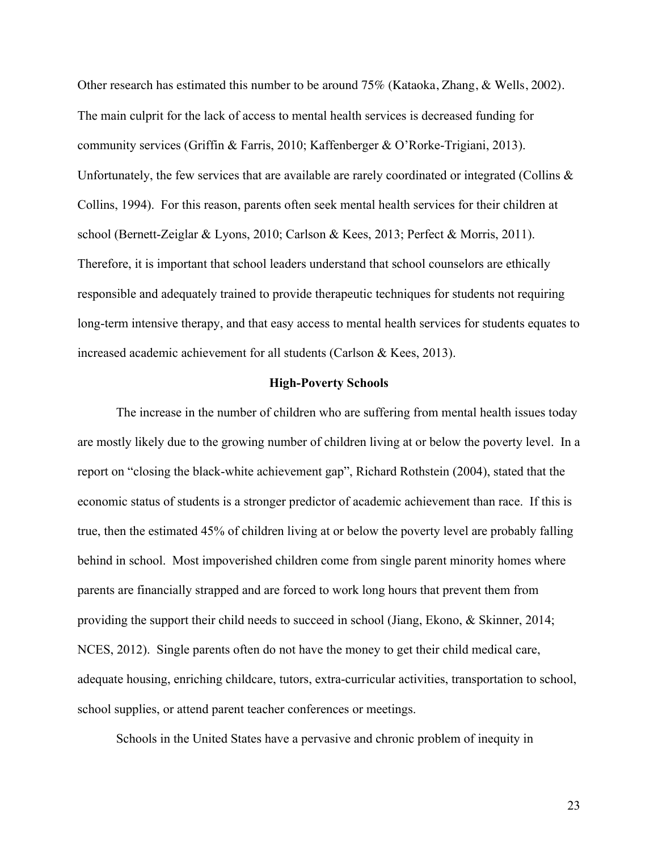Other research has estimated this number to be around 75% (Kataoka, Zhang, & Wells, 2002). The main culprit for the lack of access to mental health services is decreased funding for community services (Griffin & Farris, 2010; Kaffenberger & O'Rorke-Trigiani, 2013). Unfortunately, the few services that are available are rarely coordinated or integrated (Collins  $\&$ Collins, 1994). For this reason, parents often seek mental health services for their children at school (Bernett-Zeiglar & Lyons, 2010; Carlson & Kees, 2013; Perfect & Morris, 2011). Therefore, it is important that school leaders understand that school counselors are ethically responsible and adequately trained to provide therapeutic techniques for students not requiring long-term intensive therapy, and that easy access to mental health services for students equates to increased academic achievement for all students (Carlson & Kees, 2013).

#### **High-Poverty Schools**

The increase in the number of children who are suffering from mental health issues today are mostly likely due to the growing number of children living at or below the poverty level. In a report on "closing the black-white achievement gap", Richard Rothstein (2004), stated that the economic status of students is a stronger predictor of academic achievement than race. If this is true, then the estimated 45% of children living at or below the poverty level are probably falling behind in school. Most impoverished children come from single parent minority homes where parents are financially strapped and are forced to work long hours that prevent them from providing the support their child needs to succeed in school (Jiang, Ekono, & Skinner, 2014; NCES, 2012). Single parents often do not have the money to get their child medical care, adequate housing, enriching childcare, tutors, extra-curricular activities, transportation to school, school supplies, or attend parent teacher conferences or meetings.

Schools in the United States have a pervasive and chronic problem of inequity in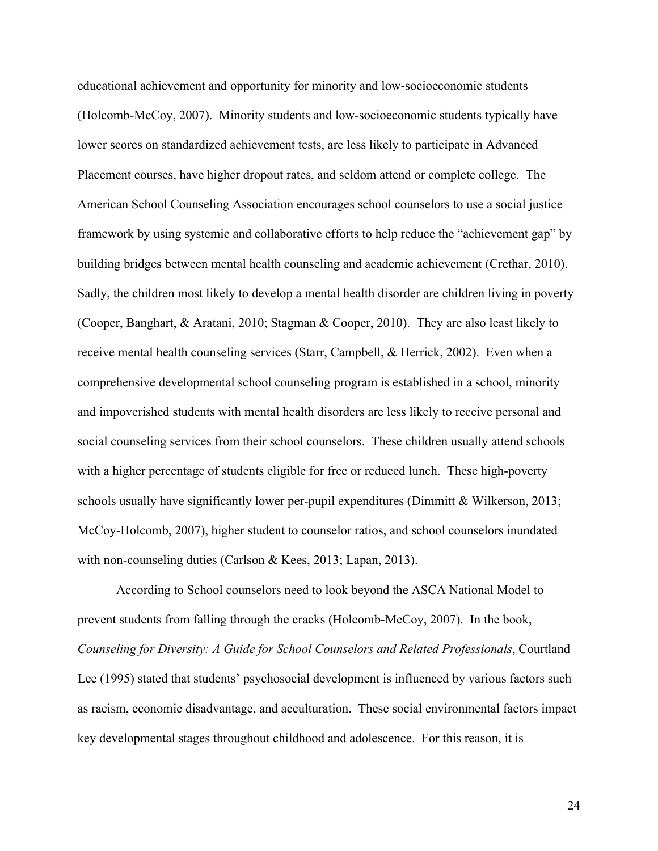educational achievement and opportunity for minority and low-socioeconomic students (Holcomb-McCoy, 2007). Minority students and low-socioeconomic students typically have lower scores on standardized achievement tests, are less likely to participate in Advanced Placement courses, have higher dropout rates, and seldom attend or complete college. The American School Counseling Association encourages school counselors to use a social justice framework by using systemic and collaborative efforts to help reduce the "achievement gap" by building bridges between mental health counseling and academic achievement (Crethar, 2010). Sadly, the children most likely to develop a mental health disorder are children living in poverty (Cooper, Banghart, & Aratani, 2010; Stagman & Cooper, 2010). They are also least likely to receive mental health counseling services (Starr, Campbell, & Herrick, 2002). Even when a comprehensive developmental school counseling program is established in a school, minority and impoverished students with mental health disorders are less likely to receive personal and social counseling services from their school counselors. These children usually attend schools with a higher percentage of students eligible for free or reduced lunch. These high-poverty schools usually have significantly lower per-pupil expenditures (Dimmitt & Wilkerson, 2013; McCoy-Holcomb, 2007), higher student to counselor ratios, and school counselors inundated with non-counseling duties (Carlson & Kees, 2013; Lapan, 2013).

According to School counselors need to look beyond the ASCA National Model to prevent students from falling through the cracks (Holcomb-McCoy, 2007). In the book, *Counseling for Diversity: A Guide for School Counselors and Related Professionals*, Courtland Lee (1995) stated that students' psychosocial development is influenced by various factors such as racism, economic disadvantage, and acculturation. These social environmental factors impact key developmental stages throughout childhood and adolescence. For this reason, it is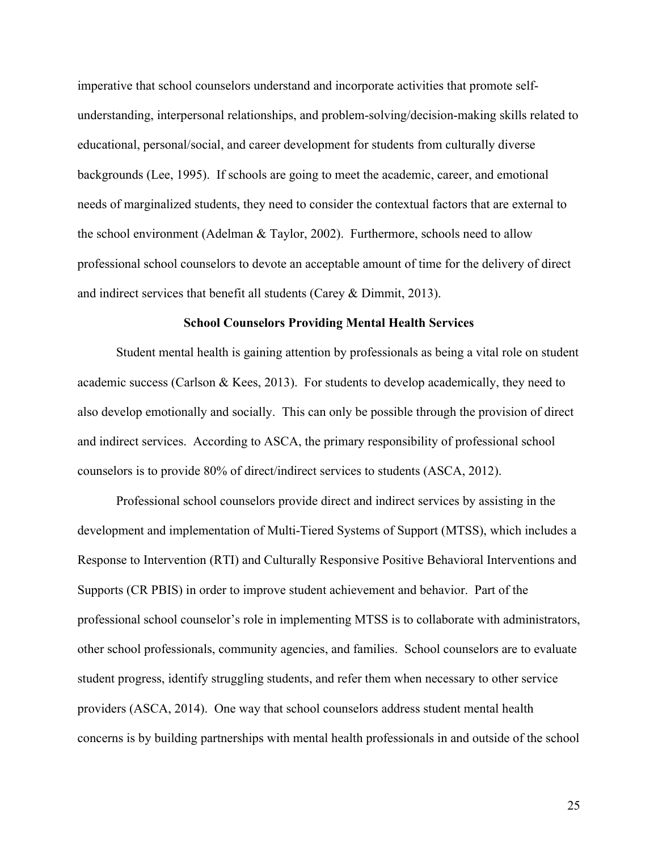imperative that school counselors understand and incorporate activities that promote selfunderstanding, interpersonal relationships, and problem-solving/decision-making skills related to educational, personal/social, and career development for students from culturally diverse backgrounds (Lee, 1995). If schools are going to meet the academic, career, and emotional needs of marginalized students, they need to consider the contextual factors that are external to the school environment (Adelman & Taylor, 2002). Furthermore, schools need to allow professional school counselors to devote an acceptable amount of time for the delivery of direct and indirect services that benefit all students (Carey & Dimmit, 2013).

#### **School Counselors Providing Mental Health Services**

Student mental health is gaining attention by professionals as being a vital role on student academic success (Carlson & Kees, 2013). For students to develop academically, they need to also develop emotionally and socially. This can only be possible through the provision of direct and indirect services. According to ASCA, the primary responsibility of professional school counselors is to provide 80% of direct/indirect services to students (ASCA, 2012).

Professional school counselors provide direct and indirect services by assisting in the development and implementation of Multi-Tiered Systems of Support (MTSS), which includes a Response to Intervention (RTI) and Culturally Responsive Positive Behavioral Interventions and Supports (CR PBIS) in order to improve student achievement and behavior. Part of the professional school counselor's role in implementing MTSS is to collaborate with administrators, other school professionals, community agencies, and families. School counselors are to evaluate student progress, identify struggling students, and refer them when necessary to other service providers (ASCA, 2014). One way that school counselors address student mental health concerns is by building partnerships with mental health professionals in and outside of the school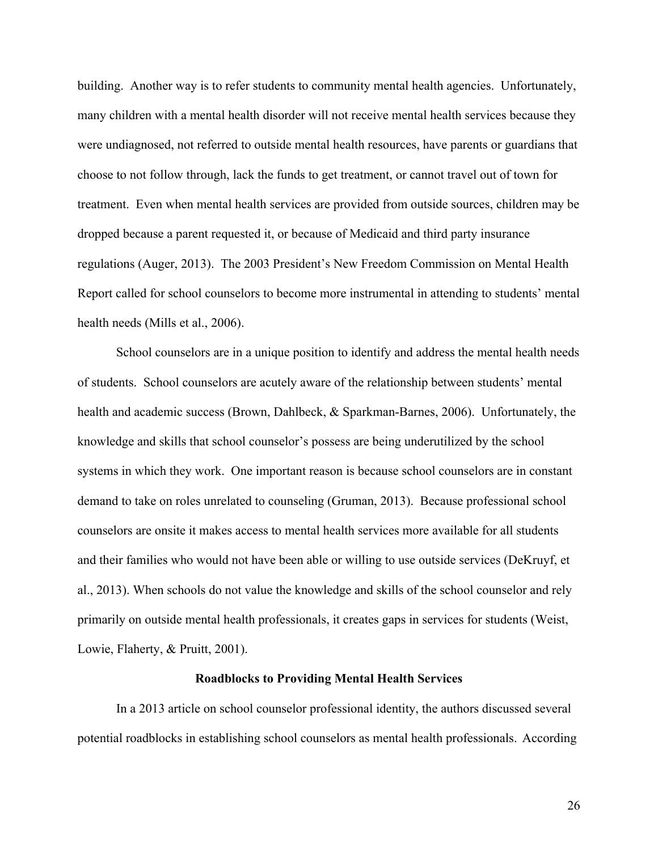building. Another way is to refer students to community mental health agencies. Unfortunately, many children with a mental health disorder will not receive mental health services because they were undiagnosed, not referred to outside mental health resources, have parents or guardians that choose to not follow through, lack the funds to get treatment, or cannot travel out of town for treatment. Even when mental health services are provided from outside sources, children may be dropped because a parent requested it, or because of Medicaid and third party insurance regulations (Auger, 2013). The 2003 President's New Freedom Commission on Mental Health Report called for school counselors to become more instrumental in attending to students' mental health needs (Mills et al., 2006).

School counselors are in a unique position to identify and address the mental health needs of students. School counselors are acutely aware of the relationship between students' mental health and academic success (Brown, Dahlbeck, & Sparkman-Barnes, 2006). Unfortunately, the knowledge and skills that school counselor's possess are being underutilized by the school systems in which they work. One important reason is because school counselors are in constant demand to take on roles unrelated to counseling (Gruman, 2013). Because professional school counselors are onsite it makes access to mental health services more available for all students and their families who would not have been able or willing to use outside services (DeKruyf, et al., 2013). When schools do not value the knowledge and skills of the school counselor and rely primarily on outside mental health professionals, it creates gaps in services for students (Weist, Lowie, Flaherty, & Pruitt, 2001).

#### **Roadblocks to Providing Mental Health Services**

In a 2013 article on school counselor professional identity, the authors discussed several potential roadblocks in establishing school counselors as mental health professionals. According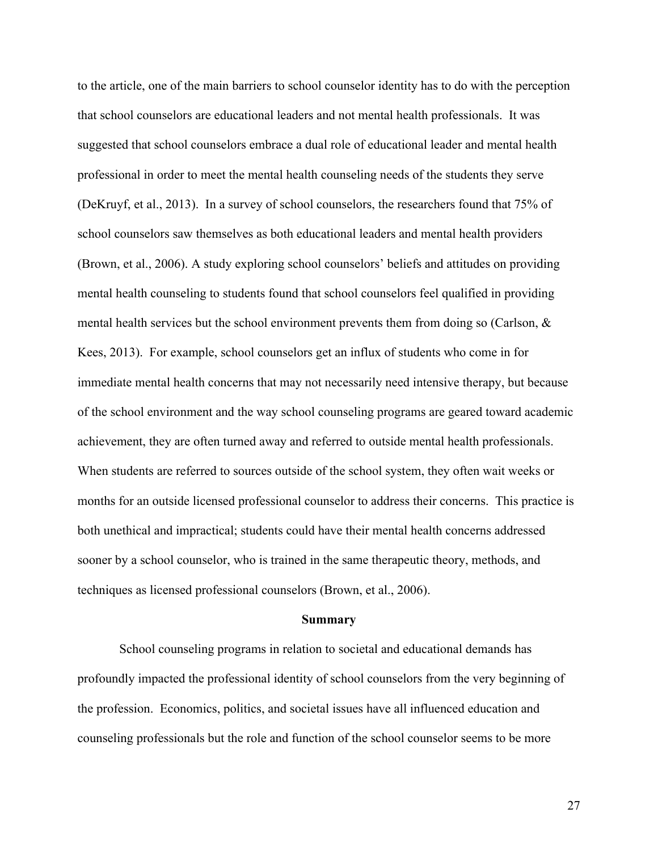to the article, one of the main barriers to school counselor identity has to do with the perception that school counselors are educational leaders and not mental health professionals. It was suggested that school counselors embrace a dual role of educational leader and mental health professional in order to meet the mental health counseling needs of the students they serve (DeKruyf, et al., 2013). In a survey of school counselors, the researchers found that 75% of school counselors saw themselves as both educational leaders and mental health providers (Brown, et al., 2006). A study exploring school counselors' beliefs and attitudes on providing mental health counseling to students found that school counselors feel qualified in providing mental health services but the school environment prevents them from doing so (Carlson,  $\&$ Kees, 2013). For example, school counselors get an influx of students who come in for immediate mental health concerns that may not necessarily need intensive therapy, but because of the school environment and the way school counseling programs are geared toward academic achievement, they are often turned away and referred to outside mental health professionals. When students are referred to sources outside of the school system, they often wait weeks or months for an outside licensed professional counselor to address their concerns. This practice is both unethical and impractical; students could have their mental health concerns addressed sooner by a school counselor, who is trained in the same therapeutic theory, methods, and techniques as licensed professional counselors (Brown, et al., 2006).

### **Summary**

School counseling programs in relation to societal and educational demands has profoundly impacted the professional identity of school counselors from the very beginning of the profession. Economics, politics, and societal issues have all influenced education and counseling professionals but the role and function of the school counselor seems to be more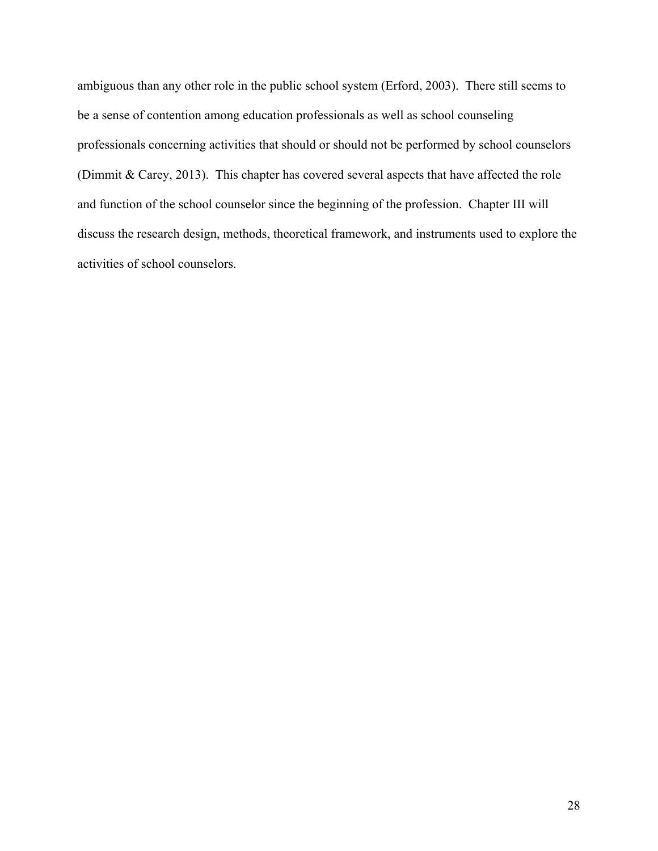ambiguous than any other role in the public school system (Erford, 2003). There still seems to be a sense of contention among education professionals as well as school counseling professionals concerning activities that should or should not be performed by school counselors (Dimmit & Carey, 2013). This chapter has covered several aspects that have affected the role and function of the school counselor since the beginning of the profession. Chapter III will discuss the research design, methods, theoretical framework, and instruments used to explore the activities of school counselors.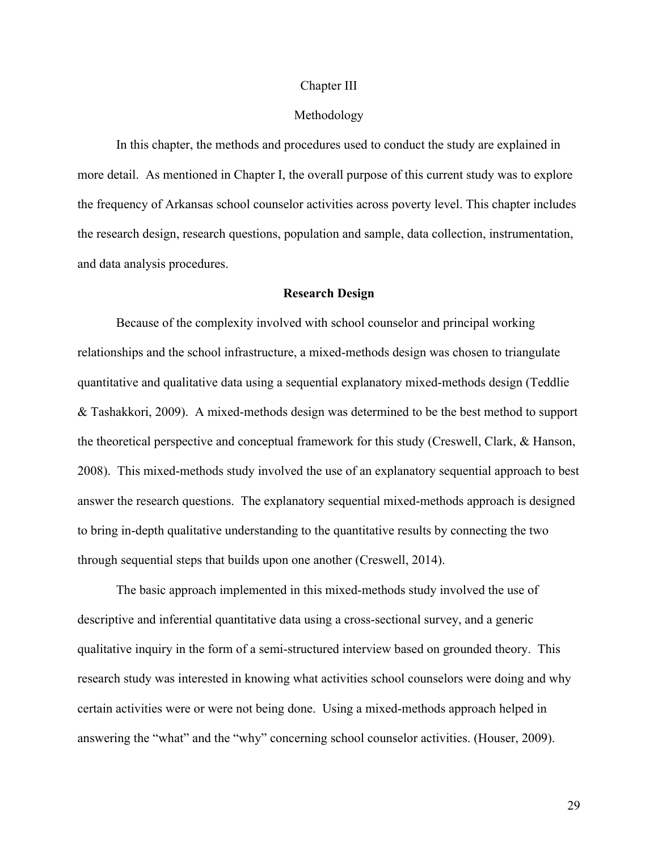### Chapter III

# Methodology

In this chapter, the methods and procedures used to conduct the study are explained in more detail. As mentioned in Chapter I, the overall purpose of this current study was to explore the frequency of Arkansas school counselor activities across poverty level. This chapter includes the research design, research questions, population and sample, data collection, instrumentation, and data analysis procedures.

## **Research Design**

Because of the complexity involved with school counselor and principal working relationships and the school infrastructure, a mixed-methods design was chosen to triangulate quantitative and qualitative data using a sequential explanatory mixed-methods design (Teddlie & Tashakkori, 2009). A mixed-methods design was determined to be the best method to support the theoretical perspective and conceptual framework for this study (Creswell, Clark, & Hanson, 2008). This mixed-methods study involved the use of an explanatory sequential approach to best answer the research questions. The explanatory sequential mixed-methods approach is designed to bring in-depth qualitative understanding to the quantitative results by connecting the two through sequential steps that builds upon one another (Creswell, 2014).

The basic approach implemented in this mixed-methods study involved the use of descriptive and inferential quantitative data using a cross-sectional survey, and a generic qualitative inquiry in the form of a semi-structured interview based on grounded theory. This research study was interested in knowing what activities school counselors were doing and why certain activities were or were not being done. Using a mixed-methods approach helped in answering the "what" and the "why" concerning school counselor activities. (Houser, 2009).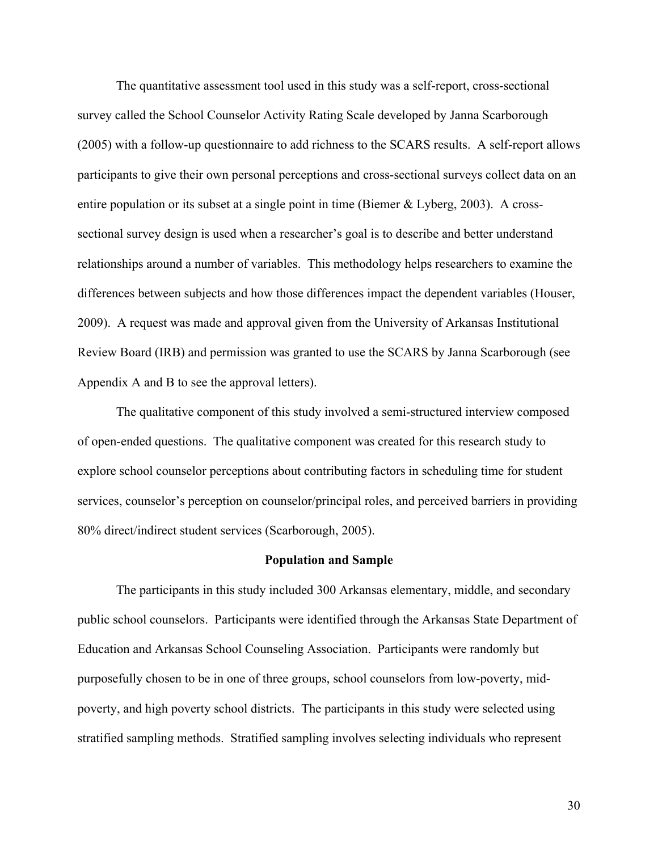The quantitative assessment tool used in this study was a self-report, cross-sectional survey called the School Counselor Activity Rating Scale developed by Janna Scarborough (2005) with a follow-up questionnaire to add richness to the SCARS results. A self-report allows participants to give their own personal perceptions and cross-sectional surveys collect data on an entire population or its subset at a single point in time (Biemer  $&$  Lyberg, 2003). A crosssectional survey design is used when a researcher's goal is to describe and better understand relationships around a number of variables. This methodology helps researchers to examine the differences between subjects and how those differences impact the dependent variables (Houser, 2009). A request was made and approval given from the University of Arkansas Institutional Review Board (IRB) and permission was granted to use the SCARS by Janna Scarborough (see Appendix A and B to see the approval letters).

The qualitative component of this study involved a semi-structured interview composed of open-ended questions. The qualitative component was created for this research study to explore school counselor perceptions about contributing factors in scheduling time for student services, counselor's perception on counselor/principal roles, and perceived barriers in providing 80% direct/indirect student services (Scarborough, 2005).

#### **Population and Sample**

The participants in this study included 300 Arkansas elementary, middle, and secondary public school counselors. Participants were identified through the Arkansas State Department of Education and Arkansas School Counseling Association. Participants were randomly but purposefully chosen to be in one of three groups, school counselors from low-poverty, midpoverty, and high poverty school districts. The participants in this study were selected using stratified sampling methods. Stratified sampling involves selecting individuals who represent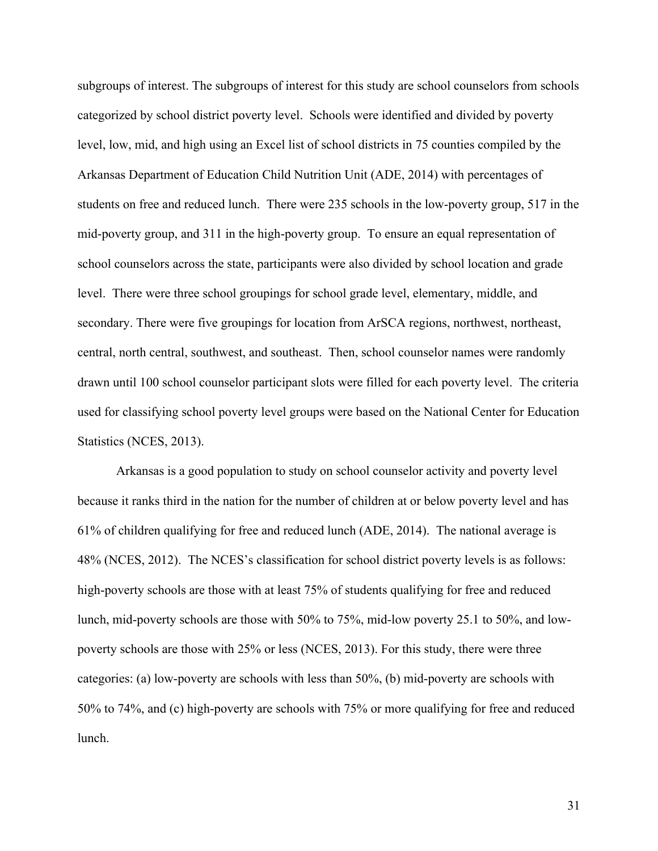subgroups of interest. The subgroups of interest for this study are school counselors from schools categorized by school district poverty level. Schools were identified and divided by poverty level, low, mid, and high using an Excel list of school districts in 75 counties compiled by the Arkansas Department of Education Child Nutrition Unit (ADE, 2014) with percentages of students on free and reduced lunch. There were 235 schools in the low-poverty group, 517 in the mid-poverty group, and 311 in the high-poverty group. To ensure an equal representation of school counselors across the state, participants were also divided by school location and grade level. There were three school groupings for school grade level, elementary, middle, and secondary. There were five groupings for location from ArSCA regions, northwest, northeast, central, north central, southwest, and southeast. Then, school counselor names were randomly drawn until 100 school counselor participant slots were filled for each poverty level. The criteria used for classifying school poverty level groups were based on the National Center for Education Statistics (NCES, 2013).

Arkansas is a good population to study on school counselor activity and poverty level because it ranks third in the nation for the number of children at or below poverty level and has 61% of children qualifying for free and reduced lunch (ADE, 2014). The national average is 48% (NCES, 2012). The NCES's classification for school district poverty levels is as follows: high-poverty schools are those with at least 75% of students qualifying for free and reduced lunch, mid-poverty schools are those with 50% to 75%, mid-low poverty 25.1 to 50%, and lowpoverty schools are those with 25% or less (NCES, 2013). For this study, there were three categories: (a) low-poverty are schools with less than 50%, (b) mid-poverty are schools with 50% to 74%, and (c) high-poverty are schools with 75% or more qualifying for free and reduced lunch.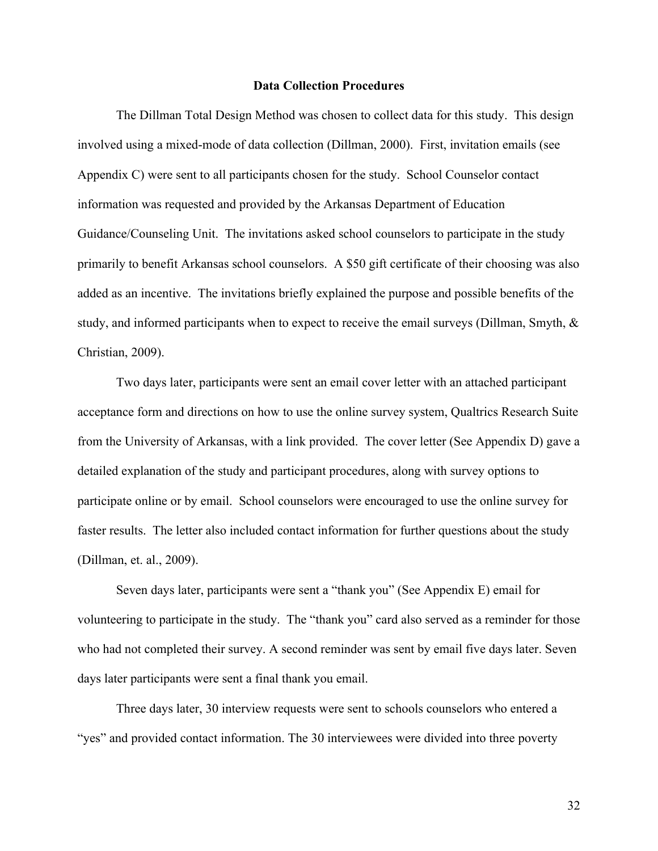### **Data Collection Procedures**

The Dillman Total Design Method was chosen to collect data for this study. This design involved using a mixed-mode of data collection (Dillman, 2000). First, invitation emails (see Appendix C) were sent to all participants chosen for the study. School Counselor contact information was requested and provided by the Arkansas Department of Education Guidance/Counseling Unit. The invitations asked school counselors to participate in the study primarily to benefit Arkansas school counselors. A \$50 gift certificate of their choosing was also added as an incentive. The invitations briefly explained the purpose and possible benefits of the study, and informed participants when to expect to receive the email surveys (Dillman, Smyth, & Christian, 2009).

Two days later, participants were sent an email cover letter with an attached participant acceptance form and directions on how to use the online survey system, Qualtrics Research Suite from the University of Arkansas, with a link provided. The cover letter (See Appendix D) gave a detailed explanation of the study and participant procedures, along with survey options to participate online or by email. School counselors were encouraged to use the online survey for faster results. The letter also included contact information for further questions about the study (Dillman, et. al., 2009).

Seven days later, participants were sent a "thank you" (See Appendix E) email for volunteering to participate in the study. The "thank you" card also served as a reminder for those who had not completed their survey. A second reminder was sent by email five days later. Seven days later participants were sent a final thank you email.

Three days later, 30 interview requests were sent to schools counselors who entered a "yes" and provided contact information. The 30 interviewees were divided into three poverty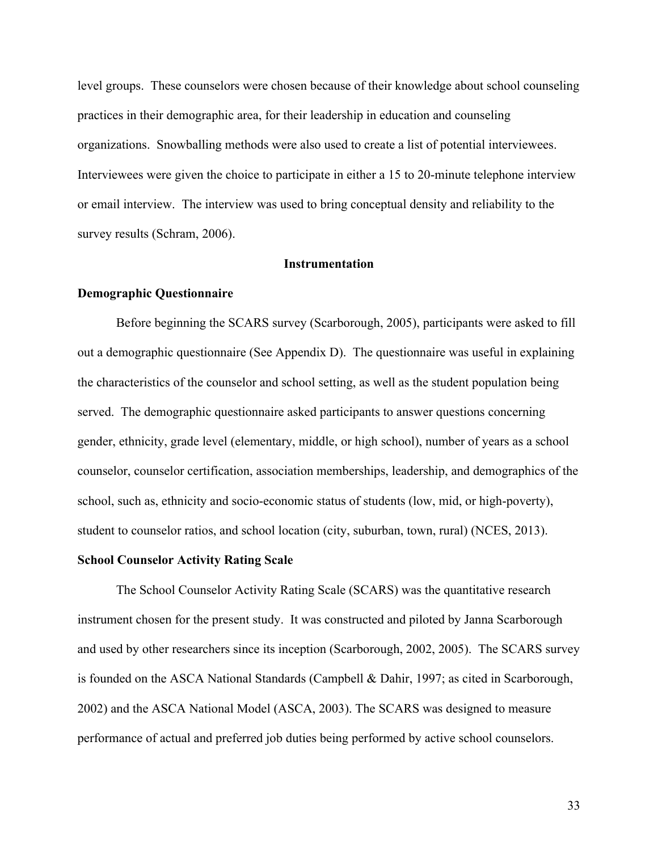level groups. These counselors were chosen because of their knowledge about school counseling practices in their demographic area, for their leadership in education and counseling organizations. Snowballing methods were also used to create a list of potential interviewees. Interviewees were given the choice to participate in either a 15 to 20-minute telephone interview or email interview. The interview was used to bring conceptual density and reliability to the survey results (Schram, 2006).

## **Instrumentation**

### **Demographic Questionnaire**

Before beginning the SCARS survey (Scarborough, 2005), participants were asked to fill out a demographic questionnaire (See Appendix D). The questionnaire was useful in explaining the characteristics of the counselor and school setting, as well as the student population being served. The demographic questionnaire asked participants to answer questions concerning gender, ethnicity, grade level (elementary, middle, or high school), number of years as a school counselor, counselor certification, association memberships, leadership, and demographics of the school, such as, ethnicity and socio-economic status of students (low, mid, or high-poverty), student to counselor ratios, and school location (city, suburban, town, rural) (NCES, 2013).

# **School Counselor Activity Rating Scale**

The School Counselor Activity Rating Scale (SCARS) was the quantitative research instrument chosen for the present study. It was constructed and piloted by Janna Scarborough and used by other researchers since its inception (Scarborough, 2002, 2005). The SCARS survey is founded on the ASCA National Standards (Campbell & Dahir, 1997; as cited in Scarborough, 2002) and the ASCA National Model (ASCA, 2003). The SCARS was designed to measure performance of actual and preferred job duties being performed by active school counselors.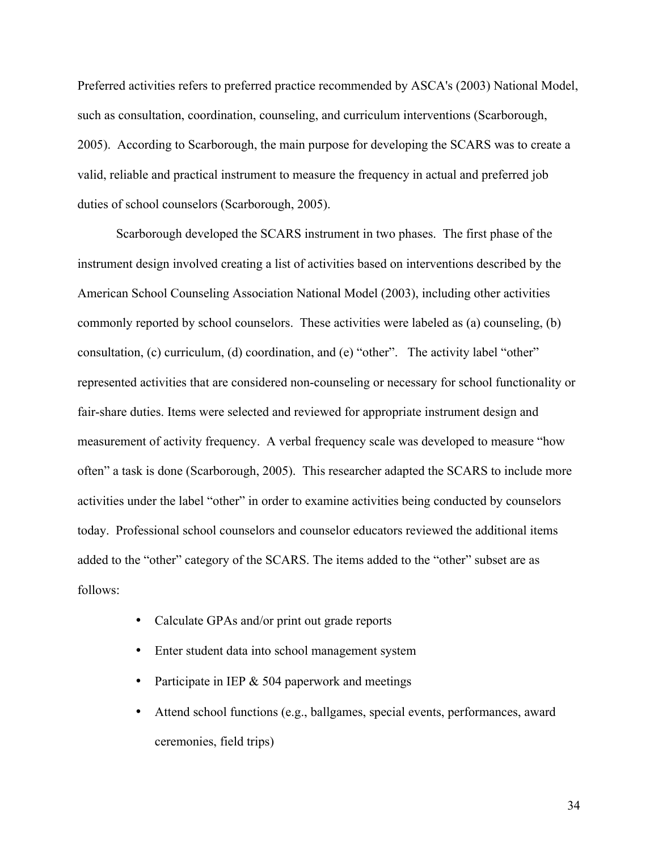Preferred activities refers to preferred practice recommended by ASCA's (2003) National Model, such as consultation, coordination, counseling, and curriculum interventions (Scarborough, 2005). According to Scarborough, the main purpose for developing the SCARS was to create a valid, reliable and practical instrument to measure the frequency in actual and preferred job duties of school counselors (Scarborough, 2005).

Scarborough developed the SCARS instrument in two phases. The first phase of the instrument design involved creating a list of activities based on interventions described by the American School Counseling Association National Model (2003), including other activities commonly reported by school counselors. These activities were labeled as (a) counseling, (b) consultation, (c) curriculum, (d) coordination, and (e) "other". The activity label "other" represented activities that are considered non-counseling or necessary for school functionality or fair-share duties. Items were selected and reviewed for appropriate instrument design and measurement of activity frequency. A verbal frequency scale was developed to measure "how often" a task is done (Scarborough, 2005). This researcher adapted the SCARS to include more activities under the label "other" in order to examine activities being conducted by counselors today. Professional school counselors and counselor educators reviewed the additional items added to the "other" category of the SCARS. The items added to the "other" subset are as follows:

- Calculate GPAs and/or print out grade reports
- Enter student data into school management system
- Participate in IEP & 504 paperwork and meetings
- Attend school functions (e.g., ballgames, special events, performances, award ceremonies, field trips)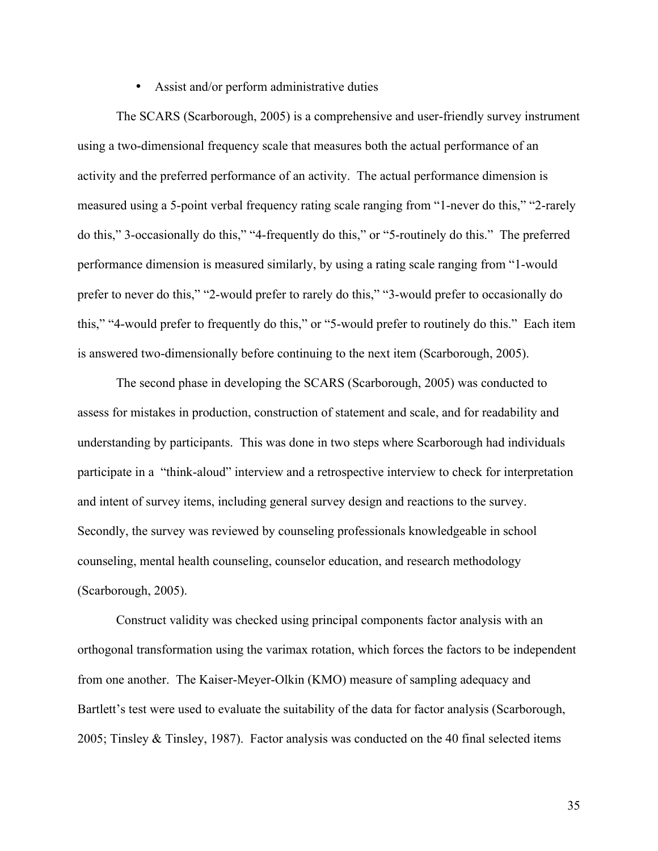## • Assist and/or perform administrative duties

The SCARS (Scarborough, 2005) is a comprehensive and user-friendly survey instrument using a two-dimensional frequency scale that measures both the actual performance of an activity and the preferred performance of an activity. The actual performance dimension is measured using a 5-point verbal frequency rating scale ranging from "1-never do this," "2-rarely do this," 3-occasionally do this," "4-frequently do this," or "5-routinely do this." The preferred performance dimension is measured similarly, by using a rating scale ranging from "1-would prefer to never do this," "2-would prefer to rarely do this," "3-would prefer to occasionally do this," "4-would prefer to frequently do this," or "5-would prefer to routinely do this." Each item is answered two-dimensionally before continuing to the next item (Scarborough, 2005).

The second phase in developing the SCARS (Scarborough, 2005) was conducted to assess for mistakes in production, construction of statement and scale, and for readability and understanding by participants. This was done in two steps where Scarborough had individuals participate in a "think-aloud" interview and a retrospective interview to check for interpretation and intent of survey items, including general survey design and reactions to the survey. Secondly, the survey was reviewed by counseling professionals knowledgeable in school counseling, mental health counseling, counselor education, and research methodology (Scarborough, 2005).

Construct validity was checked using principal components factor analysis with an orthogonal transformation using the varimax rotation, which forces the factors to be independent from one another. The Kaiser-Meyer-Olkin (KMO) measure of sampling adequacy and Bartlett's test were used to evaluate the suitability of the data for factor analysis (Scarborough, 2005; Tinsley & Tinsley, 1987). Factor analysis was conducted on the 40 final selected items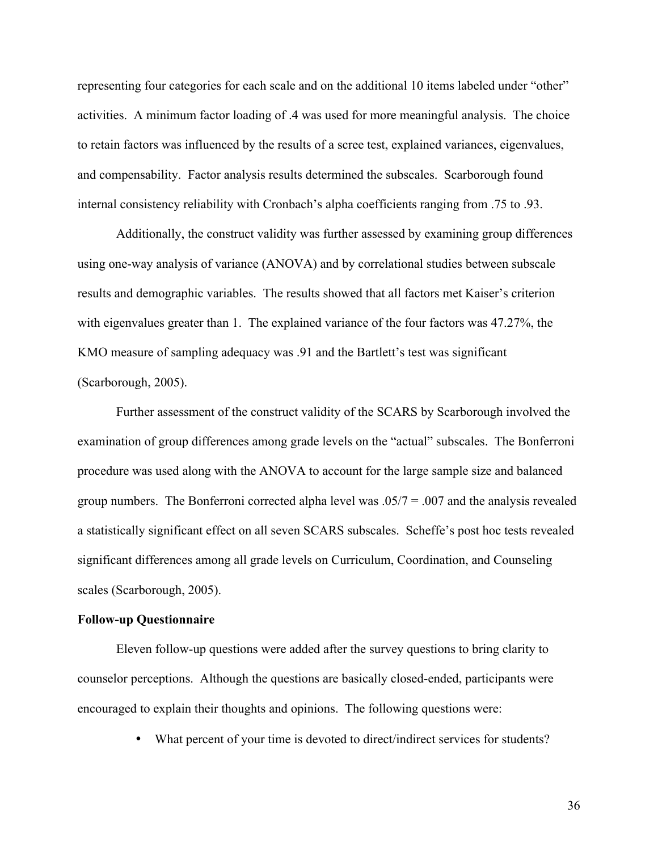representing four categories for each scale and on the additional 10 items labeled under "other" activities. A minimum factor loading of .4 was used for more meaningful analysis. The choice to retain factors was influenced by the results of a scree test, explained variances, eigenvalues, and compensability. Factor analysis results determined the subscales. Scarborough found internal consistency reliability with Cronbach's alpha coefficients ranging from .75 to .93.

Additionally, the construct validity was further assessed by examining group differences using one-way analysis of variance (ANOVA) and by correlational studies between subscale results and demographic variables. The results showed that all factors met Kaiser's criterion with eigenvalues greater than 1. The explained variance of the four factors was 47.27%, the KMO measure of sampling adequacy was .91 and the Bartlett's test was significant (Scarborough, 2005).

Further assessment of the construct validity of the SCARS by Scarborough involved the examination of group differences among grade levels on the "actual" subscales. The Bonferroni procedure was used along with the ANOVA to account for the large sample size and balanced group numbers. The Bonferroni corrected alpha level was  $.05/7 = .007$  and the analysis revealed a statistically significant effect on all seven SCARS subscales. Scheffe's post hoc tests revealed significant differences among all grade levels on Curriculum, Coordination, and Counseling scales (Scarborough, 2005).

# **Follow-up Questionnaire**

Eleven follow-up questions were added after the survey questions to bring clarity to counselor perceptions. Although the questions are basically closed-ended, participants were encouraged to explain their thoughts and opinions. The following questions were:

• What percent of your time is devoted to direct/indirect services for students?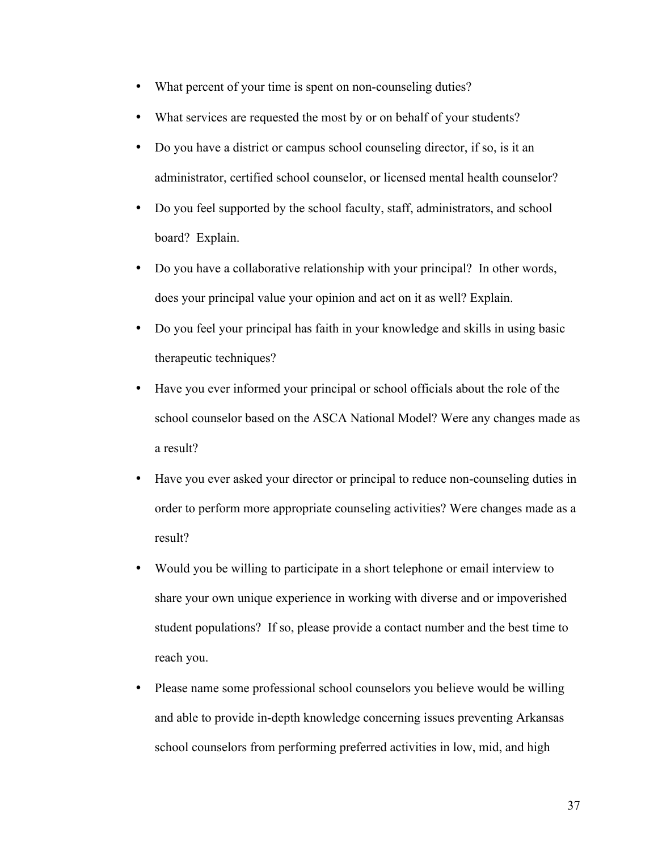- What percent of your time is spent on non-counseling duties?
- What services are requested the most by or on behalf of your students?
- Do you have a district or campus school counseling director, if so, is it an administrator, certified school counselor, or licensed mental health counselor?
- Do you feel supported by the school faculty, staff, administrators, and school board? Explain.
- Do you have a collaborative relationship with your principal? In other words, does your principal value your opinion and act on it as well? Explain.
- Do you feel your principal has faith in your knowledge and skills in using basic therapeutic techniques?
- Have you ever informed your principal or school officials about the role of the school counselor based on the ASCA National Model? Were any changes made as a result?
- Have you ever asked your director or principal to reduce non-counseling duties in order to perform more appropriate counseling activities? Were changes made as a result?
- Would you be willing to participate in a short telephone or email interview to share your own unique experience in working with diverse and or impoverished student populations? If so, please provide a contact number and the best time to reach you.
- Please name some professional school counselors you believe would be willing and able to provide in-depth knowledge concerning issues preventing Arkansas school counselors from performing preferred activities in low, mid, and high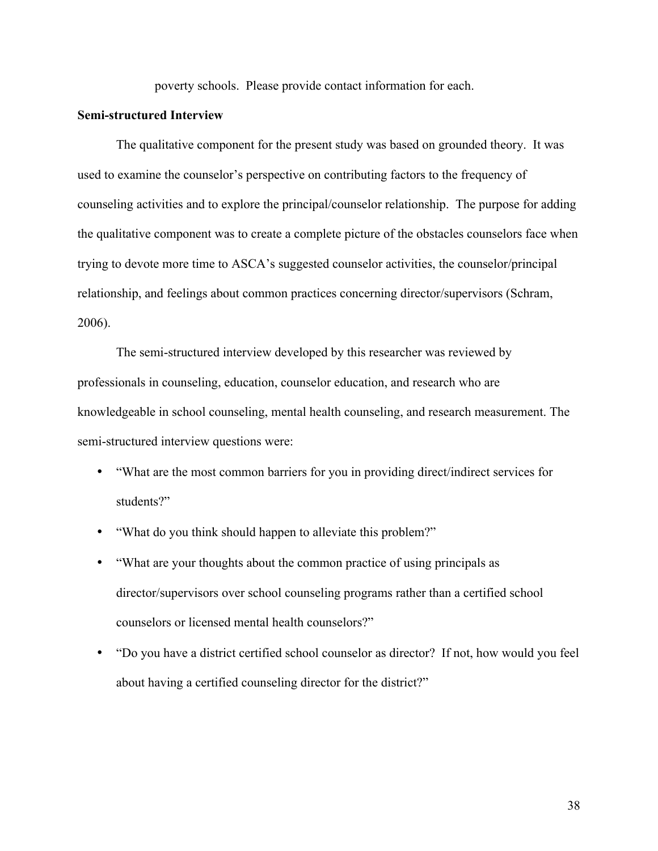poverty schools.Please provide contact information for each.

# **Semi-structured Interview**

The qualitative component for the present study was based on grounded theory. It was used to examine the counselor's perspective on contributing factors to the frequency of counseling activities and to explore the principal/counselor relationship. The purpose for adding the qualitative component was to create a complete picture of the obstacles counselors face when trying to devote more time to ASCA's suggested counselor activities, the counselor/principal relationship, and feelings about common practices concerning director/supervisors (Schram, 2006).

The semi-structured interview developed by this researcher was reviewed by professionals in counseling, education, counselor education, and research who are knowledgeable in school counseling, mental health counseling, and research measurement. The semi-structured interview questions were:

- "What are the most common barriers for you in providing direct/indirect services for students?"
- "What do you think should happen to alleviate this problem?"
- "What are your thoughts about the common practice of using principals as director/supervisors over school counseling programs rather than a certified school counselors or licensed mental health counselors?"
- "Do you have a district certified school counselor as director? If not, how would you feel about having a certified counseling director for the district?"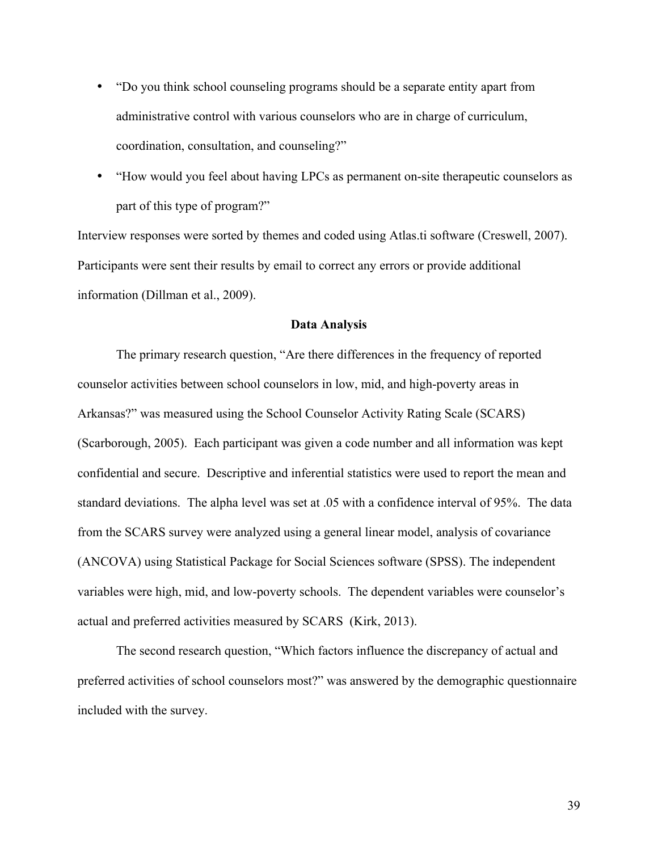- "Do you think school counseling programs should be a separate entity apart from administrative control with various counselors who are in charge of curriculum, coordination, consultation, and counseling?"
- "How would you feel about having LPCs as permanent on-site therapeutic counselors as part of this type of program?"

Interview responses were sorted by themes and coded using Atlas.ti software (Creswell, 2007). Participants were sent their results by email to correct any errors or provide additional information (Dillman et al., 2009).

## **Data Analysis**

The primary research question, "Are there differences in the frequency of reported counselor activities between school counselors in low, mid, and high-poverty areas in Arkansas?" was measured using the School Counselor Activity Rating Scale (SCARS) (Scarborough, 2005). Each participant was given a code number and all information was kept confidential and secure. Descriptive and inferential statistics were used to report the mean and standard deviations. The alpha level was set at .05 with a confidence interval of 95%. The data from the SCARS survey were analyzed using a general linear model, analysis of covariance (ANCOVA) using Statistical Package for Social Sciences software (SPSS). The independent variables were high, mid, and low-poverty schools. The dependent variables were counselor's actual and preferred activities measured by SCARS (Kirk, 2013).

The second research question, "Which factors influence the discrepancy of actual and preferred activities of school counselors most?" was answered by the demographic questionnaire included with the survey.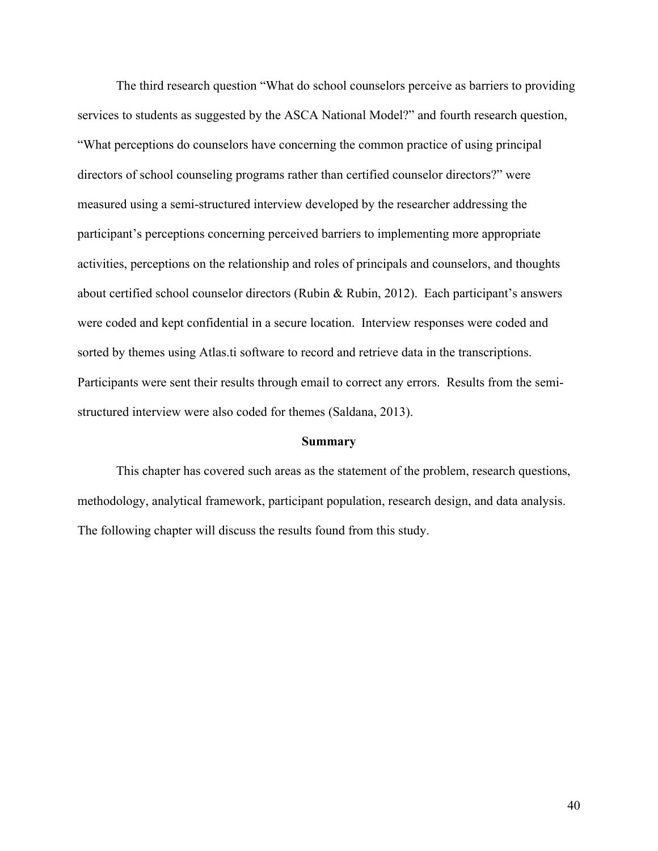The third research question "What do school counselors perceive as barriers to providing services to students as suggested by the ASCA National Model?" and fourth research question, "What perceptions do counselors have concerning the common practice of using principal directors of school counseling programs rather than certified counselor directors?" were measured using a semi-structured interview developed by the researcher addressing the participant's perceptions concerning perceived barriers to implementing more appropriate activities, perceptions on the relationship and roles of principals and counselors, and thoughts about certified school counselor directors (Rubin & Rubin, 2012). Each participant's answers were coded and kept confidential in a secure location. Interview responses were coded and sorted by themes using Atlas.ti software to record and retrieve data in the transcriptions. Participants were sent their results through email to correct any errors. Results from the semistructured interview were also coded for themes (Saldana, 2013).

### **Summary**

This chapter has covered such areas as the statement of the problem, research questions, methodology, analytical framework, participant population, research design, and data analysis. The following chapter will discuss the results found from this study.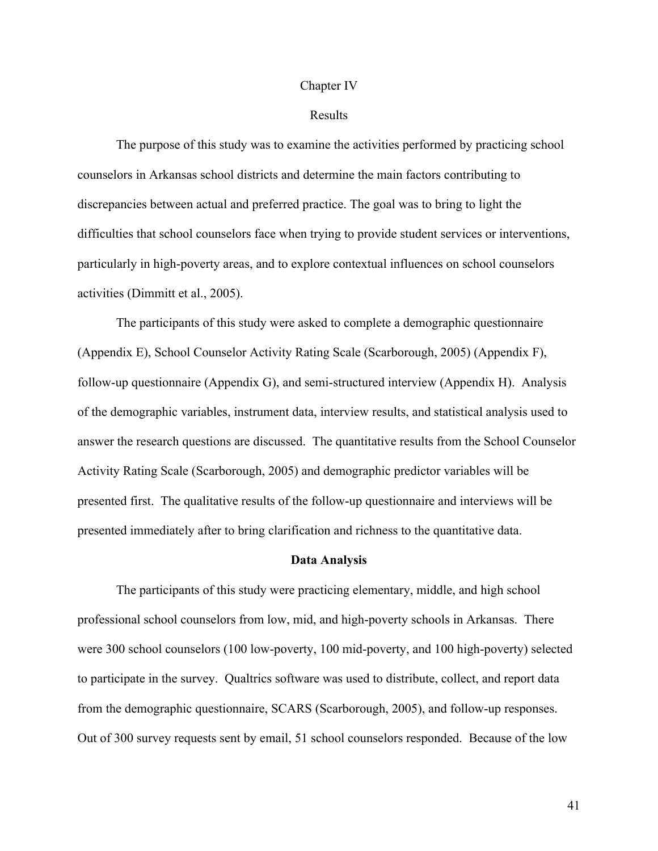#### Chapter IV

### Results

The purpose of this study was to examine the activities performed by practicing school counselors in Arkansas school districts and determine the main factors contributing to discrepancies between actual and preferred practice. The goal was to bring to light the difficulties that school counselors face when trying to provide student services or interventions, particularly in high-poverty areas, and to explore contextual influences on school counselors activities (Dimmitt et al., 2005).

The participants of this study were asked to complete a demographic questionnaire (Appendix E), School Counselor Activity Rating Scale (Scarborough, 2005) (Appendix F), follow-up questionnaire (Appendix G), and semi-structured interview (Appendix H). Analysis of the demographic variables, instrument data, interview results, and statistical analysis used to answer the research questions are discussed. The quantitative results from the School Counselor Activity Rating Scale (Scarborough, 2005) and demographic predictor variables will be presented first. The qualitative results of the follow-up questionnaire and interviews will be presented immediately after to bring clarification and richness to the quantitative data.

#### **Data Analysis**

The participants of this study were practicing elementary, middle, and high school professional school counselors from low, mid, and high-poverty schools in Arkansas. There were 300 school counselors (100 low-poverty, 100 mid-poverty, and 100 high-poverty) selected to participate in the survey. Qualtrics software was used to distribute, collect, and report data from the demographic questionnaire, SCARS (Scarborough, 2005), and follow-up responses. Out of 300 survey requests sent by email, 51 school counselors responded. Because of the low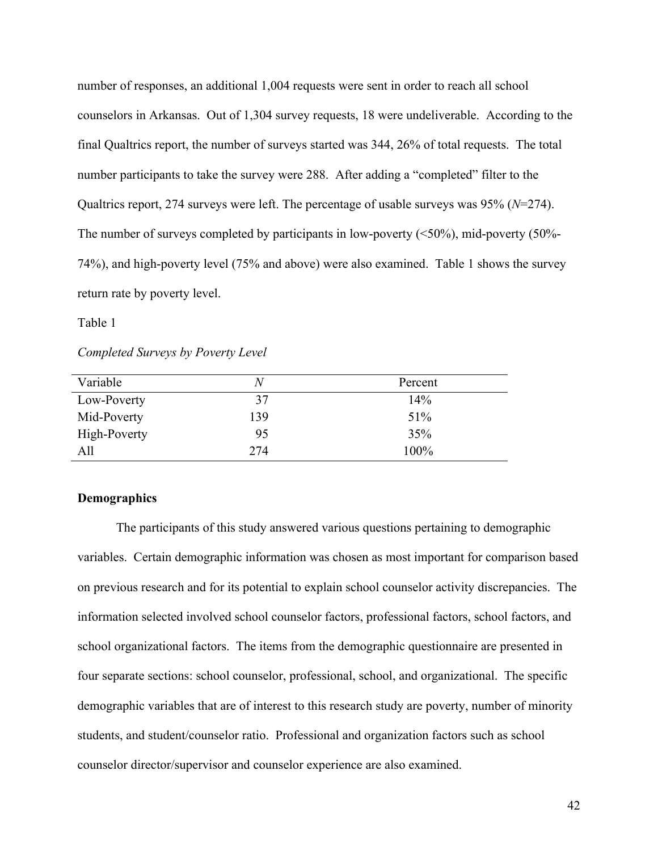number of responses, an additional 1,004 requests were sent in order to reach all school counselors in Arkansas. Out of 1,304 survey requests, 18 were undeliverable. According to the final Qualtrics report, the number of surveys started was 344, 26% of total requests. The total number participants to take the survey were 288. After adding a "completed" filter to the Qualtrics report, 274 surveys were left. The percentage of usable surveys was 95% (*N*=274). The number of surveys completed by participants in low-poverty  $(\leq 50\%)$ , mid-poverty  $(50\%$ -74%), and high-poverty level (75% and above) were also examined. Table 1 shows the survey return rate by poverty level.

Table 1

*Completed Surveys by Poverty Level*

| Variable     | N   | Percent |
|--------------|-----|---------|
| Low-Poverty  | 37  | 14%     |
| Mid-Poverty  | 139 | 51%     |
| High-Poverty | 95  | 35%     |
| All          | 274 | 100%    |

# **Demographics**

The participants of this study answered various questions pertaining to demographic variables. Certain demographic information was chosen as most important for comparison based on previous research and for its potential to explain school counselor activity discrepancies. The information selected involved school counselor factors, professional factors, school factors, and school organizational factors. The items from the demographic questionnaire are presented in four separate sections: school counselor, professional, school, and organizational. The specific demographic variables that are of interest to this research study are poverty, number of minority students, and student/counselor ratio. Professional and organization factors such as school counselor director/supervisor and counselor experience are also examined.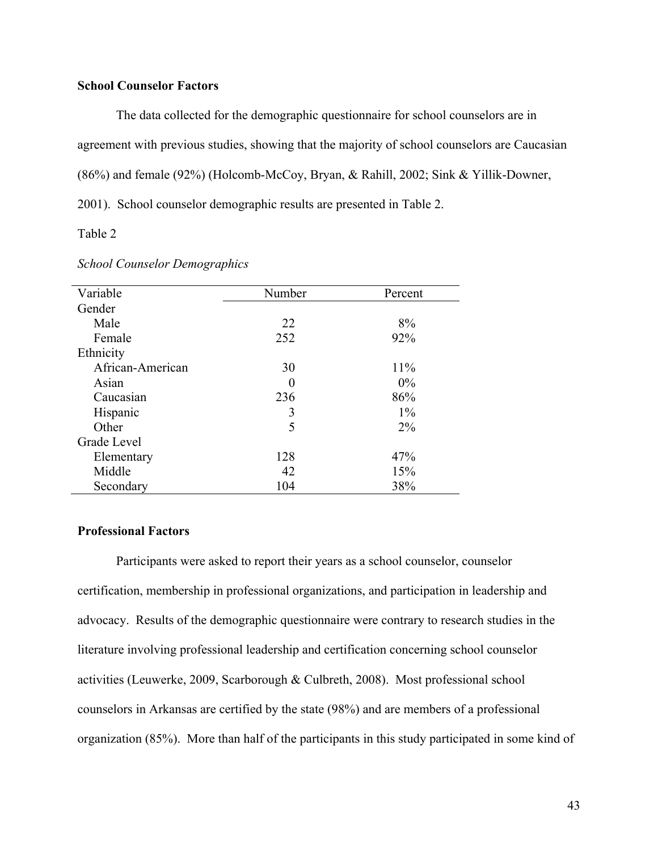# **School Counselor Factors**

The data collected for the demographic questionnaire for school counselors are in agreement with previous studies, showing that the majority of school counselors are Caucasian (86%) and female (92%) (Holcomb-McCoy, Bryan, & Rahill, 2002; Sink & Yillik-Downer, 2001). School counselor demographic results are presented in Table 2.

Table 2

| Variable         | Number   | Percent |
|------------------|----------|---------|
| Gender           |          |         |
| Male             | 22       | 8%      |
| Female           | 252      | 92%     |
| Ethnicity        |          |         |
| African-American | 30       | 11%     |
| Asian            | $\theta$ | $0\%$   |
| Caucasian        | 236      | 86%     |
| Hispanic         | 3        | $1\%$   |
| Other            | 5        | $2\%$   |
| Grade Level      |          |         |
| Elementary       | 128      | 47%     |
| Middle           | 42       | 15%     |
| Secondary        | 104      | 38%     |

## *School Counselor Demographics*

## **Professional Factors**

Participants were asked to report their years as a school counselor, counselor certification, membership in professional organizations, and participation in leadership and advocacy. Results of the demographic questionnaire were contrary to research studies in the literature involving professional leadership and certification concerning school counselor activities (Leuwerke, 2009, Scarborough & Culbreth, 2008). Most professional school counselors in Arkansas are certified by the state (98%) and are members of a professional organization (85%). More than half of the participants in this study participated in some kind of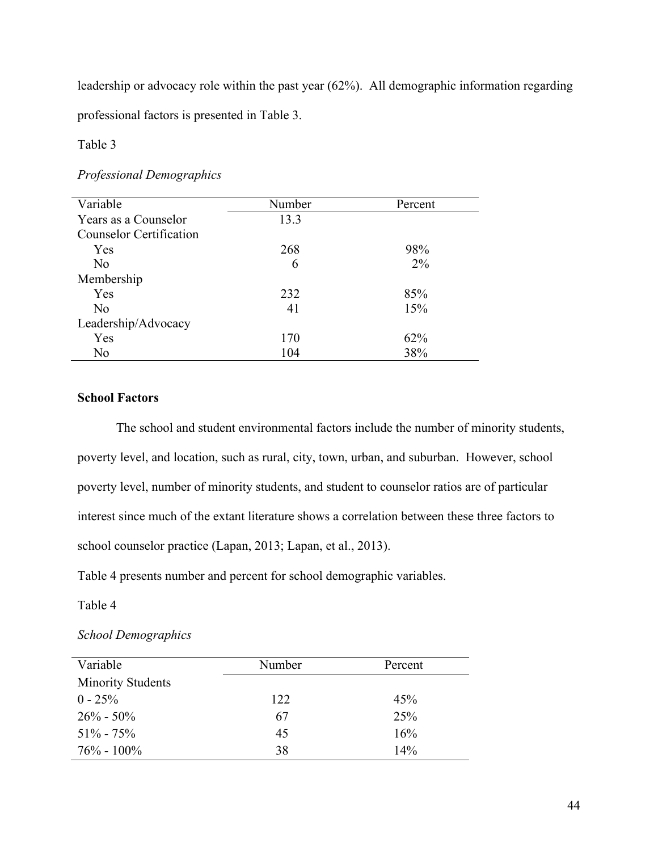leadership or advocacy role within the past year (62%). All demographic information regarding

professional factors is presented in Table 3.

Table 3

# *Professional Demographics*

| Variable                       | Number | Percent |
|--------------------------------|--------|---------|
| Years as a Counselor           | 13.3   |         |
| <b>Counselor Certification</b> |        |         |
| Yes                            | 268    | 98%     |
| No                             | 6      | $2\%$   |
| Membership                     |        |         |
| Yes                            | 232    | 85%     |
| No                             | 41     | 15%     |
| Leadership/Advocacy            |        |         |
| Yes                            | 170    | 62%     |
| No                             | 104    | 38%     |

# **School Factors**

The school and student environmental factors include the number of minority students, poverty level, and location, such as rural, city, town, urban, and suburban. However, school poverty level, number of minority students, and student to counselor ratios are of particular interest since much of the extant literature shows a correlation between these three factors to school counselor practice (Lapan, 2013; Lapan, et al., 2013).

Table 4 presents number and percent for school demographic variables.

Table 4

# *School Demographics*

| Variable                 | Number | Percent |
|--------------------------|--------|---------|
| <b>Minority Students</b> |        |         |
| $0 - 25\%$               | 122    | 45%     |
| $26\% - 50\%$            | 67     | 25%     |
| $51\% - 75\%$            | 45     | 16%     |
| $76\% - 100\%$           | 38     | 14%     |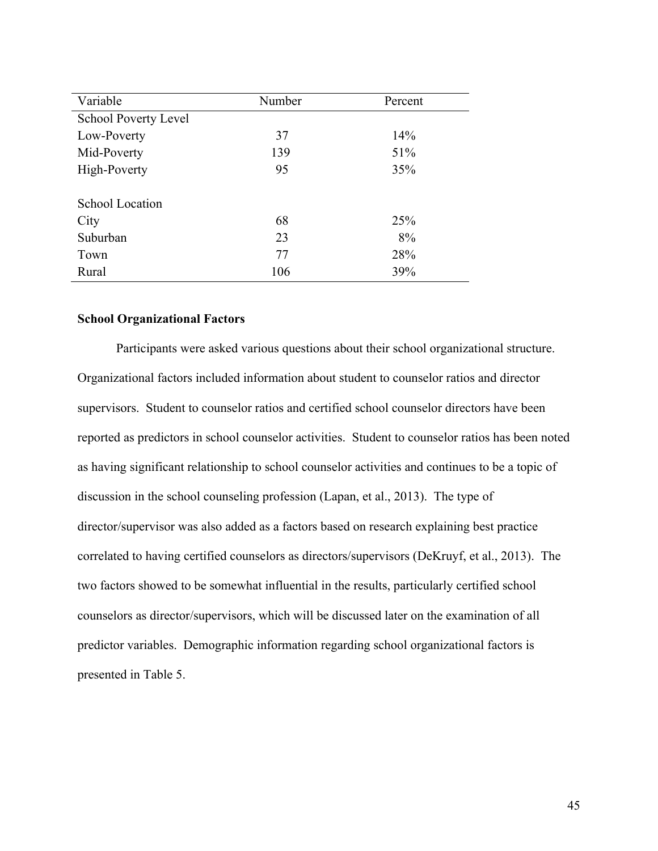| Variable                    | Number | Percent |
|-----------------------------|--------|---------|
| <b>School Poverty Level</b> |        |         |
| Low-Poverty                 | 37     | 14%     |
| Mid-Poverty                 | 139    | 51%     |
| High-Poverty                | 95     | 35%     |
|                             |        |         |
| <b>School Location</b>      |        |         |
| City                        | 68     | 25%     |
| Suburban                    | 23     | 8%      |
| Town                        | 77     | 28%     |
| Rural                       | 106    | 39%     |

# **School Organizational Factors**

Participants were asked various questions about their school organizational structure. Organizational factors included information about student to counselor ratios and director supervisors. Student to counselor ratios and certified school counselor directors have been reported as predictors in school counselor activities. Student to counselor ratios has been noted as having significant relationship to school counselor activities and continues to be a topic of discussion in the school counseling profession (Lapan, et al., 2013). The type of director/supervisor was also added as a factors based on research explaining best practice correlated to having certified counselors as directors/supervisors (DeKruyf, et al., 2013). The two factors showed to be somewhat influential in the results, particularly certified school counselors as director/supervisors, which will be discussed later on the examination of all predictor variables. Demographic information regarding school organizational factors is presented in Table 5.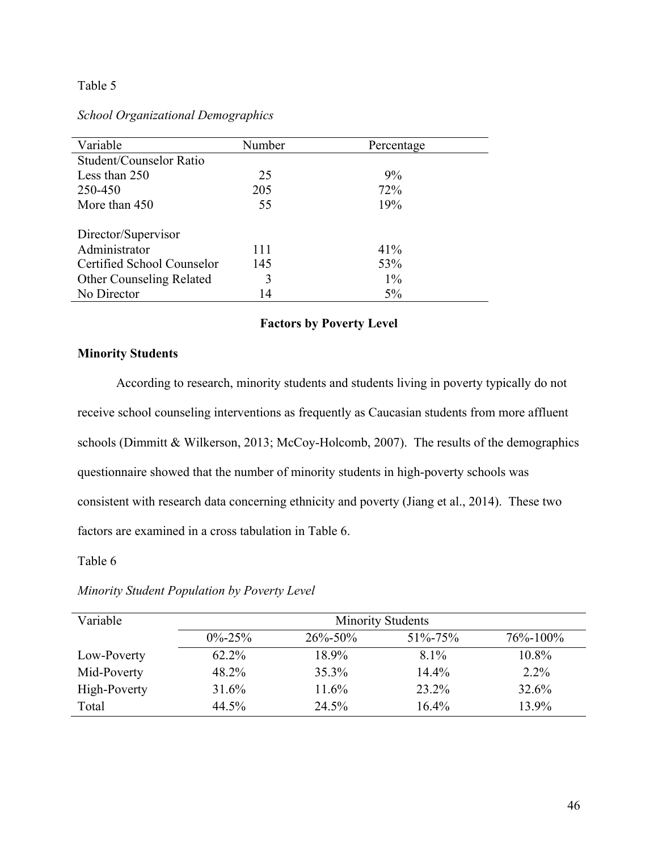# Table 5

# *School Organizational Demographics*

| Variable                        | Number | Percentage |
|---------------------------------|--------|------------|
| Student/Counselor Ratio         |        |            |
| Less than 250                   | 25     | 9%         |
| 250-450                         | 205    | 72%        |
| More than 450                   | 55     | 19%        |
| Director/Supervisor             |        |            |
| Administrator                   | 111    | 41%        |
| Certified School Counselor      | 145    | 53%        |
| <b>Other Counseling Related</b> | 3      | $1\%$      |
| No Director                     | 14     | $5\%$      |

# **Factors by Poverty Level**

# **Minority Students**

According to research, minority students and students living in poverty typically do not receive school counseling interventions as frequently as Caucasian students from more affluent schools (Dimmitt & Wilkerson, 2013; McCoy-Holcomb, 2007). The results of the demographics questionnaire showed that the number of minority students in high-poverty schools was consistent with research data concerning ethnicity and poverty (Jiang et al., 2014). These two factors are examined in a cross tabulation in Table 6.

Table 6

| Minority Student Population by Poverty Level |
|----------------------------------------------|
|                                              |

| Variable     | <b>Minority Students</b>                                         |       |         |         |  |  |  |
|--------------|------------------------------------------------------------------|-------|---------|---------|--|--|--|
|              | $26\% - 50\%$<br>$76\% - 100\%$<br>$0\% - 25\%$<br>$51\% - 75\%$ |       |         |         |  |  |  |
| Low-Poverty  | 62.2%                                                            | 18.9% | $8.1\%$ | 10.8%   |  |  |  |
| Mid-Poverty  | 48.2%                                                            | 35.3% | 14.4%   | $2.2\%$ |  |  |  |
| High-Poverty | 31.6%                                                            | 11.6% | 23.2%   | 32.6%   |  |  |  |
| Total        | 44.5%                                                            | 24.5% | 16.4%   | 13.9%   |  |  |  |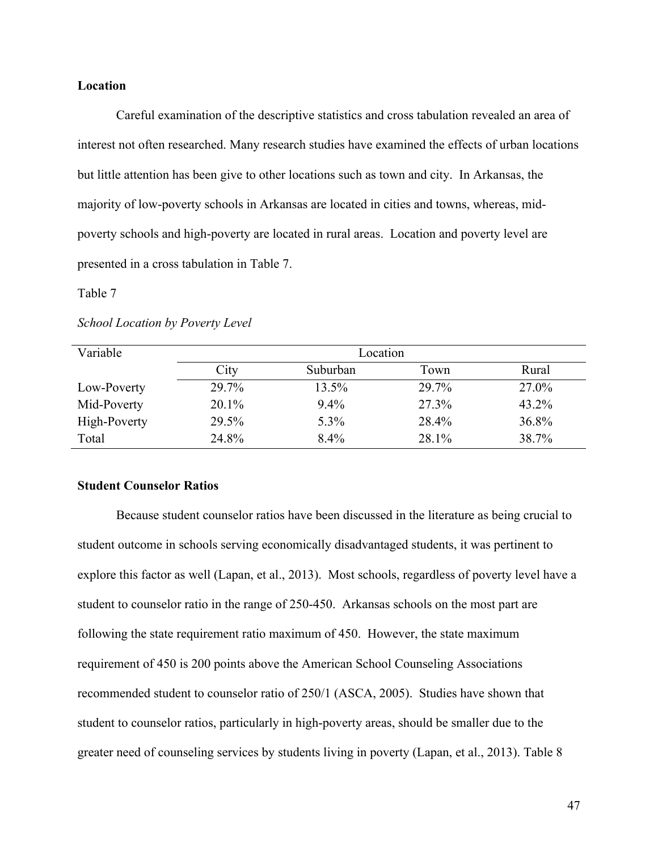# **Location**

Careful examination of the descriptive statistics and cross tabulation revealed an area of interest not often researched. Many research studies have examined the effects of urban locations but little attention has been give to other locations such as town and city. In Arkansas, the majority of low-poverty schools in Arkansas are located in cities and towns, whereas, midpoverty schools and high-poverty are located in rural areas. Location and poverty level are presented in a cross tabulation in Table 7.

Table 7

| Variable     | Location                          |         |       |       |  |  |
|--------------|-----------------------------------|---------|-------|-------|--|--|
|              | Suburban<br>Rural<br>City<br>Town |         |       |       |  |  |
| Low-Poverty  | 29.7%                             | 13.5%   | 29.7% | 27.0% |  |  |
| Mid-Poverty  | $20.1\%$                          | $9.4\%$ | 27.3% | 43.2% |  |  |
| High-Poverty | 29.5%                             | 5.3%    | 28.4% | 36.8% |  |  |
| Total        | 24.8%                             | $8.4\%$ | 28.1% | 38.7% |  |  |

# **Student Counselor Ratios**

Because student counselor ratios have been discussed in the literature as being crucial to student outcome in schools serving economically disadvantaged students, it was pertinent to explore this factor as well (Lapan, et al., 2013). Most schools, regardless of poverty level have a student to counselor ratio in the range of 250-450. Arkansas schools on the most part are following the state requirement ratio maximum of 450. However, the state maximum requirement of 450 is 200 points above the American School Counseling Associations recommended student to counselor ratio of 250/1 (ASCA, 2005). Studies have shown that student to counselor ratios, particularly in high-poverty areas, should be smaller due to the greater need of counseling services by students living in poverty (Lapan, et al., 2013). Table 8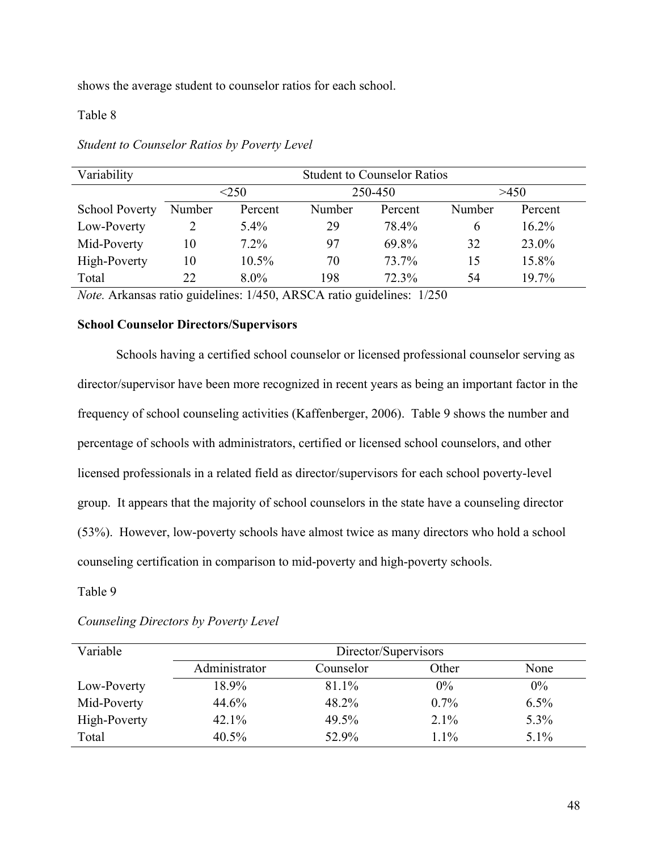shows the average student to counselor ratios for each school.

# Table 8

| Variability           | <b>Student to Counselor Ratios</b> |          |        |         |        |          |  |
|-----------------------|------------------------------------|----------|--------|---------|--------|----------|--|
|                       | < 250<br>250-450                   |          |        |         | >450   |          |  |
| <b>School Poverty</b> | Number                             | Percent  | Number | Percent | Number | Percent  |  |
| Low-Poverty           |                                    | $5.4\%$  | 29     | 78.4%   | 6      | $16.2\%$ |  |
| Mid-Poverty           | 10                                 | $7.2\%$  | 97     | 69.8%   | 32     | 23.0%    |  |
| High-Poverty          | 10                                 | $10.5\%$ | 70     | 73.7%   | 15     | 15.8%    |  |
| Total                 | 22                                 | $8.0\%$  | 198    | 72.3%   | 54     | 19.7%    |  |

# *Student to Counselor Ratios by Poverty Level*

*Note.* Arkansas ratio guidelines: 1/450, ARSCA ratio guidelines: 1/250

# **School Counselor Directors/Supervisors**

Schools having a certified school counselor or licensed professional counselor serving as director/supervisor have been more recognized in recent years as being an important factor in the frequency of school counseling activities (Kaffenberger, 2006). Table 9 shows the number and percentage of schools with administrators, certified or licensed school counselors, and other licensed professionals in a related field as director/supervisors for each school poverty-level group. It appears that the majority of school counselors in the state have a counseling director (53%). However, low-poverty schools have almost twice as many directors who hold a school counseling certification in comparison to mid-poverty and high-poverty schools.

Table 9

| Variable     | Director/Supervisors |           |         |         |
|--------------|----------------------|-----------|---------|---------|
|              | Administrator        | Counselor | Other   | None    |
| Low-Poverty  | 18.9%                | 81.1%     | $0\%$   | $0\%$   |
| Mid-Poverty  | 44.6%                | 48.2%     | $0.7\%$ | 6.5%    |
| High-Poverty | 42.1%                | 49.5%     | 2.1%    | 5.3%    |
| Total        | $40.5\%$             | 52.9%     | $1.1\%$ | $5.1\%$ |

# *Counseling Directors by Poverty Level*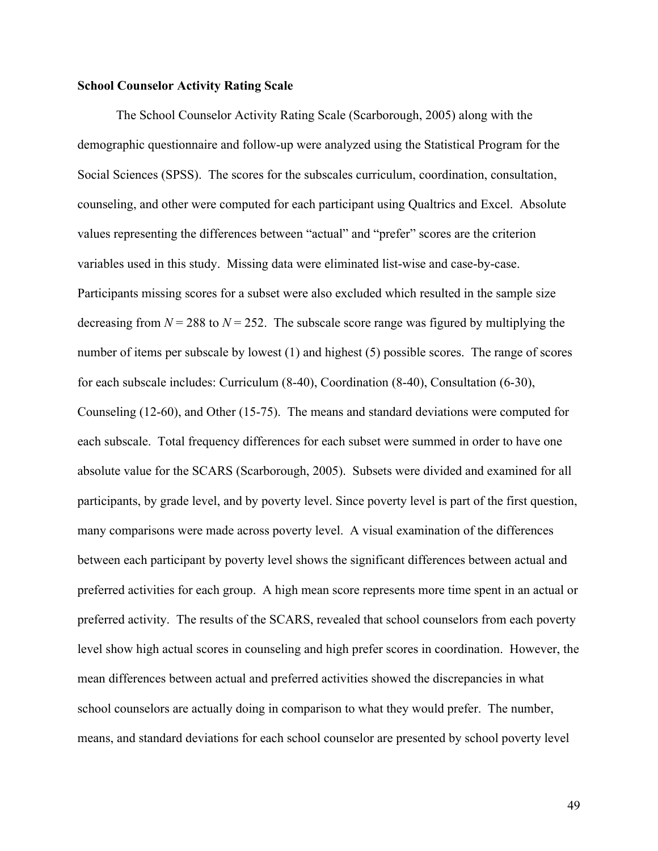# **School Counselor Activity Rating Scale**

The School Counselor Activity Rating Scale (Scarborough, 2005) along with the demographic questionnaire and follow-up were analyzed using the Statistical Program for the Social Sciences (SPSS). The scores for the subscales curriculum, coordination, consultation, counseling, and other were computed for each participant using Qualtrics and Excel. Absolute values representing the differences between "actual" and "prefer" scores are the criterion variables used in this study. Missing data were eliminated list-wise and case-by-case. Participants missing scores for a subset were also excluded which resulted in the sample size decreasing from  $N = 288$  to  $N = 252$ . The subscale score range was figured by multiplying the number of items per subscale by lowest (1) and highest (5) possible scores. The range of scores for each subscale includes: Curriculum (8-40), Coordination (8-40), Consultation (6-30), Counseling (12-60), and Other (15-75). The means and standard deviations were computed for each subscale. Total frequency differences for each subset were summed in order to have one absolute value for the SCARS (Scarborough, 2005). Subsets were divided and examined for all participants, by grade level, and by poverty level. Since poverty level is part of the first question, many comparisons were made across poverty level. A visual examination of the differences between each participant by poverty level shows the significant differences between actual and preferred activities for each group. A high mean score represents more time spent in an actual or preferred activity. The results of the SCARS, revealed that school counselors from each poverty level show high actual scores in counseling and high prefer scores in coordination. However, the mean differences between actual and preferred activities showed the discrepancies in what school counselors are actually doing in comparison to what they would prefer. The number, means, and standard deviations for each school counselor are presented by school poverty level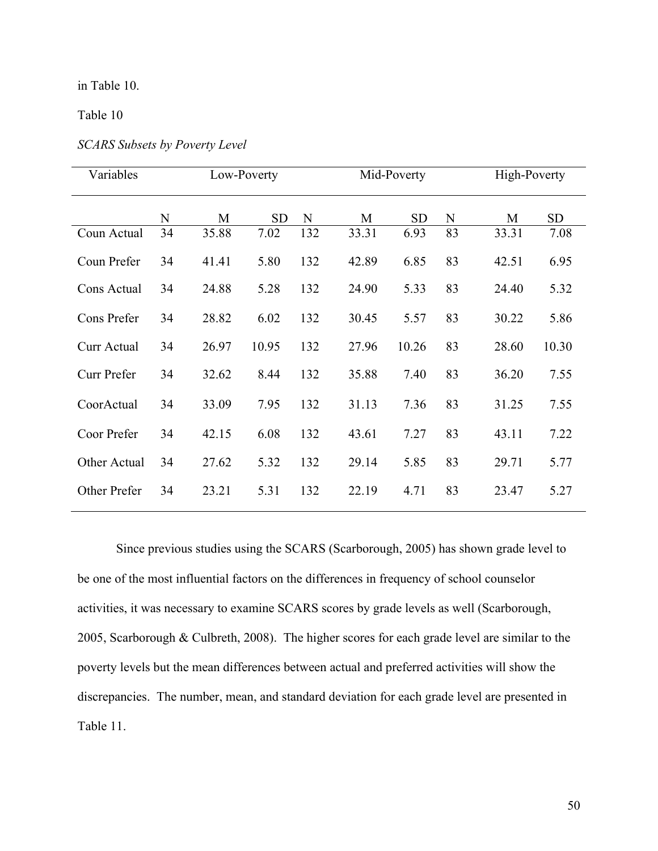# in Table 10.

Table 10

| Variables    | Low-Poverty |       |           | Mid-Poverty |       |           | High-Poverty |       |           |
|--------------|-------------|-------|-----------|-------------|-------|-----------|--------------|-------|-----------|
|              | N           | M     | <b>SD</b> | N           | M     | <b>SD</b> | N            | M     | <b>SD</b> |
| Coun Actual  | 34          | 35.88 | 7.02      | 132         | 33.31 | 6.93      | 83           | 33.31 | 7.08      |
| Coun Prefer  | 34          | 41.41 | 5.80      | 132         | 42.89 | 6.85      | 83           | 42.51 | 6.95      |
| Cons Actual  | 34          | 24.88 | 5.28      | 132         | 24.90 | 5.33      | 83           | 24.40 | 5.32      |
| Cons Prefer  | 34          | 28.82 | 6.02      | 132         | 30.45 | 5.57      | 83           | 30.22 | 5.86      |
| Curr Actual  | 34          | 26.97 | 10.95     | 132         | 27.96 | 10.26     | 83           | 28.60 | 10.30     |
| Curr Prefer  | 34          | 32.62 | 8.44      | 132         | 35.88 | 7.40      | 83           | 36.20 | 7.55      |
| CoorActual   | 34          | 33.09 | 7.95      | 132         | 31.13 | 7.36      | 83           | 31.25 | 7.55      |
| Coor Prefer  | 34          | 42.15 | 6.08      | 132         | 43.61 | 7.27      | 83           | 43.11 | 7.22      |
| Other Actual | 34          | 27.62 | 5.32      | 132         | 29.14 | 5.85      | 83           | 29.71 | 5.77      |
| Other Prefer | 34          | 23.21 | 5.31      | 132         | 22.19 | 4.71      | 83           | 23.47 | 5.27      |

*SCARS Subsets by Poverty Level*

Since previous studies using the SCARS (Scarborough, 2005) has shown grade level to be one of the most influential factors on the differences in frequency of school counselor activities, it was necessary to examine SCARS scores by grade levels as well (Scarborough, 2005, Scarborough & Culbreth, 2008). The higher scores for each grade level are similar to the poverty levels but the mean differences between actual and preferred activities will show the discrepancies. The number, mean, and standard deviation for each grade level are presented in Table 11.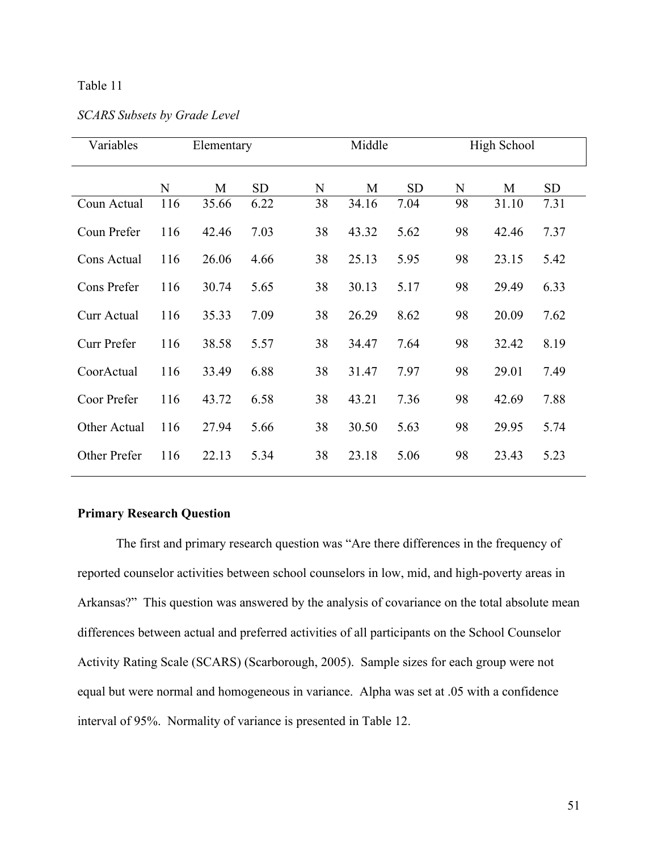# Table 11

| Variables    | Elementary |       |           | Middle |       |           | High School |       |           |
|--------------|------------|-------|-----------|--------|-------|-----------|-------------|-------|-----------|
|              | N          | M     | <b>SD</b> | N      | M     | <b>SD</b> | N           | M     | <b>SD</b> |
| Coun Actual  | 116        | 35.66 | 6.22      | 38     | 34.16 | 7.04      | 98          | 31.10 | 7.31      |
| Coun Prefer  | 116        | 42.46 | 7.03      | 38     | 43.32 | 5.62      | 98          | 42.46 | 7.37      |
| Cons Actual  | 116        | 26.06 | 4.66      | 38     | 25.13 | 5.95      | 98          | 23.15 | 5.42      |
| Cons Prefer  | 116        | 30.74 | 5.65      | 38     | 30.13 | 5.17      | 98          | 29.49 | 6.33      |
| Curr Actual  | 116        | 35.33 | 7.09      | 38     | 26.29 | 8.62      | 98          | 20.09 | 7.62      |
| Curr Prefer  | 116        | 38.58 | 5.57      | 38     | 34.47 | 7.64      | 98          | 32.42 | 8.19      |
| CoorActual   | 116        | 33.49 | 6.88      | 38     | 31.47 | 7.97      | 98          | 29.01 | 7.49      |
| Coor Prefer  | 116        | 43.72 | 6.58      | 38     | 43.21 | 7.36      | 98          | 42.69 | 7.88      |
| Other Actual | 116        | 27.94 | 5.66      | 38     | 30.50 | 5.63      | 98          | 29.95 | 5.74      |
| Other Prefer | 116        | 22.13 | 5.34      | 38     | 23.18 | 5.06      | 98          | 23.43 | 5.23      |

# **Primary Research Question**

The first and primary research question was "Are there differences in the frequency of reported counselor activities between school counselors in low, mid, and high-poverty areas in Arkansas?" This question was answered by the analysis of covariance on the total absolute mean differences between actual and preferred activities of all participants on the School Counselor Activity Rating Scale (SCARS) (Scarborough, 2005). Sample sizes for each group were not equal but were normal and homogeneous in variance. Alpha was set at .05 with a confidence interval of 95%. Normality of variance is presented in Table 12.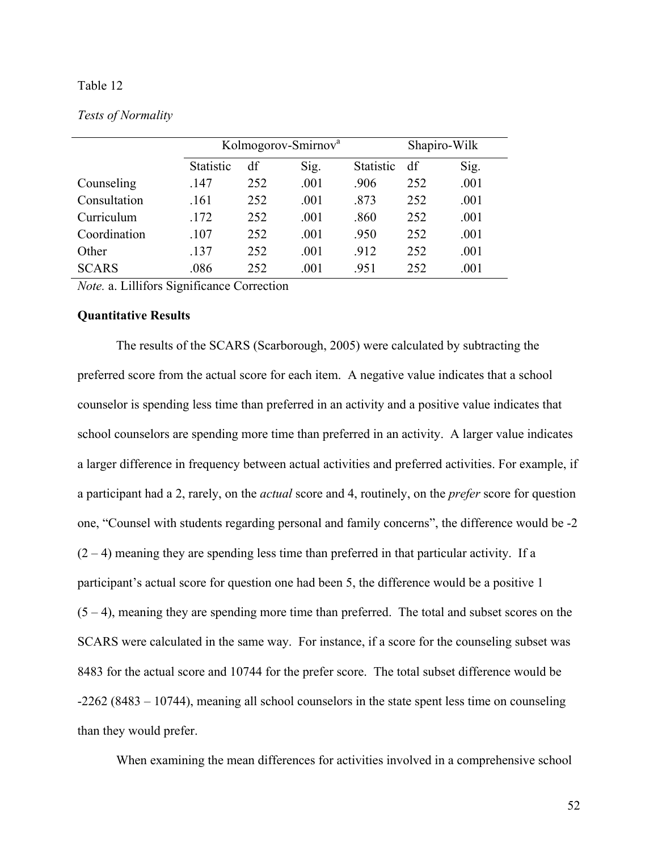## Table 12

|              | Kolmogorov-Smirnov <sup>a</sup> |     |      |                  | Shapiro-Wilk |      |
|--------------|---------------------------------|-----|------|------------------|--------------|------|
|              | Statistic                       | df  | Sig. | <b>Statistic</b> | df           | Sig. |
| Counseling   | .147                            | 252 | .001 | .906             | 252          | .001 |
| Consultation | .161                            | 252 | .001 | .873             | 252          | .001 |
| Curriculum   | .172                            | 252 | .001 | .860             | 252          | .001 |
| Coordination | .107                            | 252 | .001 | .950             | 252          | .001 |
| Other        | .137                            | 252 | .001 | .912             | 252          | .001 |
| <b>SCARS</b> | .086                            | 252 | .001 | .951             | 252          | .001 |
|              | $\cdot$                         |     |      |                  |              |      |

### *Tests of Normality*

*Note.* a. Lillifors Significance Correction

### **Quantitative Results**

The results of the SCARS (Scarborough, 2005) were calculated by subtracting the preferred score from the actual score for each item. A negative value indicates that a school counselor is spending less time than preferred in an activity and a positive value indicates that school counselors are spending more time than preferred in an activity. A larger value indicates a larger difference in frequency between actual activities and preferred activities. For example, if a participant had a 2, rarely, on the *actual* score and 4, routinely, on the *prefer* score for question one, "Counsel with students regarding personal and family concerns", the difference would be -2  $(2 - 4)$  meaning they are spending less time than preferred in that particular activity. If a participant's actual score for question one had been 5, the difference would be a positive 1  $(5 - 4)$ , meaning they are spending more time than preferred. The total and subset scores on the SCARS were calculated in the same way. For instance, if a score for the counseling subset was 8483 for the actual score and 10744 for the prefer score. The total subset difference would be -2262 (8483 – 10744), meaning all school counselors in the state spent less time on counseling than they would prefer.

When examining the mean differences for activities involved in a comprehensive school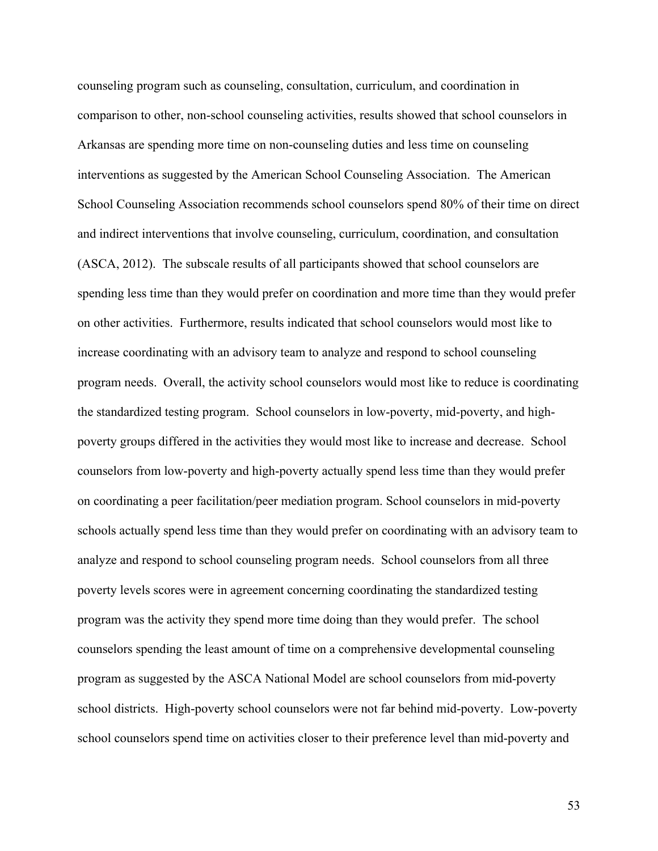counseling program such as counseling, consultation, curriculum, and coordination in comparison to other, non-school counseling activities, results showed that school counselors in Arkansas are spending more time on non-counseling duties and less time on counseling interventions as suggested by the American School Counseling Association. The American School Counseling Association recommends school counselors spend 80% of their time on direct and indirect interventions that involve counseling, curriculum, coordination, and consultation (ASCA, 2012). The subscale results of all participants showed that school counselors are spending less time than they would prefer on coordination and more time than they would prefer on other activities. Furthermore, results indicated that school counselors would most like to increase coordinating with an advisory team to analyze and respond to school counseling program needs. Overall, the activity school counselors would most like to reduce is coordinating the standardized testing program. School counselors in low-poverty, mid-poverty, and highpoverty groups differed in the activities they would most like to increase and decrease. School counselors from low-poverty and high-poverty actually spend less time than they would prefer on coordinating a peer facilitation/peer mediation program. School counselors in mid-poverty schools actually spend less time than they would prefer on coordinating with an advisory team to analyze and respond to school counseling program needs. School counselors from all three poverty levels scores were in agreement concerning coordinating the standardized testing program was the activity they spend more time doing than they would prefer. The school counselors spending the least amount of time on a comprehensive developmental counseling program as suggested by the ASCA National Model are school counselors from mid-poverty school districts. High-poverty school counselors were not far behind mid-poverty. Low-poverty school counselors spend time on activities closer to their preference level than mid-poverty and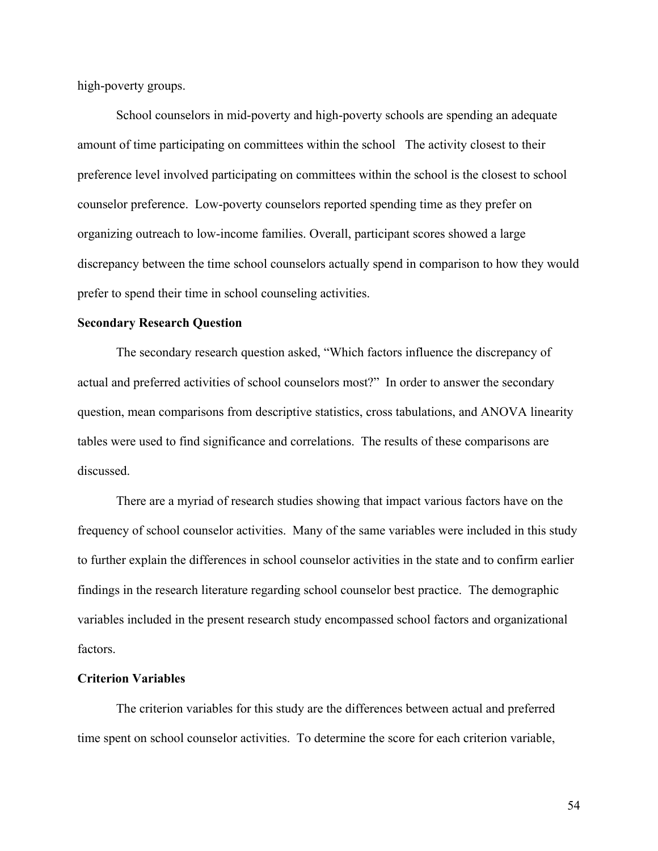high-poverty groups.

School counselors in mid-poverty and high-poverty schools are spending an adequate amount of time participating on committees within the school The activity closest to their preference level involved participating on committees within the school is the closest to school counselor preference. Low-poverty counselors reported spending time as they prefer on organizing outreach to low-income families. Overall, participant scores showed a large discrepancy between the time school counselors actually spend in comparison to how they would prefer to spend their time in school counseling activities.

# **Secondary Research Question**

The secondary research question asked, "Which factors influence the discrepancy of actual and preferred activities of school counselors most?" In order to answer the secondary question, mean comparisons from descriptive statistics, cross tabulations, and ANOVA linearity tables were used to find significance and correlations. The results of these comparisons are discussed.

There are a myriad of research studies showing that impact various factors have on the frequency of school counselor activities. Many of the same variables were included in this study to further explain the differences in school counselor activities in the state and to confirm earlier findings in the research literature regarding school counselor best practice. The demographic variables included in the present research study encompassed school factors and organizational factors.

### **Criterion Variables**

The criterion variables for this study are the differences between actual and preferred time spent on school counselor activities. To determine the score for each criterion variable,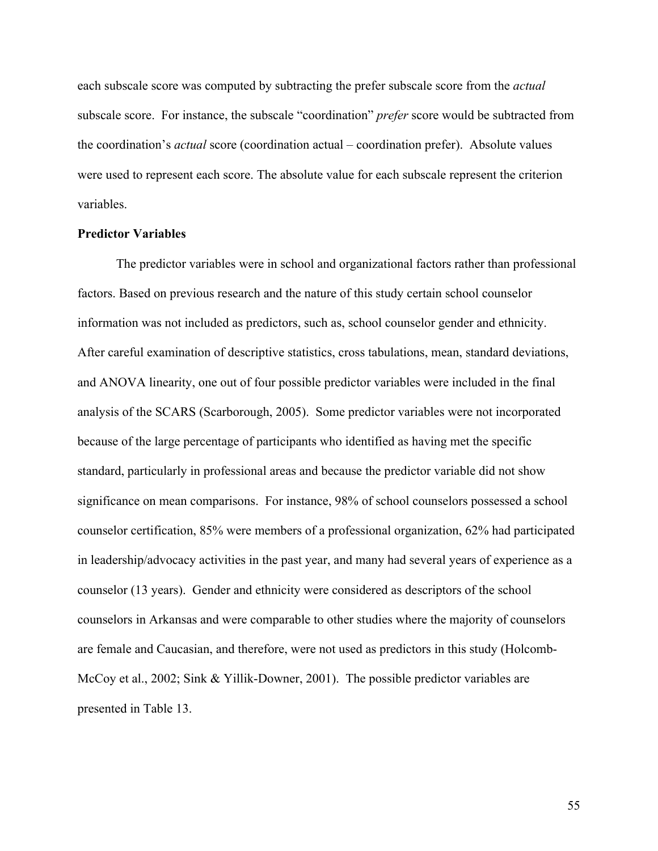each subscale score was computed by subtracting the prefer subscale score from the *actual* subscale score. For instance, the subscale "coordination" *prefer* score would be subtracted from the coordination's *actual* score (coordination actual – coordination prefer). Absolute values were used to represent each score. The absolute value for each subscale represent the criterion variables.

### **Predictor Variables**

The predictor variables were in school and organizational factors rather than professional factors. Based on previous research and the nature of this study certain school counselor information was not included as predictors, such as, school counselor gender and ethnicity. After careful examination of descriptive statistics, cross tabulations, mean, standard deviations, and ANOVA linearity, one out of four possible predictor variables were included in the final analysis of the SCARS (Scarborough, 2005). Some predictor variables were not incorporated because of the large percentage of participants who identified as having met the specific standard, particularly in professional areas and because the predictor variable did not show significance on mean comparisons. For instance, 98% of school counselors possessed a school counselor certification, 85% were members of a professional organization, 62% had participated in leadership/advocacy activities in the past year, and many had several years of experience as a counselor (13 years). Gender and ethnicity were considered as descriptors of the school counselors in Arkansas and were comparable to other studies where the majority of counselors are female and Caucasian, and therefore, were not used as predictors in this study (Holcomb-McCoy et al., 2002; Sink & Yillik-Downer, 2001). The possible predictor variables are presented in Table 13.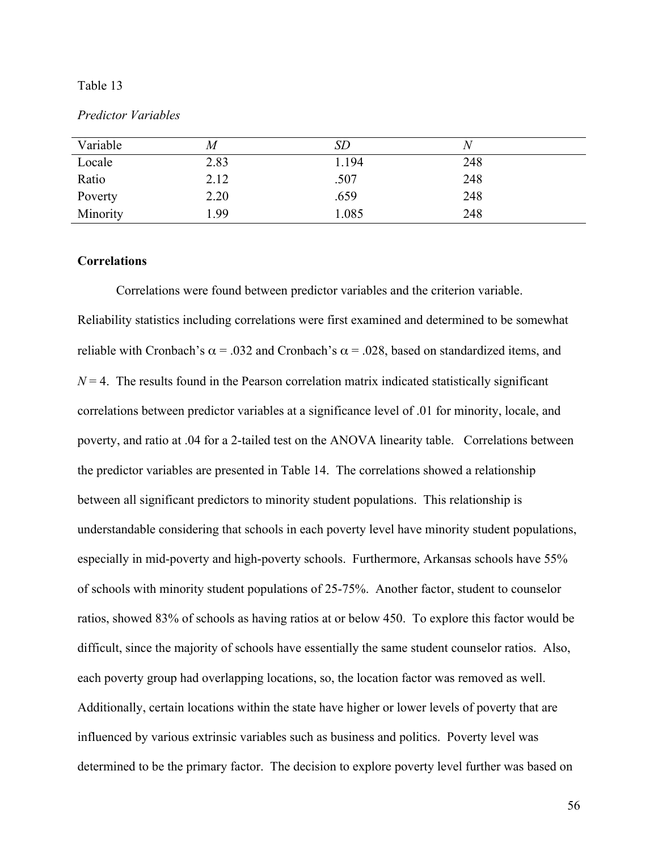### Table 13

#### *Predictor Variables*

| Variable | M    | SD    |     |
|----------|------|-------|-----|
| Locale   | 2.83 | 1.194 | 248 |
| Ratio    | 2.12 | .507  | 248 |
| Poverty  | 2.20 | .659  | 248 |
| Minority | 1.99 | .085  | 248 |

# **Correlations**

Correlations were found between predictor variables and the criterion variable. Reliability statistics including correlations were first examined and determined to be somewhat reliable with Cronbach's  $\alpha$  = .032 and Cronbach's  $\alpha$  = .028, based on standardized items, and  $N = 4$ . The results found in the Pearson correlation matrix indicated statistically significant correlations between predictor variables at a significance level of .01 for minority, locale, and poverty, and ratio at .04 for a 2-tailed test on the ANOVA linearity table. Correlations between the predictor variables are presented in Table 14. The correlations showed a relationship between all significant predictors to minority student populations. This relationship is understandable considering that schools in each poverty level have minority student populations, especially in mid-poverty and high-poverty schools. Furthermore, Arkansas schools have 55% of schools with minority student populations of 25-75%. Another factor, student to counselor ratios, showed 83% of schools as having ratios at or below 450. To explore this factor would be difficult, since the majority of schools have essentially the same student counselor ratios. Also, each poverty group had overlapping locations, so, the location factor was removed as well. Additionally, certain locations within the state have higher or lower levels of poverty that are influenced by various extrinsic variables such as business and politics. Poverty level was determined to be the primary factor. The decision to explore poverty level further was based on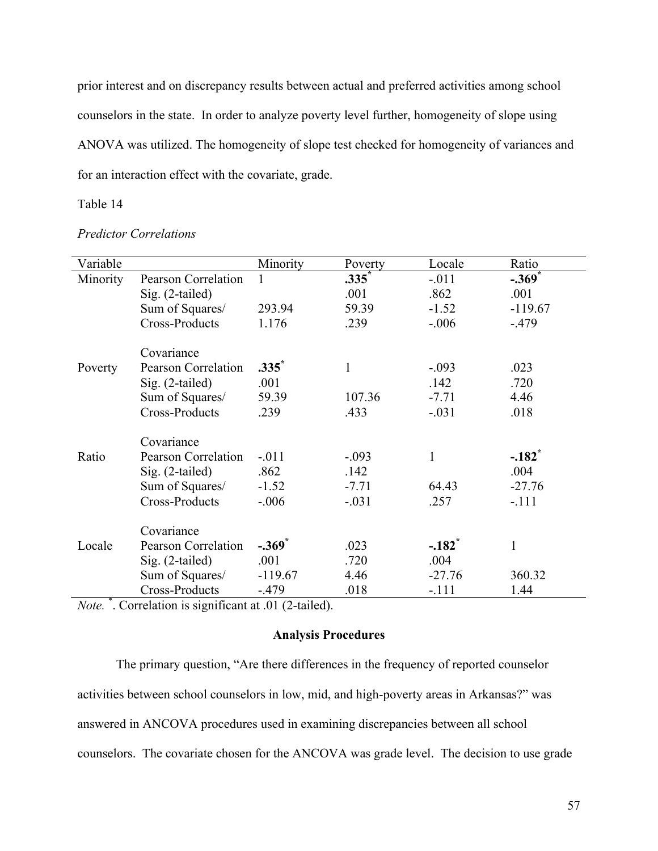prior interest and on discrepancy results between actual and preferred activities among school counselors in the state. In order to analyze poverty level further, homogeneity of slope using ANOVA was utilized. The homogeneity of slope test checked for homogeneity of variances and for an interaction effect with the covariate, grade.

# Table 14

| Variable |                            | Minority             | Poverty      | Locale               | Ratio                |
|----------|----------------------------|----------------------|--------------|----------------------|----------------------|
| Minority | <b>Pearson Correlation</b> | 1                    | $.335*$      | $-0.011$             | $-.369$ <sup>*</sup> |
|          | $Sig. (2-tailed)$          |                      | .001         | .862                 | .001                 |
|          | Sum of Squares/            | 293.94               | 59.39        | $-1.52$              | $-119.67$            |
|          | Cross-Products             | 1.176                | .239         | $-0.06$              | $-479$               |
|          | Covariance                 |                      |              |                      |                      |
| Poverty  | Pearson Correlation        | $.335^*$             | $\mathbf{1}$ | $-.093$              | .023                 |
|          | Sig. (2-tailed)            | .001                 |              | .142                 | .720                 |
|          | Sum of Squares/            | 59.39                | 107.36       | $-7.71$              | 4.46                 |
|          | <b>Cross-Products</b>      | .239                 | .433         | $-.031$              | .018                 |
|          | Covariance                 |                      |              |                      |                      |
| Ratio    | Pearson Correlation        | $-.011$              | $-.093$      | $\mathbf{1}$         | $-.182$ <sup>*</sup> |
|          | $Sig. (2-tailed)$          | .862                 | .142         |                      | .004                 |
|          | Sum of Squares/            | $-1.52$              | $-7.71$      | 64.43                | $-27.76$             |
|          | Cross-Products             | $-.006$              | $-.031$      | .257                 | $-.111$              |
|          | Covariance                 |                      |              |                      |                      |
| Locale   | Pearson Correlation        | $-.369$ <sup>*</sup> | .023         | $-.182$ <sup>*</sup> | 1                    |
|          | $Sig. (2-tailed)$          | .001                 | .720         | .004                 |                      |
|          | Sum of Squares/            | $-119.67$            | 4.46         | $-27.76$             | 360.32               |
|          | Cross-Products             | $-479$               | .018         | $-.111$              | 1.44                 |

# *Predictor Correlations*

*Note.* \* . Correlation is significant at .01 (2-tailed).

# **Analysis Procedures**

The primary question, "Are there differences in the frequency of reported counselor activities between school counselors in low, mid, and high-poverty areas in Arkansas?" was answered in ANCOVA procedures used in examining discrepancies between all school counselors. The covariate chosen for the ANCOVA was grade level. The decision to use grade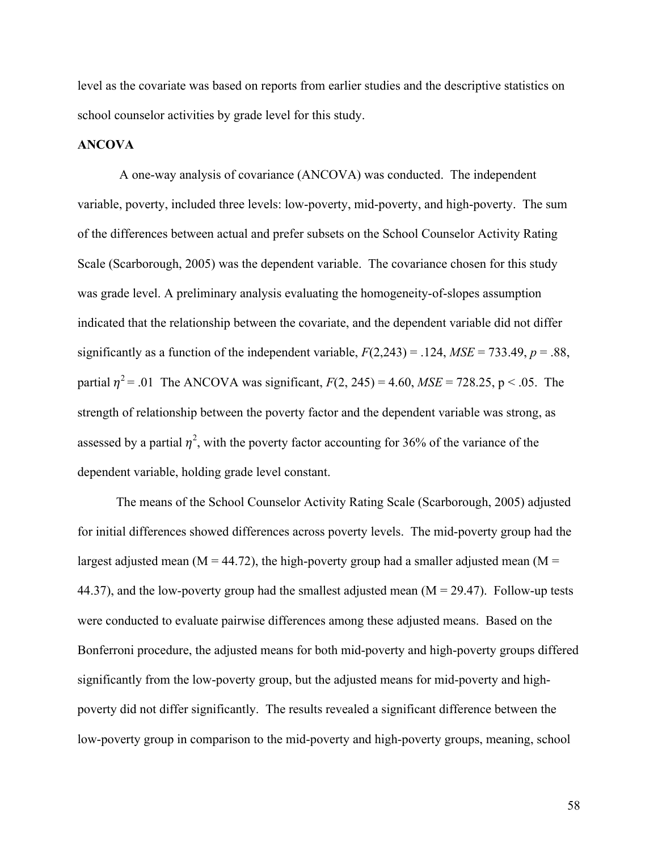level as the covariate was based on reports from earlier studies and the descriptive statistics on school counselor activities by grade level for this study.

# **ANCOVA**

A one-way analysis of covariance (ANCOVA) was conducted. The independent variable, poverty, included three levels: low-poverty, mid-poverty, and high-poverty. The sum of the differences between actual and prefer subsets on the School Counselor Activity Rating Scale (Scarborough, 2005) was the dependent variable. The covariance chosen for this study was grade level. A preliminary analysis evaluating the homogeneity-of-slopes assumption indicated that the relationship between the covariate, and the dependent variable did not differ significantly as a function of the independent variable,  $F(2,243) = .124$ ,  $MSE = 733.49$ ,  $p = .88$ , partial  $\eta^2$  = .01 The ANCOVA was significant,  $F(2, 245) = 4.60$ ,  $MSE = 728.25$ , p < .05. The strength of relationship between the poverty factor and the dependent variable was strong, as assessed by a partial  $\eta^2$ , with the poverty factor accounting for 36% of the variance of the dependent variable, holding grade level constant.

The means of the School Counselor Activity Rating Scale (Scarborough, 2005) adjusted for initial differences showed differences across poverty levels. The mid-poverty group had the largest adjusted mean ( $M = 44.72$ ), the high-poverty group had a smaller adjusted mean ( $M =$ 44.37), and the low-poverty group had the smallest adjusted mean  $(M = 29.47)$ . Follow-up tests were conducted to evaluate pairwise differences among these adjusted means. Based on the Bonferroni procedure, the adjusted means for both mid-poverty and high-poverty groups differed significantly from the low-poverty group, but the adjusted means for mid-poverty and highpoverty did not differ significantly. The results revealed a significant difference between the low-poverty group in comparison to the mid-poverty and high-poverty groups, meaning, school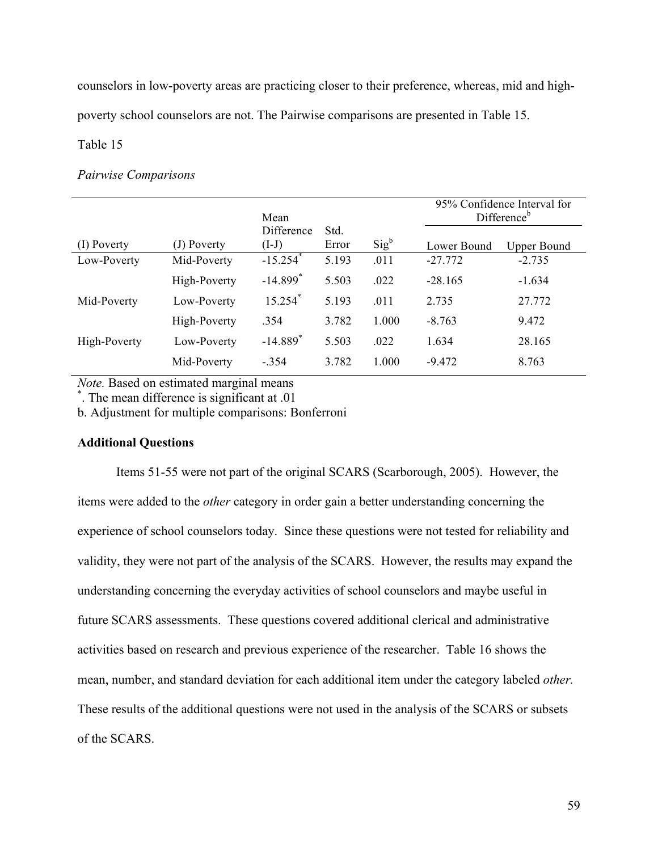counselors in low-poverty areas are practicing closer to their preference, whereas, mid and high-

poverty school counselors are not. The Pairwise comparisons are presented in Table 15.

Table 15

### *Pairwise Comparisons*

|              |              | Mean                   |               |         | 95% Confidence Interval for<br>Difference <sup>b</sup> |                    |
|--------------|--------------|------------------------|---------------|---------|--------------------------------------------------------|--------------------|
| (I) Poverty  | (J) Poverty  | Difference<br>$(I-J)$  | Std.<br>Error | $Sig^b$ | Lower Bound                                            | <b>Upper Bound</b> |
| Low-Poverty  | Mid-Poverty  | $-15.254$ <sup>*</sup> | 5.193         | .011    | $-27.772$                                              | $-2.735$           |
|              | High-Poverty | $-14.899$ <sup>*</sup> | 5.503         | .022    | $-28.165$                                              | $-1.634$           |
| Mid-Poverty  | Low-Poverty  | $15.254$ <sup>*</sup>  | 5.193         | .011    | 2.735                                                  | 27.772             |
|              | High-Poverty | .354                   | 3.782         | 1.000   | $-8.763$                                               | 9.472              |
| High-Poverty | Low-Poverty  | $-14.889$ <sup>*</sup> | 5.503         | .022    | 1.634                                                  | 28.165             |
|              | Mid-Poverty  | $-.354$                | 3.782         | 1.000   | $-9.472$                                               | 8.763              |

*Note*. Based on estimated marginal means

. The mean difference is significant at .01

b. Adjustment for multiple comparisons: Bonferroni

# **Additional Questions**

Items 51-55 were not part of the original SCARS (Scarborough, 2005). However, the items were added to the *other* category in order gain a better understanding concerning the experience of school counselors today. Since these questions were not tested for reliability and validity, they were not part of the analysis of the SCARS. However, the results may expand the understanding concerning the everyday activities of school counselors and maybe useful in future SCARS assessments. These questions covered additional clerical and administrative activities based on research and previous experience of the researcher. Table 16 shows the mean, number, and standard deviation for each additional item under the category labeled *other.*  These results of the additional questions were not used in the analysis of the SCARS or subsets of the SCARS.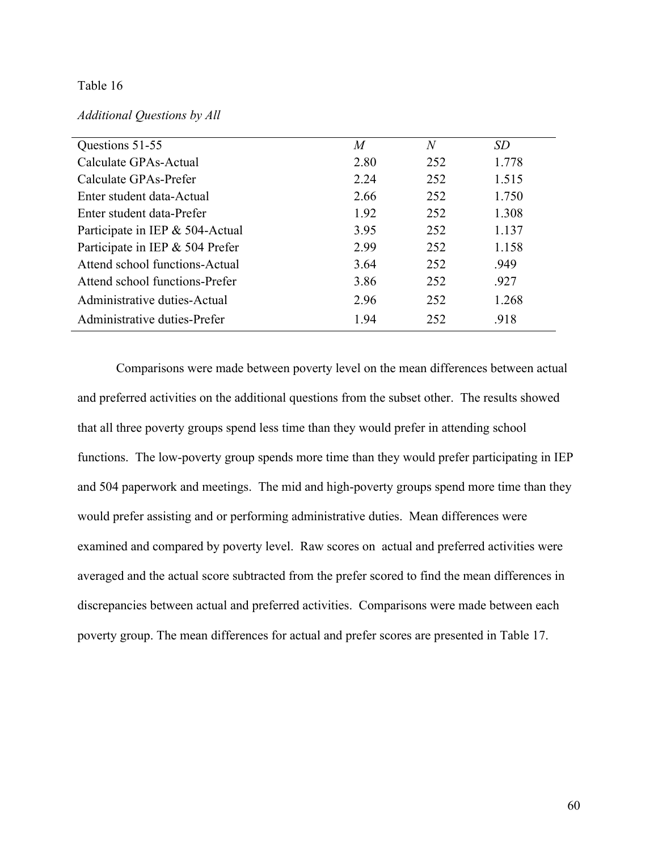# Table 16

## *Additional Questions by All*

| Questions 51-55                 | M    | N   | <i>SD</i> |
|---------------------------------|------|-----|-----------|
| Calculate GPAs-Actual           | 2.80 | 252 | 1.778     |
| Calculate GPAs-Prefer           | 2.24 | 252 | 1.515     |
| Enter student data-Actual       | 2.66 | 252 | 1.750     |
| Enter student data-Prefer       | 1.92 | 252 | 1.308     |
| Participate in IEP & 504-Actual | 3.95 | 252 | 1.137     |
| Participate in IEP & 504 Prefer | 2.99 | 252 | 1.158     |
| Attend school functions-Actual  | 3.64 | 252 | .949      |
| Attend school functions-Prefer  | 3.86 | 252 | .927      |
| Administrative duties-Actual    | 2.96 | 252 | 1.268     |
| Administrative duties-Prefer    | 1.94 | 252 | .918      |
|                                 |      |     |           |

Comparisons were made between poverty level on the mean differences between actual and preferred activities on the additional questions from the subset other. The results showed that all three poverty groups spend less time than they would prefer in attending school functions. The low-poverty group spends more time than they would prefer participating in IEP and 504 paperwork and meetings. The mid and high-poverty groups spend more time than they would prefer assisting and or performing administrative duties. Mean differences were examined and compared by poverty level. Raw scores on actual and preferred activities were averaged and the actual score subtracted from the prefer scored to find the mean differences in discrepancies between actual and preferred activities. Comparisons were made between each poverty group. The mean differences for actual and prefer scores are presented in Table 17.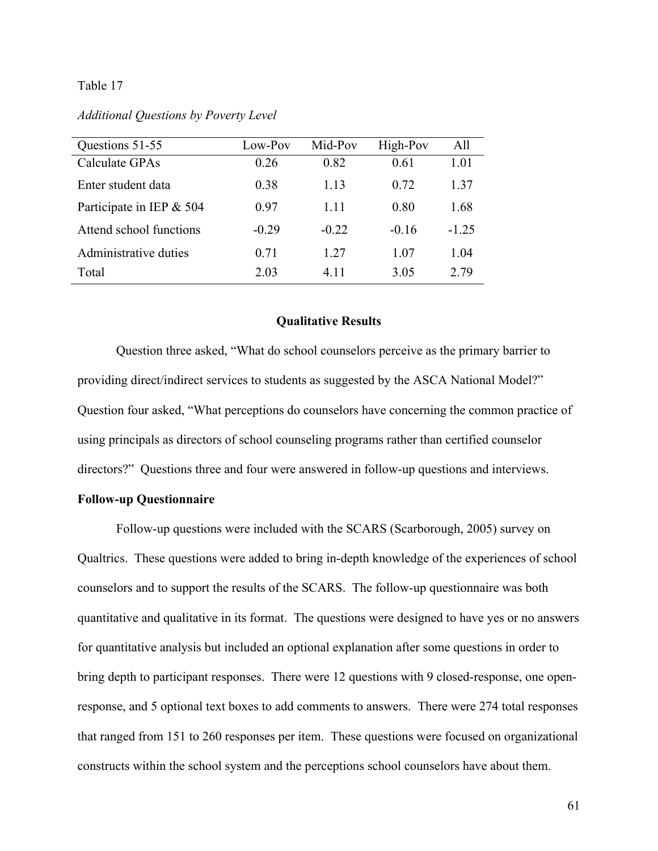## Table 17

| Additional Questions by Poverty Level |  |  |
|---------------------------------------|--|--|
|                                       |  |  |

| Questions 51-55            | Low-Pov | Mid-Pov | High-Pov | All     |
|----------------------------|---------|---------|----------|---------|
| Calculate GPAs             | 0.26    | 0.82    | 0.61     | 1.01    |
| Enter student data         | 0.38    | 1 1 3   | 0.72     | 1.37    |
| Participate in IEP $& 504$ | 0.97    | 1 1 1   | 0.80     | 1.68    |
| Attend school functions    | $-0.29$ | $-0.22$ | $-0.16$  | $-1.25$ |
| Administrative duties      | 0.71    | 1 27    | 1 07     | 1.04    |
| Total                      | 2.03    | 4 1 1   | 3.05     | 2.79    |

#### **Qualitative Results**

Question three asked, "What do school counselors perceive as the primary barrier to providing direct/indirect services to students as suggested by the ASCA National Model?" Question four asked, "What perceptions do counselors have concerning the common practice of using principals as directors of school counseling programs rather than certified counselor directors?" Questions three and four were answered in follow-up questions and interviews.

## **Follow-up Questionnaire**

Follow-up questions were included with the SCARS (Scarborough, 2005) survey on Qualtrics. These questions were added to bring in-depth knowledge of the experiences of school counselors and to support the results of the SCARS. The follow-up questionnaire was both quantitative and qualitative in its format. The questions were designed to have yes or no answers for quantitative analysis but included an optional explanation after some questions in order to bring depth to participant responses. There were 12 questions with 9 closed-response, one openresponse, and 5 optional text boxes to add comments to answers. There were 274 total responses that ranged from 151 to 260 responses per item. These questions were focused on organizational constructs within the school system and the perceptions school counselors have about them.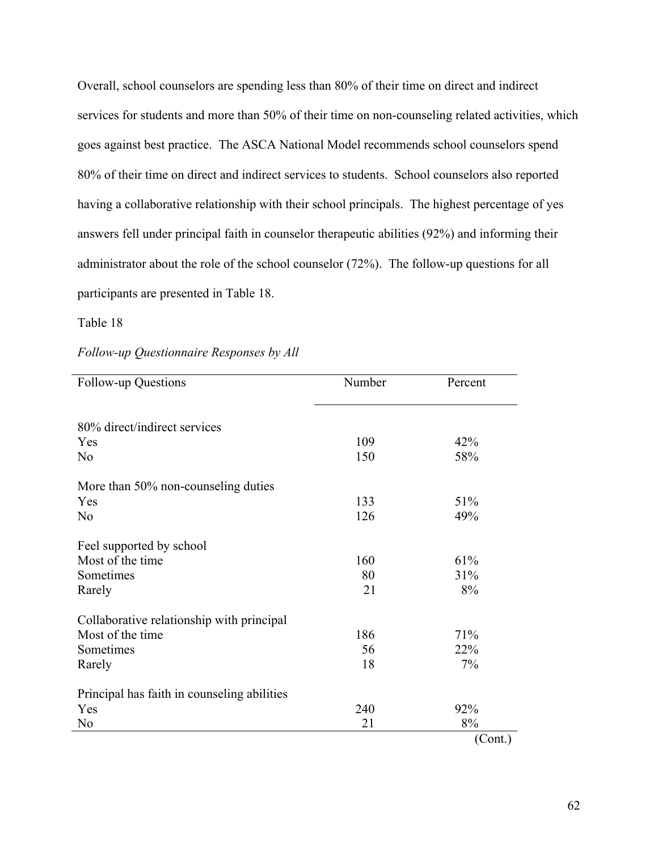Overall, school counselors are spending less than 80% of their time on direct and indirect services for students and more than 50% of their time on non-counseling related activities, which goes against best practice. The ASCA National Model recommends school counselors spend 80% of their time on direct and indirect services to students. School counselors also reported having a collaborative relationship with their school principals. The highest percentage of yes answers fell under principal faith in counselor therapeutic abilities (92%) and informing their administrator about the role of the school counselor (72%). The follow-up questions for all participants are presented in Table 18.

Table 18

|  | Follow-up Questionnaire Responses by All |  |  |
|--|------------------------------------------|--|--|
|--|------------------------------------------|--|--|

| Follow-up Questions                         | Number | Percent |
|---------------------------------------------|--------|---------|
| 80% direct/indirect services                |        |         |
| Yes                                         | 109    | 42%     |
| N <sub>0</sub>                              | 150    | 58%     |
| More than 50% non-counseling duties         |        |         |
| Yes                                         | 133    | 51%     |
| N <sub>0</sub>                              | 126    | 49%     |
| Feel supported by school                    |        |         |
| Most of the time                            | 160    | 61%     |
| Sometimes                                   | 80     | 31%     |
| Rarely                                      | 21     | 8%      |
| Collaborative relationship with principal   |        |         |
| Most of the time                            | 186    | 71%     |
| Sometimes                                   | 56     | 22%     |
| Rarely                                      | 18     | 7%      |
| Principal has faith in counseling abilities |        |         |
| Yes                                         | 240    | 92%     |
| N <sub>0</sub>                              | 21     | 8%      |
|                                             |        | (Cont.) |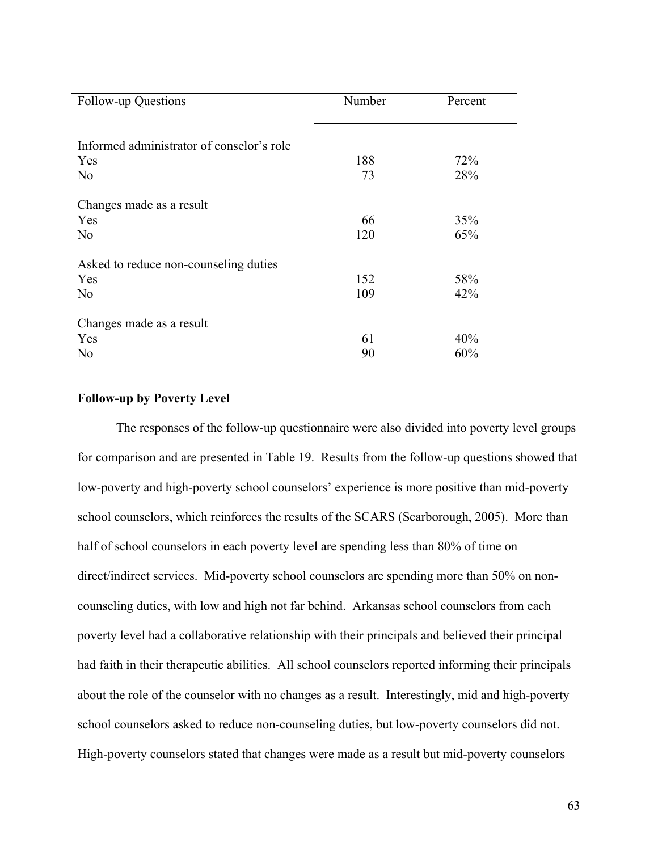| Follow-up Questions                       | Number | Percent |
|-------------------------------------------|--------|---------|
|                                           |        |         |
| Informed administrator of conselor's role |        |         |
| Yes                                       | 188    | 72%     |
| N <sub>0</sub>                            | 73     | 28%     |
| Changes made as a result                  |        |         |
| Yes                                       | 66     | 35%     |
| N <sub>0</sub>                            | 120    | 65%     |
| Asked to reduce non-counseling duties     |        |         |
| Yes                                       | 152    | 58%     |
| N <sub>0</sub>                            | 109    | 42%     |
| Changes made as a result                  |        |         |
| Yes                                       | 61     | 40%     |
| N <sub>0</sub>                            | 90     | 60%     |

## **Follow-up by Poverty Level**

The responses of the follow-up questionnaire were also divided into poverty level groups for comparison and are presented in Table 19. Results from the follow-up questions showed that low-poverty and high-poverty school counselors' experience is more positive than mid-poverty school counselors, which reinforces the results of the SCARS (Scarborough, 2005). More than half of school counselors in each poverty level are spending less than 80% of time on direct/indirect services. Mid-poverty school counselors are spending more than 50% on noncounseling duties, with low and high not far behind. Arkansas school counselors from each poverty level had a collaborative relationship with their principals and believed their principal had faith in their therapeutic abilities. All school counselors reported informing their principals about the role of the counselor with no changes as a result. Interestingly, mid and high-poverty school counselors asked to reduce non-counseling duties, but low-poverty counselors did not. High-poverty counselors stated that changes were made as a result but mid-poverty counselors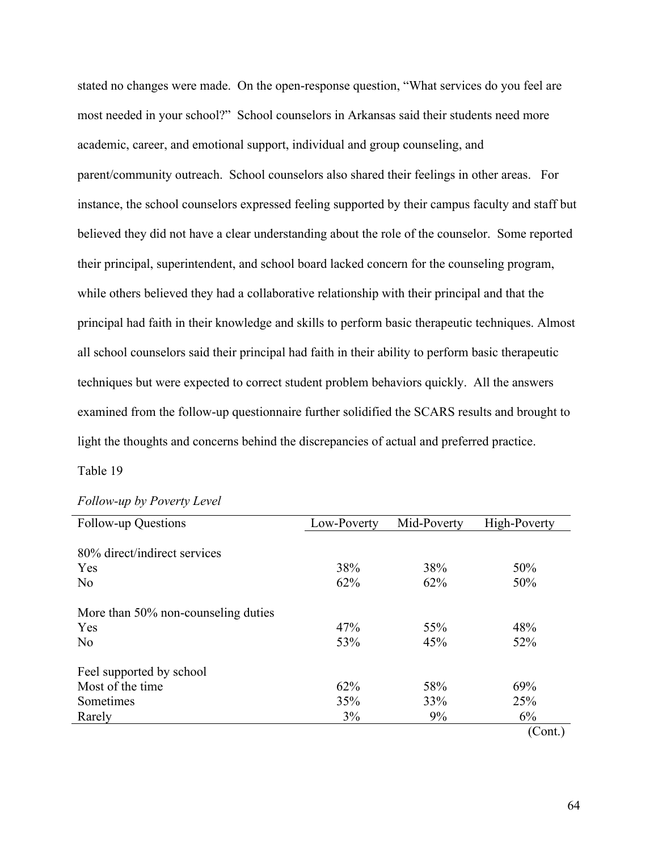stated no changes were made. On the open-response question, "What services do you feel are most needed in your school?" School counselors in Arkansas said their students need more academic, career, and emotional support, individual and group counseling, and parent/community outreach. School counselors also shared their feelings in other areas. For instance, the school counselors expressed feeling supported by their campus faculty and staff but believed they did not have a clear understanding about the role of the counselor. Some reported their principal, superintendent, and school board lacked concern for the counseling program, while others believed they had a collaborative relationship with their principal and that the principal had faith in their knowledge and skills to perform basic therapeutic techniques. Almost all school counselors said their principal had faith in their ability to perform basic therapeutic techniques but were expected to correct student problem behaviors quickly. All the answers examined from the follow-up questionnaire further solidified the SCARS results and brought to light the thoughts and concerns behind the discrepancies of actual and preferred practice.

## Table 19

| <b>Follow-up Questions</b>          | Low-Poverty | Mid-Poverty | High-Poverty |
|-------------------------------------|-------------|-------------|--------------|
| 80% direct/indirect services        |             |             |              |
| Yes                                 | 38%         | 38%         | 50%          |
| No                                  | 62%         | 62%         | 50%          |
| More than 50% non-counseling duties |             |             |              |
| Yes                                 | 47%         | 55%         | 48%          |
| N <sub>0</sub>                      | 53%         | 45%         | 52%          |
| Feel supported by school            |             |             |              |
| Most of the time                    | 62%         | 58%         | 69%          |
| Sometimes                           | 35%         | 33%         | 25%          |
| Rarely                              | 3%          | 9%          | 6%           |
|                                     |             |             | (Cont.)      |

| Follow-up by Poverty Level |  |  |  |
|----------------------------|--|--|--|
|----------------------------|--|--|--|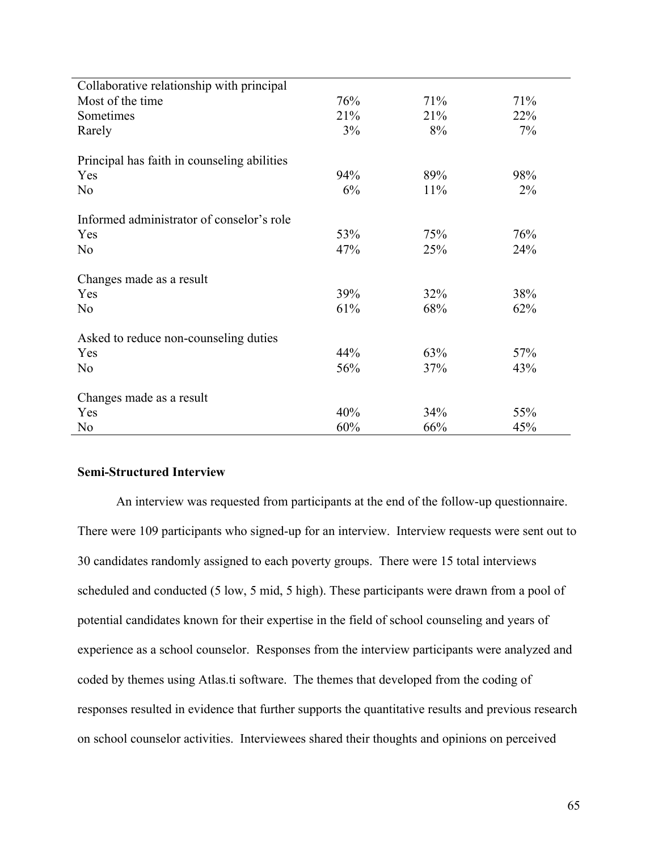| Collaborative relationship with principal   |     |     |       |
|---------------------------------------------|-----|-----|-------|
| Most of the time                            | 76% | 71% | 71%   |
| Sometimes                                   | 21% | 21% | 22%   |
| Rarely                                      | 3%  | 8%  | 7%    |
| Principal has faith in counseling abilities |     |     |       |
| Yes                                         | 94% | 89% | 98%   |
| N <sub>0</sub>                              | 6%  | 11% | $2\%$ |
| Informed administrator of conselor's role   |     |     |       |
| Yes                                         | 53% | 75% | 76%   |
| N <sub>0</sub>                              | 47% | 25% | 24%   |
| Changes made as a result                    |     |     |       |
| Yes                                         | 39% | 32% | 38%   |
| N <sub>0</sub>                              | 61% | 68% | 62%   |
| Asked to reduce non-counseling duties       |     |     |       |
| Yes                                         | 44% | 63% | 57%   |
|                                             |     |     |       |
| N <sub>0</sub>                              | 56% | 37% | 43%   |
| Changes made as a result                    |     |     |       |
| Yes                                         | 40% | 34% | 55%   |
| N <sub>0</sub>                              | 60% | 66% | 45%   |

## **Semi-Structured Interview**

An interview was requested from participants at the end of the follow-up questionnaire. There were 109 participants who signed-up for an interview. Interview requests were sent out to 30 candidates randomly assigned to each poverty groups. There were 15 total interviews scheduled and conducted (5 low, 5 mid, 5 high). These participants were drawn from a pool of potential candidates known for their expertise in the field of school counseling and years of experience as a school counselor. Responses from the interview participants were analyzed and coded by themes using Atlas.ti software. The themes that developed from the coding of responses resulted in evidence that further supports the quantitative results and previous research on school counselor activities. Interviewees shared their thoughts and opinions on perceived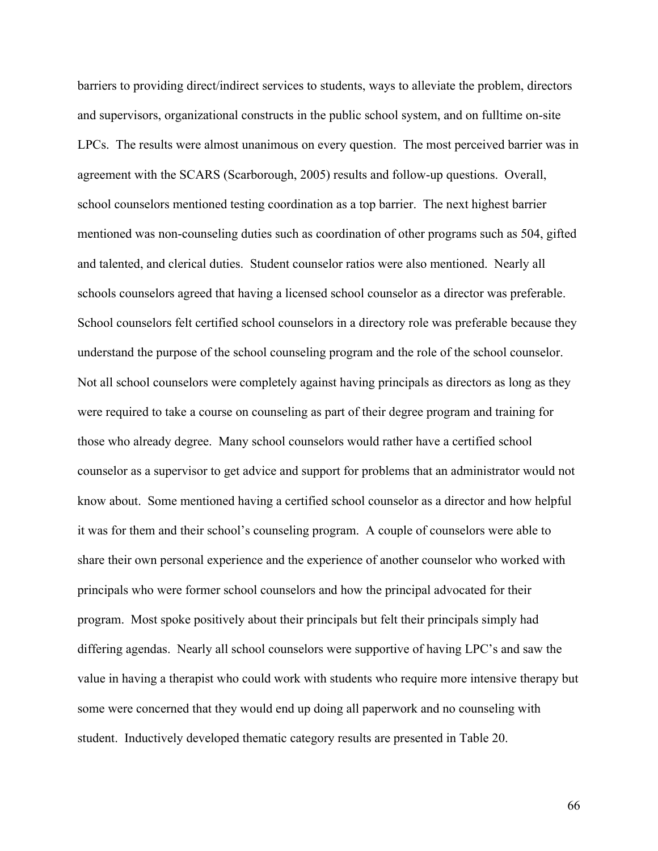barriers to providing direct/indirect services to students, ways to alleviate the problem, directors and supervisors, organizational constructs in the public school system, and on fulltime on-site LPCs. The results were almost unanimous on every question. The most perceived barrier was in agreement with the SCARS (Scarborough, 2005) results and follow-up questions. Overall, school counselors mentioned testing coordination as a top barrier. The next highest barrier mentioned was non-counseling duties such as coordination of other programs such as 504, gifted and talented, and clerical duties. Student counselor ratios were also mentioned. Nearly all schools counselors agreed that having a licensed school counselor as a director was preferable. School counselors felt certified school counselors in a directory role was preferable because they understand the purpose of the school counseling program and the role of the school counselor. Not all school counselors were completely against having principals as directors as long as they were required to take a course on counseling as part of their degree program and training for those who already degree. Many school counselors would rather have a certified school counselor as a supervisor to get advice and support for problems that an administrator would not know about. Some mentioned having a certified school counselor as a director and how helpful it was for them and their school's counseling program. A couple of counselors were able to share their own personal experience and the experience of another counselor who worked with principals who were former school counselors and how the principal advocated for their program. Most spoke positively about their principals but felt their principals simply had differing agendas. Nearly all school counselors were supportive of having LPC's and saw the value in having a therapist who could work with students who require more intensive therapy but some were concerned that they would end up doing all paperwork and no counseling with student. Inductively developed thematic category results are presented in Table 20.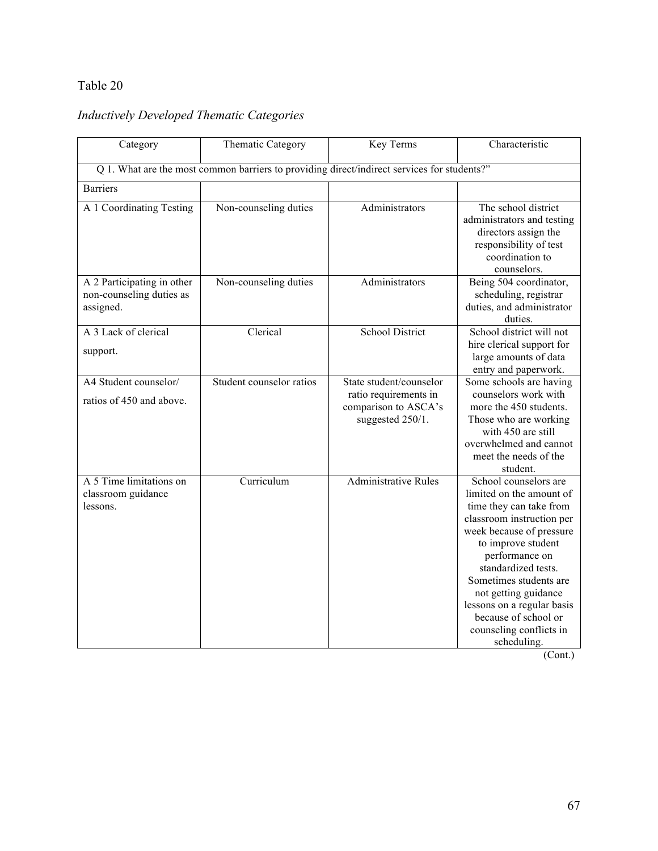## Table 20

# *Inductively Developed Thematic Categories*

| Category                                                            | Thematic Category                                                                           | Key Terms                                                                                    | Characteristic                                                                                                                                                                                                                                                                                                                                         |
|---------------------------------------------------------------------|---------------------------------------------------------------------------------------------|----------------------------------------------------------------------------------------------|--------------------------------------------------------------------------------------------------------------------------------------------------------------------------------------------------------------------------------------------------------------------------------------------------------------------------------------------------------|
|                                                                     | Q 1. What are the most common barriers to providing direct/indirect services for students?" |                                                                                              |                                                                                                                                                                                                                                                                                                                                                        |
| <b>Barriers</b>                                                     |                                                                                             |                                                                                              |                                                                                                                                                                                                                                                                                                                                                        |
| A 1 Coordinating Testing                                            | Non-counseling duties                                                                       | Administrators                                                                               | The school district<br>administrators and testing<br>directors assign the<br>responsibility of test<br>coordination to<br>counselors.                                                                                                                                                                                                                  |
| A 2 Participating in other<br>non-counseling duties as<br>assigned. | Non-counseling duties                                                                       | Administrators                                                                               | Being 504 coordinator,<br>scheduling, registrar<br>duties, and administrator<br>duties.                                                                                                                                                                                                                                                                |
| A 3 Lack of clerical<br>support.                                    | Clerical                                                                                    | <b>School District</b>                                                                       | School district will not<br>hire clerical support for<br>large amounts of data<br>entry and paperwork.                                                                                                                                                                                                                                                 |
| A4 Student counselor/<br>ratios of 450 and above.                   | Student counselor ratios                                                                    | State student/counselor<br>ratio requirements in<br>comparison to ASCA's<br>suggested 250/1. | Some schools are having<br>counselors work with<br>more the 450 students.<br>Those who are working<br>with 450 are still<br>overwhelmed and cannot<br>meet the needs of the<br>student.                                                                                                                                                                |
| A 5 Time limitations on<br>classroom guidance<br>lessons.           | Curriculum                                                                                  | <b>Administrative Rules</b>                                                                  | School counselors are<br>limited on the amount of<br>time they can take from<br>classroom instruction per<br>week because of pressure<br>to improve student<br>performance on<br>standardized tests.<br>Sometimes students are<br>not getting guidance<br>lessons on a regular basis<br>because of school or<br>counseling conflicts in<br>scheduling. |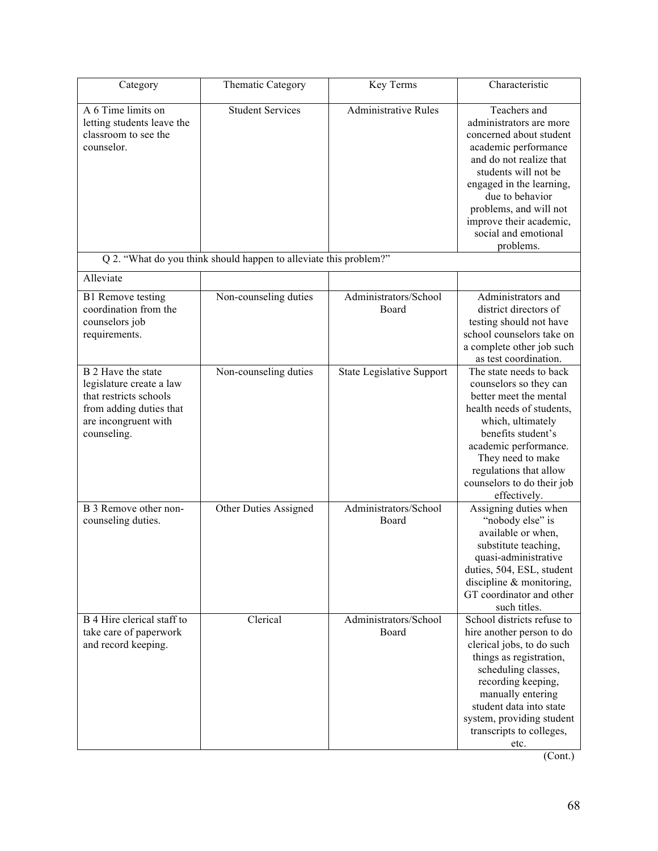| Category                                                                                                                                   | <b>Thematic Category</b>                                          | Key Terms                        | Characteristic                                                                                                                                                                                                                                                                         |
|--------------------------------------------------------------------------------------------------------------------------------------------|-------------------------------------------------------------------|----------------------------------|----------------------------------------------------------------------------------------------------------------------------------------------------------------------------------------------------------------------------------------------------------------------------------------|
| A 6 Time limits on<br>letting students leave the<br>classroom to see the<br>counselor.                                                     | <b>Student Services</b>                                           | <b>Administrative Rules</b>      | Teachers and<br>administrators are more<br>concerned about student<br>academic performance<br>and do not realize that<br>students will not be<br>engaged in the learning,<br>due to behavior<br>problems, and will not<br>improve their academic,<br>social and emotional<br>problems. |
|                                                                                                                                            | Q 2. "What do you think should happen to alleviate this problem?" |                                  |                                                                                                                                                                                                                                                                                        |
| Alleviate                                                                                                                                  |                                                                   |                                  |                                                                                                                                                                                                                                                                                        |
| <b>B1</b> Remove testing<br>coordination from the<br>counselors job<br>requirements.                                                       | Non-counseling duties                                             | Administrators/School<br>Board   | Administrators and<br>district directors of<br>testing should not have<br>school counselors take on<br>a complete other job such<br>as test coordination.                                                                                                                              |
| B 2 Have the state<br>legislature create a law<br>that restricts schools<br>from adding duties that<br>are incongruent with<br>counseling. | Non-counseling duties                                             | <b>State Legislative Support</b> | The state needs to back<br>counselors so they can<br>better meet the mental<br>health needs of students,<br>which, ultimately<br>benefits student's<br>academic performance.<br>They need to make<br>regulations that allow<br>counselors to do their job<br>effectively.              |
| B 3 Remove other non-<br>counseling duties.                                                                                                | Other Duties Assigned                                             | Administrators/School<br>Board   | Assigning duties when<br>"nobody else" is<br>available or when,<br>substitute teaching,<br>quasi-administrative<br>duties, 504, ESL, student<br>discipline $&$ monitoring,<br>GT coordinator and other<br>such titles.                                                                 |
| B 4 Hire clerical staff to<br>take care of paperwork<br>and record keeping.                                                                | Clerical                                                          | Administrators/School<br>Board   | School districts refuse to<br>hire another person to do<br>clerical jobs, to do such<br>things as registration,<br>scheduling classes,<br>recording keeping,<br>manually entering<br>student data into state<br>system, providing student<br>transcripts to colleges,<br>etc.          |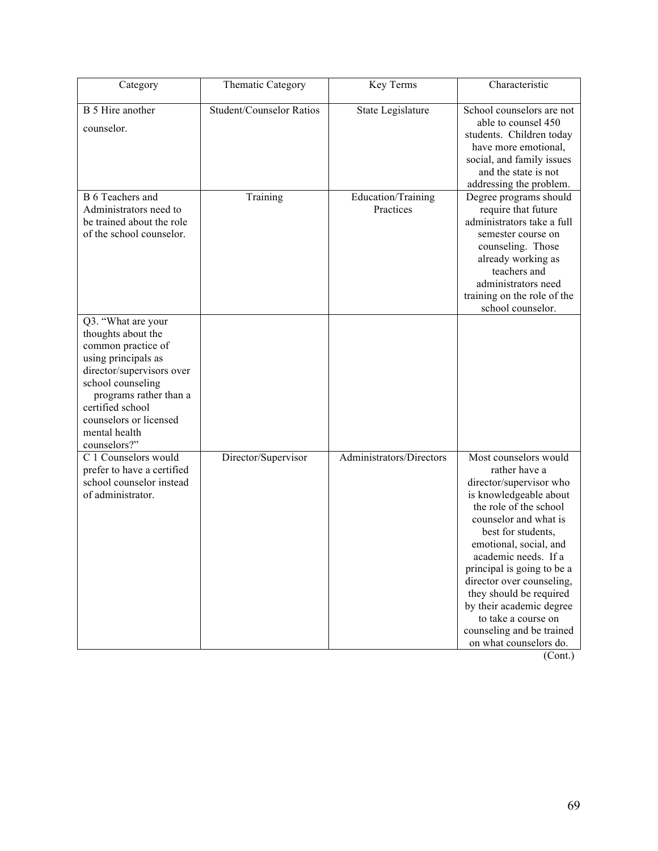| Category                                                                                                                                                                                                                                         | Thematic Category               | Key Terms                       | Characteristic                                                                                                                                                                                                                                                                                                                                                                                                         |
|--------------------------------------------------------------------------------------------------------------------------------------------------------------------------------------------------------------------------------------------------|---------------------------------|---------------------------------|------------------------------------------------------------------------------------------------------------------------------------------------------------------------------------------------------------------------------------------------------------------------------------------------------------------------------------------------------------------------------------------------------------------------|
| B 5 Hire another<br>counselor.                                                                                                                                                                                                                   | <b>Student/Counselor Ratios</b> | State Legislature               | School counselors are not<br>able to counsel 450<br>students. Children today<br>have more emotional,<br>social, and family issues<br>and the state is not<br>addressing the problem.                                                                                                                                                                                                                                   |
| <b>B</b> 6 Teachers and<br>Administrators need to<br>be trained about the role<br>of the school counselor.                                                                                                                                       | Training                        | Education/Training<br>Practices | Degree programs should<br>require that future<br>administrators take a full<br>semester course on<br>counseling. Those<br>already working as<br>teachers and<br>administrators need<br>training on the role of the<br>school counselor.                                                                                                                                                                                |
| Q3. "What are your<br>thoughts about the<br>common practice of<br>using principals as<br>director/supervisors over<br>school counseling<br>programs rather than a<br>certified school<br>counselors or licensed<br>mental health<br>counselors?" |                                 |                                 |                                                                                                                                                                                                                                                                                                                                                                                                                        |
| C 1 Counselors would<br>prefer to have a certified<br>school counselor instead<br>of administrator.                                                                                                                                              | Director/Supervisor             | Administrators/Directors        | Most counselors would<br>rather have a<br>director/supervisor who<br>is knowledgeable about<br>the role of the school<br>counselor and what is<br>best for students,<br>emotional, social, and<br>academic needs. If a<br>principal is going to be a<br>director over counseling,<br>they should be required<br>by their academic degree<br>to take a course on<br>counseling and be trained<br>on what counselors do. |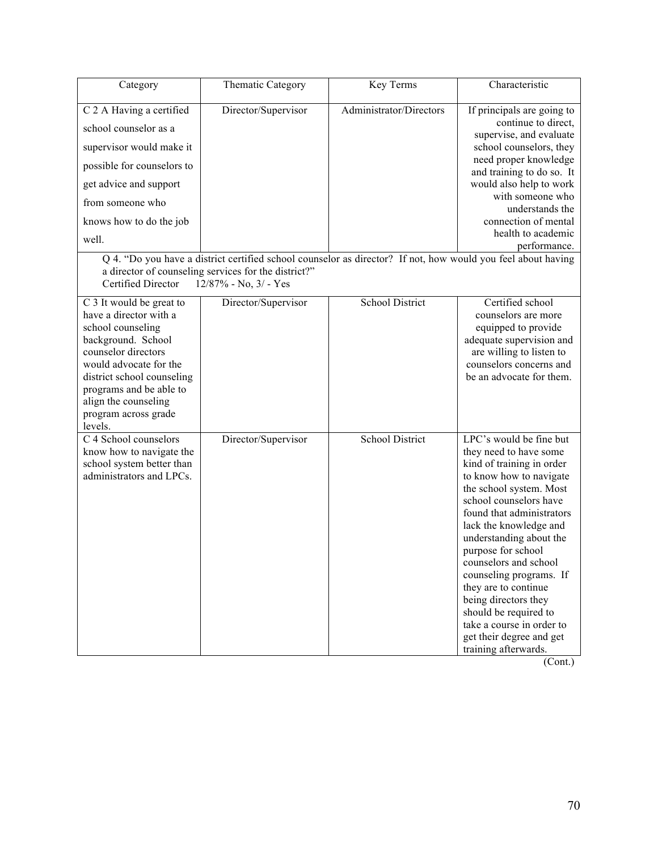| Category                                                                                                                                                                                                                                                           | <b>Thematic Category</b>                                                                             | Key Terms                                                                                                                               | Characteristic                                                                                                                                                                                                                                                                                                                                                                                                                                                                       |
|--------------------------------------------------------------------------------------------------------------------------------------------------------------------------------------------------------------------------------------------------------------------|------------------------------------------------------------------------------------------------------|-----------------------------------------------------------------------------------------------------------------------------------------|--------------------------------------------------------------------------------------------------------------------------------------------------------------------------------------------------------------------------------------------------------------------------------------------------------------------------------------------------------------------------------------------------------------------------------------------------------------------------------------|
| C 2 A Having a certified<br>school counselor as a<br>supervisor would make it<br>possible for counselors to<br>get advice and support<br>from someone who<br>knows how to do the job<br>well.<br>Certified Director                                                | Director/Supervisor<br>a director of counseling services for the district?"<br>12/87% - No, 3/ - Yes | Administrator/Directors<br>Q 4. "Do you have a district certified school counselor as director? If not, how would you feel about having | If principals are going to<br>continue to direct,<br>supervise, and evaluate<br>school counselors, they<br>need proper knowledge<br>and training to do so. It<br>would also help to work<br>with someone who<br>understands the<br>connection of mental<br>health to academic<br>performance.                                                                                                                                                                                        |
| C 3 It would be great to<br>have a director with a<br>school counseling<br>background. School<br>counselor directors<br>would advocate for the<br>district school counseling<br>programs and be able to<br>align the counseling<br>program across grade<br>levels. | Director/Supervisor                                                                                  | School District                                                                                                                         | Certified school<br>counselors are more<br>equipped to provide<br>adequate supervision and<br>are willing to listen to<br>counselors concerns and<br>be an advocate for them.                                                                                                                                                                                                                                                                                                        |
| C 4 School counselors<br>know how to navigate the<br>school system better than<br>administrators and LPCs.                                                                                                                                                         | Director/Supervisor                                                                                  | <b>School District</b>                                                                                                                  | LPC's would be fine but<br>they need to have some<br>kind of training in order<br>to know how to navigate<br>the school system. Most<br>school counselors have<br>found that administrators<br>lack the knowledge and<br>understanding about the<br>purpose for school<br>counselors and school<br>counseling programs. If<br>they are to continue<br>being directors they<br>should be required to<br>take a course in order to<br>get their degree and get<br>training afterwards. |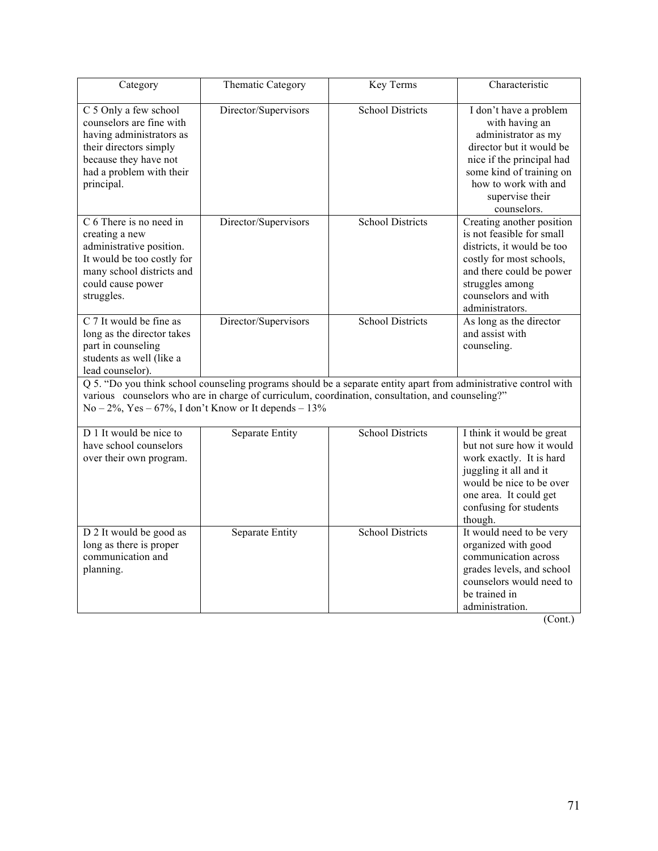| Category                                                                                                                                                                                                                                                                       | <b>Thematic Category</b> | <b>Key Terms</b>        | Characteristic                                                                                                                                                                                                 |  |  |
|--------------------------------------------------------------------------------------------------------------------------------------------------------------------------------------------------------------------------------------------------------------------------------|--------------------------|-------------------------|----------------------------------------------------------------------------------------------------------------------------------------------------------------------------------------------------------------|--|--|
| C 5 Only a few school<br>counselors are fine with<br>having administrators as<br>their directors simply<br>because they have not<br>had a problem with their<br>principal.                                                                                                     | Director/Supervisors     | School Districts        | I don't have a problem<br>with having an<br>administrator as my<br>director but it would be<br>nice if the principal had<br>some kind of training on<br>how to work with and<br>supervise their<br>counselors. |  |  |
| C 6 There is no need in<br>creating a new<br>administrative position.<br>It would be too costly for<br>many school districts and<br>could cause power<br>struggles.                                                                                                            | Director/Supervisors     | <b>School Districts</b> | Creating another position<br>is not feasible for small<br>districts, it would be too<br>costly for most schools,<br>and there could be power<br>struggles among<br>counselors and with<br>administrators.      |  |  |
| C 7 It would be fine as<br>long as the director takes<br>part in counseling<br>students as well (like a<br>lead counselor).                                                                                                                                                    | Director/Supervisors     | <b>School Districts</b> | As long as the director<br>and assist with<br>counseling.                                                                                                                                                      |  |  |
| Q 5. "Do you think school counseling programs should be a separate entity apart from administrative control with<br>various counselors who are in charge of curriculum, coordination, consultation, and counseling?"<br>$No-2\%$ , Yes - 67%, I don't Know or It depends - 13% |                          |                         |                                                                                                                                                                                                                |  |  |
| D 1 It would be nice to<br>have school counselors<br>over their own program.                                                                                                                                                                                                   | Separate Entity          | <b>School Districts</b> | I think it would be great<br>but not sure how it would<br>work exactly. It is hard<br>juggling it all and it<br>would be nice to be over<br>one area. It could get<br>confusing for students<br>though.        |  |  |
| D 2 It would be good as<br>long as there is proper<br>communication and<br>planning.                                                                                                                                                                                           | Separate Entity          | <b>School Districts</b> | It would need to be very<br>organized with good<br>communication across<br>grades levels, and school<br>counselors would need to<br>be trained in<br>administration.                                           |  |  |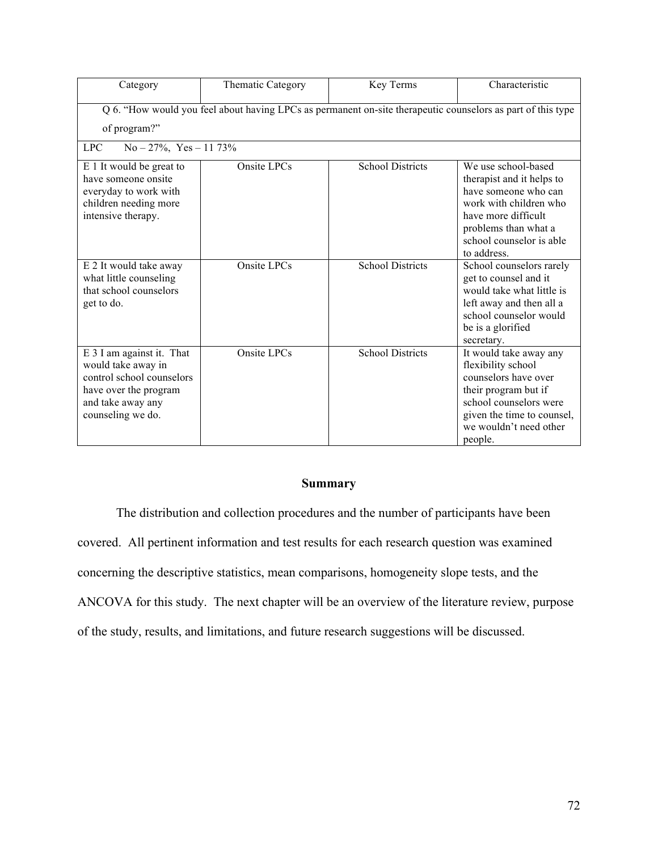| Category                                                                                                                                        | Thematic Category | Key Terms               | Characteristic                                                                                                                                                                               |  |  |
|-------------------------------------------------------------------------------------------------------------------------------------------------|-------------------|-------------------------|----------------------------------------------------------------------------------------------------------------------------------------------------------------------------------------------|--|--|
| Q 6. "How would you feel about having LPCs as permanent on-site therapeutic counselors as part of this type<br>of program?"                     |                   |                         |                                                                                                                                                                                              |  |  |
| <b>LPC</b><br>$No - 27\%, Yes - 1173\%$                                                                                                         |                   |                         |                                                                                                                                                                                              |  |  |
| E 1 It would be great to<br>have someone onsite<br>everyday to work with<br>children needing more<br>intensive therapy.                         | Onsite LPCs       | <b>School Districts</b> | We use school-based<br>therapist and it helps to<br>have someone who can<br>work with children who<br>have more difficult<br>problems than what a<br>school counselor is able<br>to address. |  |  |
| E 2 It would take away<br>what little counseling<br>that school counselors<br>get to do.                                                        | Onsite LPCs       | <b>School Districts</b> | School counselors rarely<br>get to counsel and it<br>would take what little is<br>left away and then all a<br>school counselor would<br>be is a glorified<br>secretary.                      |  |  |
| E 3 I am against it. That<br>would take away in<br>control school counselors<br>have over the program<br>and take away any<br>counseling we do. | Onsite LPCs       | <b>School Districts</b> | It would take away any<br>flexibility school<br>counselors have over<br>their program but if<br>school counselors were<br>given the time to counsel,<br>we wouldn't need other<br>people.    |  |  |

## **Summary**

The distribution and collection procedures and the number of participants have been covered. All pertinent information and test results for each research question was examined concerning the descriptive statistics, mean comparisons, homogeneity slope tests, and the ANCOVA for this study. The next chapter will be an overview of the literature review, purpose of the study, results, and limitations, and future research suggestions will be discussed.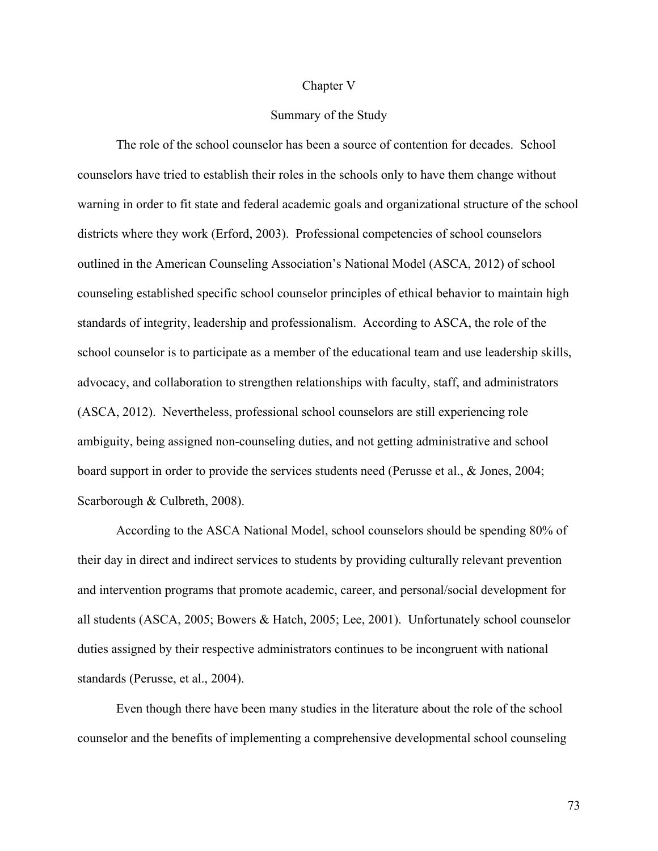#### Chapter V

## Summary of the Study

The role of the school counselor has been a source of contention for decades. School counselors have tried to establish their roles in the schools only to have them change without warning in order to fit state and federal academic goals and organizational structure of the school districts where they work (Erford, 2003). Professional competencies of school counselors outlined in the American Counseling Association's National Model (ASCA, 2012) of school counseling established specific school counselor principles of ethical behavior to maintain high standards of integrity, leadership and professionalism. According to ASCA, the role of the school counselor is to participate as a member of the educational team and use leadership skills, advocacy, and collaboration to strengthen relationships with faculty, staff, and administrators (ASCA, 2012). Nevertheless, professional school counselors are still experiencing role ambiguity, being assigned non-counseling duties, and not getting administrative and school board support in order to provide the services students need (Perusse et al., & Jones, 2004; Scarborough & Culbreth, 2008).

According to the ASCA National Model, school counselors should be spending 80% of their day in direct and indirect services to students by providing culturally relevant prevention and intervention programs that promote academic, career, and personal/social development for all students (ASCA, 2005; Bowers & Hatch, 2005; Lee, 2001). Unfortunately school counselor duties assigned by their respective administrators continues to be incongruent with national standards (Perusse, et al., 2004).

Even though there have been many studies in the literature about the role of the school counselor and the benefits of implementing a comprehensive developmental school counseling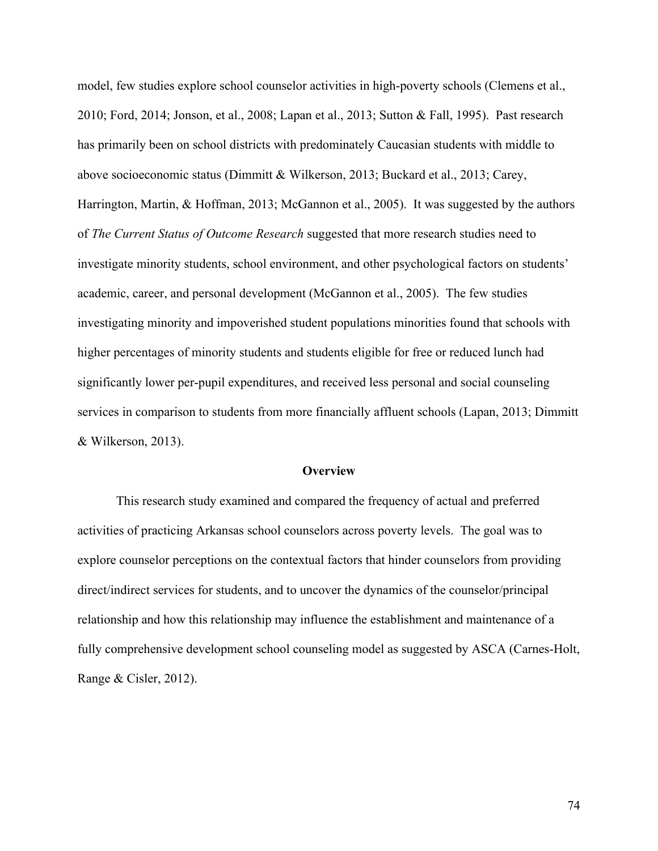model, few studies explore school counselor activities in high-poverty schools (Clemens et al., 2010; Ford, 2014; Jonson, et al., 2008; Lapan et al., 2013; Sutton & Fall, 1995). Past research has primarily been on school districts with predominately Caucasian students with middle to above socioeconomic status (Dimmitt & Wilkerson, 2013; Buckard et al., 2013; Carey, Harrington, Martin, & Hoffman, 2013; McGannon et al., 2005). It was suggested by the authors of *The Current Status of Outcome Research* suggested that more research studies need to investigate minority students, school environment, and other psychological factors on students' academic, career, and personal development (McGannon et al., 2005). The few studies investigating minority and impoverished student populations minorities found that schools with higher percentages of minority students and students eligible for free or reduced lunch had significantly lower per-pupil expenditures, and received less personal and social counseling services in comparison to students from more financially affluent schools (Lapan, 2013; Dimmitt & Wilkerson, 2013).

#### **Overview**

This research study examined and compared the frequency of actual and preferred activities of practicing Arkansas school counselors across poverty levels. The goal was to explore counselor perceptions on the contextual factors that hinder counselors from providing direct/indirect services for students, and to uncover the dynamics of the counselor/principal relationship and how this relationship may influence the establishment and maintenance of a fully comprehensive development school counseling model as suggested by ASCA (Carnes-Holt, Range & Cisler, 2012).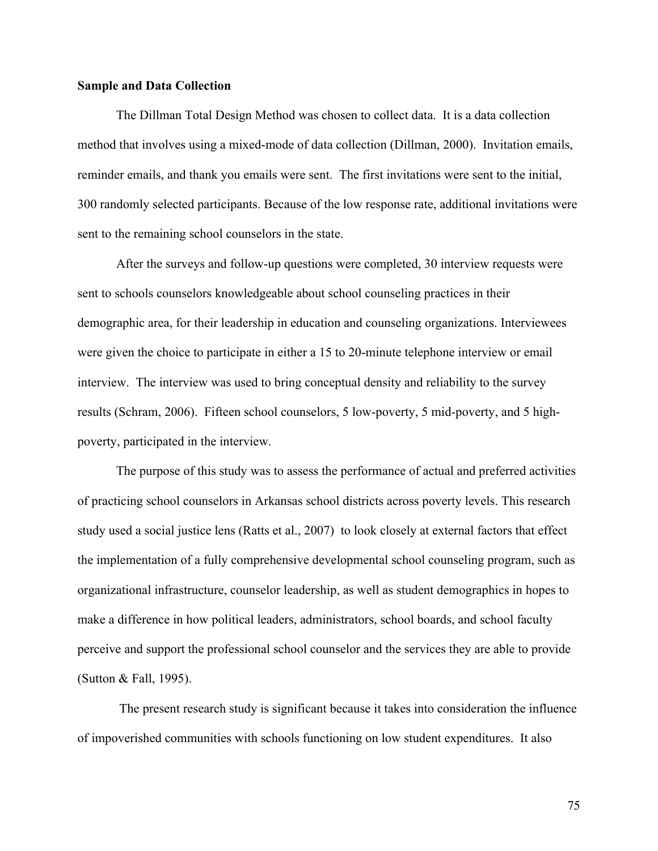## **Sample and Data Collection**

The Dillman Total Design Method was chosen to collect data. It is a data collection method that involves using a mixed-mode of data collection (Dillman, 2000). Invitation emails, reminder emails, and thank you emails were sent. The first invitations were sent to the initial, 300 randomly selected participants. Because of the low response rate, additional invitations were sent to the remaining school counselors in the state.

After the surveys and follow-up questions were completed, 30 interview requests were sent to schools counselors knowledgeable about school counseling practices in their demographic area, for their leadership in education and counseling organizations. Interviewees were given the choice to participate in either a 15 to 20-minute telephone interview or email interview. The interview was used to bring conceptual density and reliability to the survey results (Schram, 2006). Fifteen school counselors, 5 low-poverty, 5 mid-poverty, and 5 highpoverty, participated in the interview.

The purpose of this study was to assess the performance of actual and preferred activities of practicing school counselors in Arkansas school districts across poverty levels. This research study used a social justice lens (Ratts et al., 2007) to look closely at external factors that effect the implementation of a fully comprehensive developmental school counseling program, such as organizational infrastructure, counselor leadership, as well as student demographics in hopes to make a difference in how political leaders, administrators, school boards, and school faculty perceive and support the professional school counselor and the services they are able to provide (Sutton & Fall, 1995).

The present research study is significant because it takes into consideration the influence of impoverished communities with schools functioning on low student expenditures. It also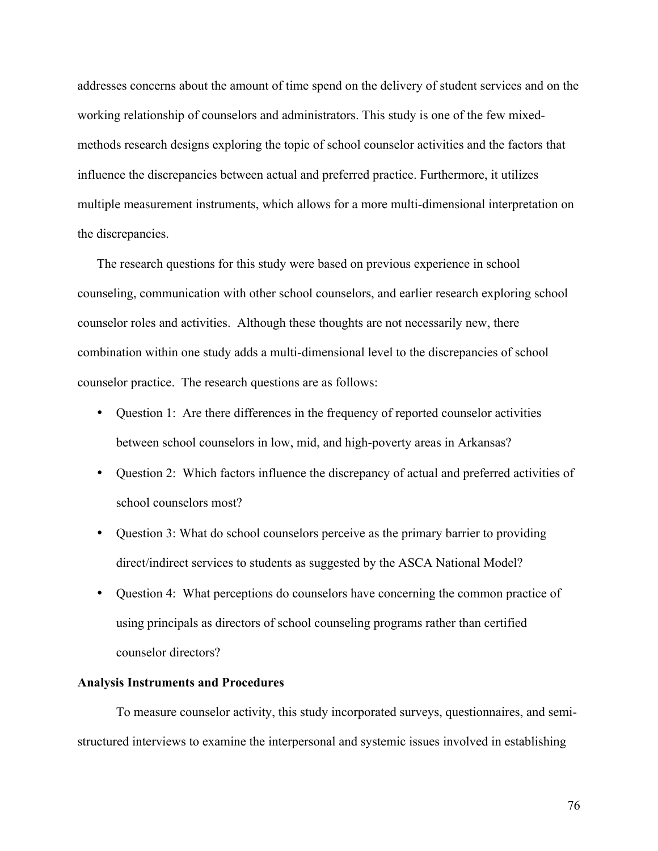addresses concerns about the amount of time spend on the delivery of student services and on the working relationship of counselors and administrators. This study is one of the few mixedmethods research designs exploring the topic of school counselor activities and the factors that influence the discrepancies between actual and preferred practice. Furthermore, it utilizes multiple measurement instruments, which allows for a more multi-dimensional interpretation on the discrepancies.

The research questions for this study were based on previous experience in school counseling, communication with other school counselors, and earlier research exploring school counselor roles and activities. Although these thoughts are not necessarily new, there combination within one study adds a multi-dimensional level to the discrepancies of school counselor practice. The research questions are as follows:

- Question 1: Are there differences in the frequency of reported counselor activities between school counselors in low, mid, and high-poverty areas in Arkansas?
- Question 2: Which factors influence the discrepancy of actual and preferred activities of school counselors most?
- Question 3: What do school counselors perceive as the primary barrier to providing direct/indirect services to students as suggested by the ASCA National Model?
- Question 4: What perceptions do counselors have concerning the common practice of using principals as directors of school counseling programs rather than certified counselor directors?

## **Analysis Instruments and Procedures**

To measure counselor activity, this study incorporated surveys, questionnaires, and semistructured interviews to examine the interpersonal and systemic issues involved in establishing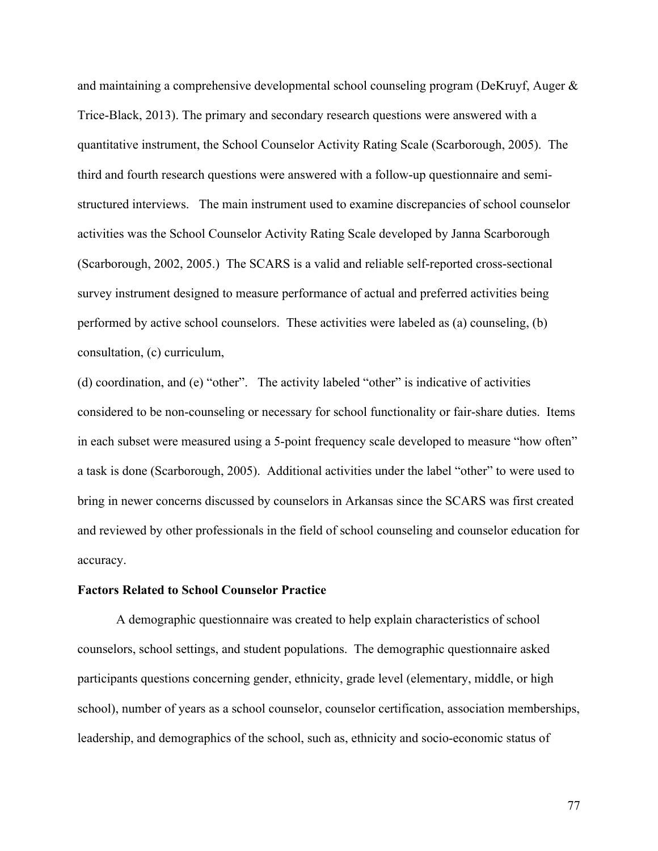and maintaining a comprehensive developmental school counseling program (DeKruyf, Auger & Trice-Black, 2013). The primary and secondary research questions were answered with a quantitative instrument, the School Counselor Activity Rating Scale (Scarborough, 2005). The third and fourth research questions were answered with a follow-up questionnaire and semistructured interviews. The main instrument used to examine discrepancies of school counselor activities was the School Counselor Activity Rating Scale developed by Janna Scarborough (Scarborough, 2002, 2005.) The SCARS is a valid and reliable self-reported cross-sectional survey instrument designed to measure performance of actual and preferred activities being performed by active school counselors. These activities were labeled as (a) counseling, (b) consultation, (c) curriculum,

(d) coordination, and (e) "other". The activity labeled "other" is indicative of activities considered to be non-counseling or necessary for school functionality or fair-share duties. Items in each subset were measured using a 5-point frequency scale developed to measure "how often" a task is done (Scarborough, 2005). Additional activities under the label "other" to were used to bring in newer concerns discussed by counselors in Arkansas since the SCARS was first created and reviewed by other professionals in the field of school counseling and counselor education for accuracy.

#### **Factors Related to School Counselor Practice**

A demographic questionnaire was created to help explain characteristics of school counselors, school settings, and student populations. The demographic questionnaire asked participants questions concerning gender, ethnicity, grade level (elementary, middle, or high school), number of years as a school counselor, counselor certification, association memberships, leadership, and demographics of the school, such as, ethnicity and socio-economic status of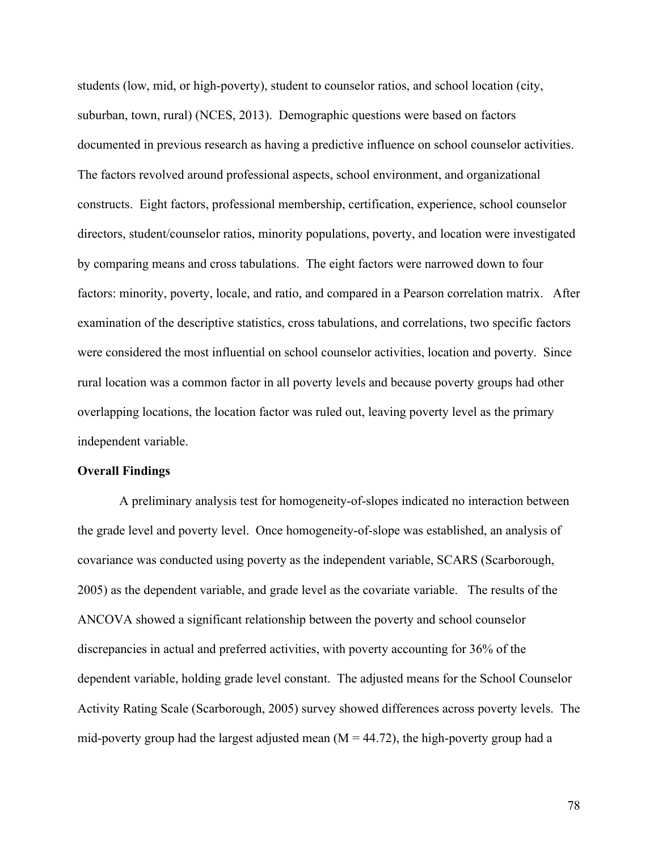students (low, mid, or high-poverty), student to counselor ratios, and school location (city, suburban, town, rural) (NCES, 2013). Demographic questions were based on factors documented in previous research as having a predictive influence on school counselor activities. The factors revolved around professional aspects, school environment, and organizational constructs. Eight factors, professional membership, certification, experience, school counselor directors, student/counselor ratios, minority populations, poverty, and location were investigated by comparing means and cross tabulations. The eight factors were narrowed down to four factors: minority, poverty, locale, and ratio, and compared in a Pearson correlation matrix. After examination of the descriptive statistics, cross tabulations, and correlations, two specific factors were considered the most influential on school counselor activities, location and poverty. Since rural location was a common factor in all poverty levels and because poverty groups had other overlapping locations, the location factor was ruled out, leaving poverty level as the primary independent variable.

## **Overall Findings**

A preliminary analysis test for homogeneity-of-slopes indicated no interaction between the grade level and poverty level. Once homogeneity-of-slope was established, an analysis of covariance was conducted using poverty as the independent variable, SCARS (Scarborough, 2005) as the dependent variable, and grade level as the covariate variable. The results of the ANCOVA showed a significant relationship between the poverty and school counselor discrepancies in actual and preferred activities, with poverty accounting for 36% of the dependent variable, holding grade level constant. The adjusted means for the School Counselor Activity Rating Scale (Scarborough, 2005) survey showed differences across poverty levels. The mid-poverty group had the largest adjusted mean  $(M = 44.72)$ , the high-poverty group had a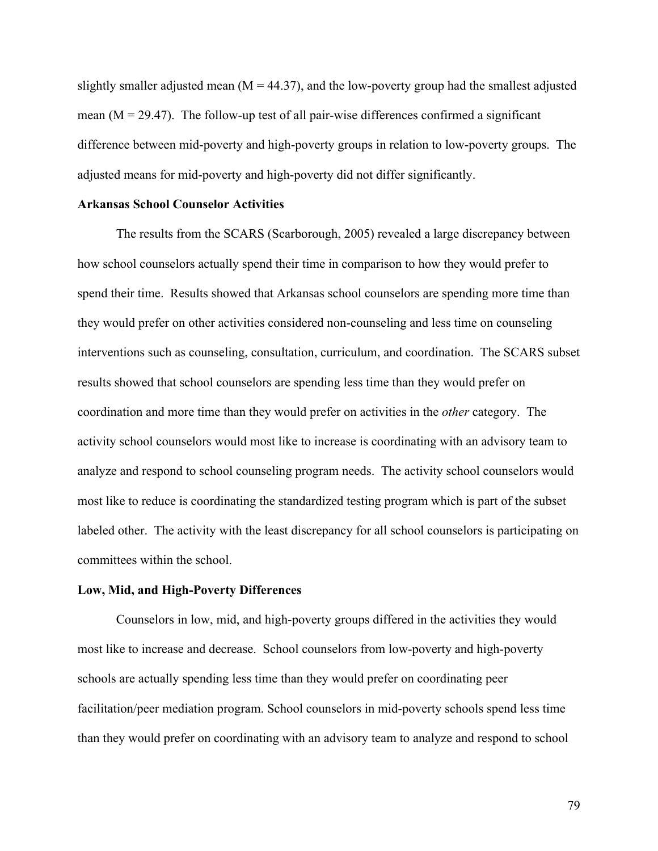slightly smaller adjusted mean ( $M = 44.37$ ), and the low-poverty group had the smallest adjusted mean  $(M = 29.47)$ . The follow-up test of all pair-wise differences confirmed a significant difference between mid-poverty and high-poverty groups in relation to low-poverty groups. The adjusted means for mid-poverty and high-poverty did not differ significantly.

## **Arkansas School Counselor Activities**

The results from the SCARS (Scarborough, 2005) revealed a large discrepancy between how school counselors actually spend their time in comparison to how they would prefer to spend their time. Results showed that Arkansas school counselors are spending more time than they would prefer on other activities considered non-counseling and less time on counseling interventions such as counseling, consultation, curriculum, and coordination. The SCARS subset results showed that school counselors are spending less time than they would prefer on coordination and more time than they would prefer on activities in the *other* category. The activity school counselors would most like to increase is coordinating with an advisory team to analyze and respond to school counseling program needs. The activity school counselors would most like to reduce is coordinating the standardized testing program which is part of the subset labeled other. The activity with the least discrepancy for all school counselors is participating on committees within the school.

#### **Low, Mid, and High-Poverty Differences**

Counselors in low, mid, and high-poverty groups differed in the activities they would most like to increase and decrease. School counselors from low-poverty and high-poverty schools are actually spending less time than they would prefer on coordinating peer facilitation/peer mediation program. School counselors in mid-poverty schools spend less time than they would prefer on coordinating with an advisory team to analyze and respond to school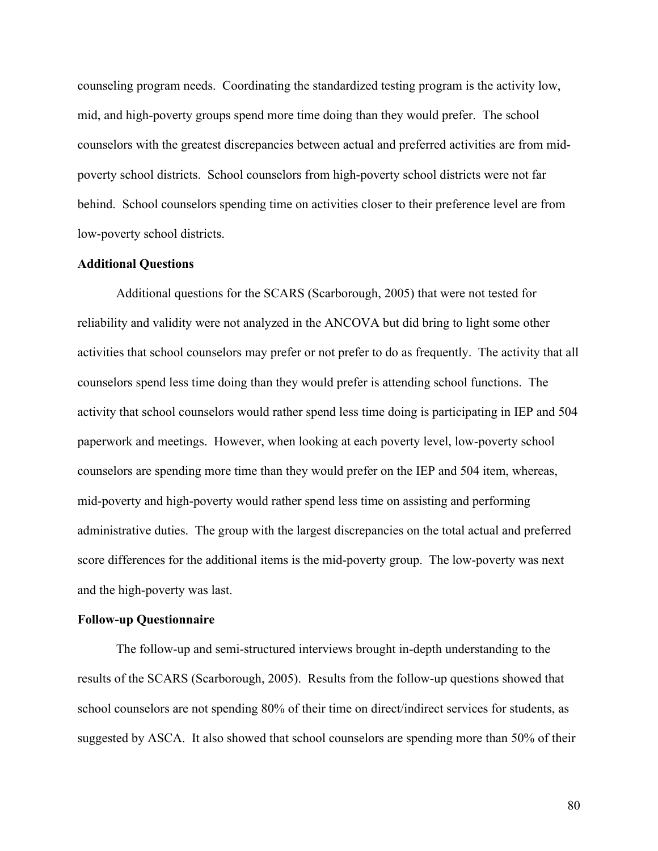counseling program needs. Coordinating the standardized testing program is the activity low, mid, and high-poverty groups spend more time doing than they would prefer. The school counselors with the greatest discrepancies between actual and preferred activities are from midpoverty school districts. School counselors from high-poverty school districts were not far behind. School counselors spending time on activities closer to their preference level are from low-poverty school districts.

## **Additional Questions**

Additional questions for the SCARS (Scarborough, 2005) that were not tested for reliability and validity were not analyzed in the ANCOVA but did bring to light some other activities that school counselors may prefer or not prefer to do as frequently. The activity that all counselors spend less time doing than they would prefer is attending school functions. The activity that school counselors would rather spend less time doing is participating in IEP and 504 paperwork and meetings. However, when looking at each poverty level, low-poverty school counselors are spending more time than they would prefer on the IEP and 504 item, whereas, mid-poverty and high-poverty would rather spend less time on assisting and performing administrative duties. The group with the largest discrepancies on the total actual and preferred score differences for the additional items is the mid-poverty group. The low-poverty was next and the high-poverty was last.

## **Follow-up Questionnaire**

The follow-up and semi-structured interviews brought in-depth understanding to the results of the SCARS (Scarborough, 2005). Results from the follow-up questions showed that school counselors are not spending 80% of their time on direct/indirect services for students, as suggested by ASCA. It also showed that school counselors are spending more than 50% of their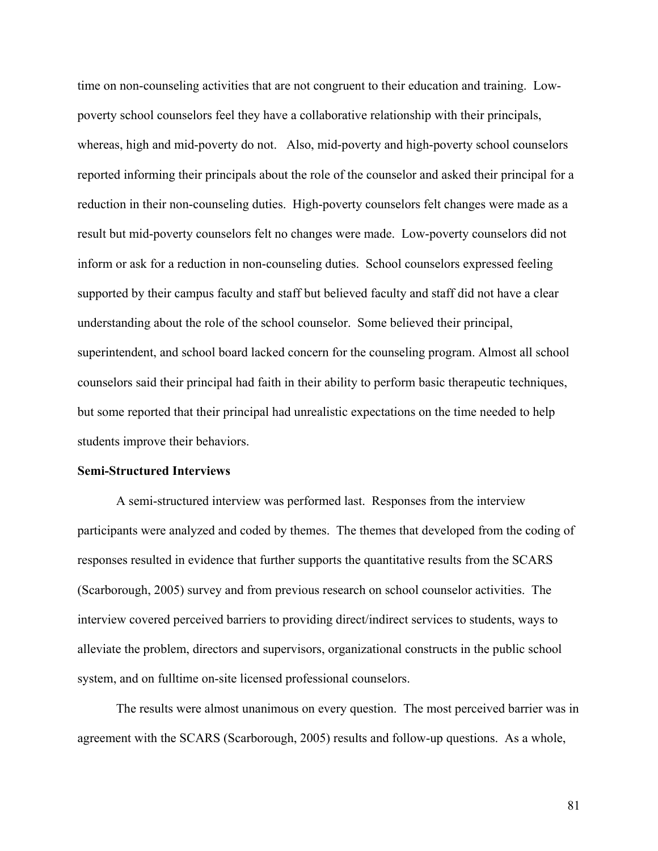time on non-counseling activities that are not congruent to their education and training. Lowpoverty school counselors feel they have a collaborative relationship with their principals, whereas, high and mid-poverty do not. Also, mid-poverty and high-poverty school counselors reported informing their principals about the role of the counselor and asked their principal for a reduction in their non-counseling duties. High-poverty counselors felt changes were made as a result but mid-poverty counselors felt no changes were made. Low-poverty counselors did not inform or ask for a reduction in non-counseling duties. School counselors expressed feeling supported by their campus faculty and staff but believed faculty and staff did not have a clear understanding about the role of the school counselor. Some believed their principal, superintendent, and school board lacked concern for the counseling program. Almost all school counselors said their principal had faith in their ability to perform basic therapeutic techniques, but some reported that their principal had unrealistic expectations on the time needed to help students improve their behaviors.

## **Semi-Structured Interviews**

A semi-structured interview was performed last. Responses from the interview participants were analyzed and coded by themes. The themes that developed from the coding of responses resulted in evidence that further supports the quantitative results from the SCARS (Scarborough, 2005) survey and from previous research on school counselor activities. The interview covered perceived barriers to providing direct/indirect services to students, ways to alleviate the problem, directors and supervisors, organizational constructs in the public school system, and on fulltime on-site licensed professional counselors.

The results were almost unanimous on every question. The most perceived barrier was in agreement with the SCARS (Scarborough, 2005) results and follow-up questions. As a whole,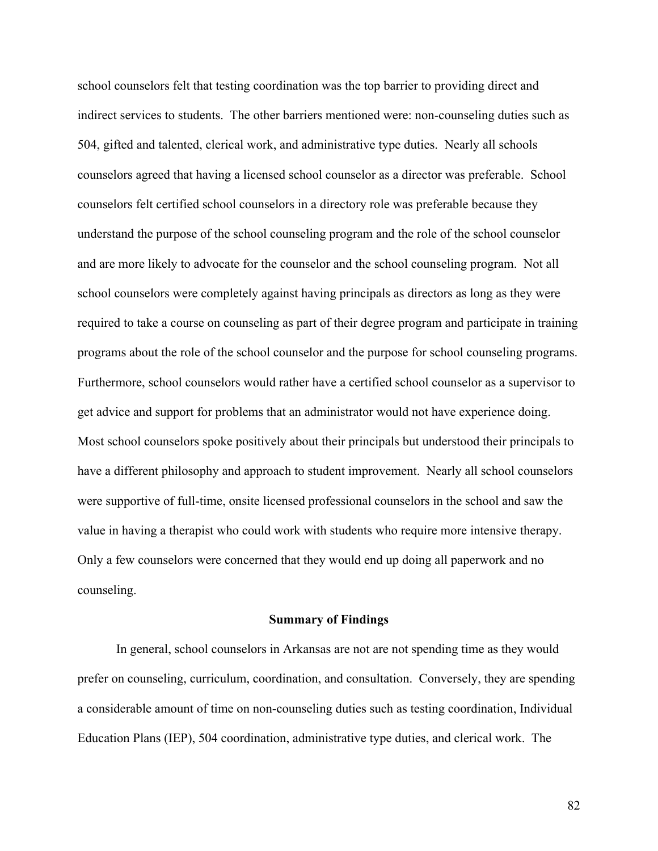school counselors felt that testing coordination was the top barrier to providing direct and indirect services to students. The other barriers mentioned were: non-counseling duties such as 504, gifted and talented, clerical work, and administrative type duties. Nearly all schools counselors agreed that having a licensed school counselor as a director was preferable. School counselors felt certified school counselors in a directory role was preferable because they understand the purpose of the school counseling program and the role of the school counselor and are more likely to advocate for the counselor and the school counseling program. Not all school counselors were completely against having principals as directors as long as they were required to take a course on counseling as part of their degree program and participate in training programs about the role of the school counselor and the purpose for school counseling programs. Furthermore, school counselors would rather have a certified school counselor as a supervisor to get advice and support for problems that an administrator would not have experience doing. Most school counselors spoke positively about their principals but understood their principals to have a different philosophy and approach to student improvement. Nearly all school counselors were supportive of full-time, onsite licensed professional counselors in the school and saw the value in having a therapist who could work with students who require more intensive therapy. Only a few counselors were concerned that they would end up doing all paperwork and no counseling.

## **Summary of Findings**

In general, school counselors in Arkansas are not are not spending time as they would prefer on counseling, curriculum, coordination, and consultation. Conversely, they are spending a considerable amount of time on non-counseling duties such as testing coordination, Individual Education Plans (IEP), 504 coordination, administrative type duties, and clerical work. The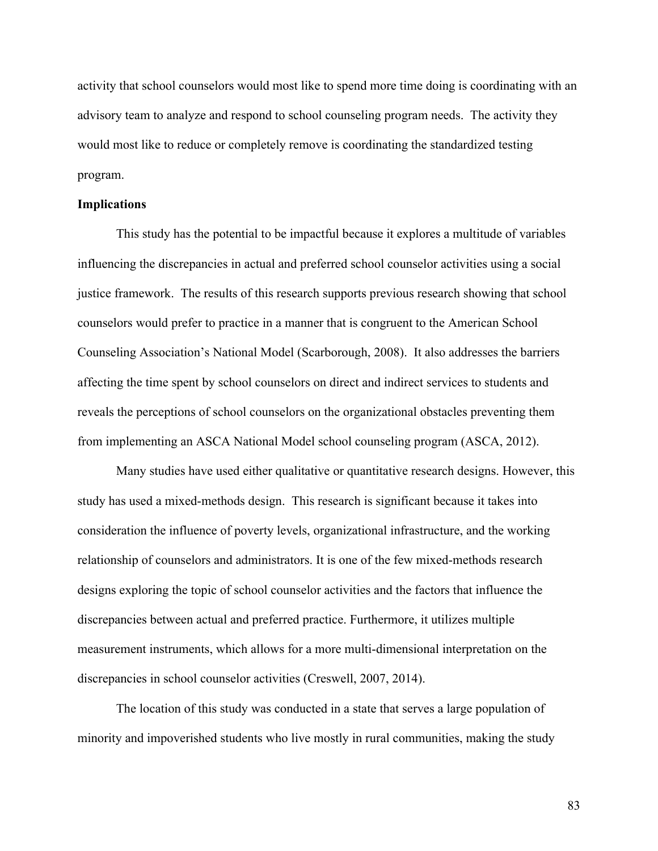activity that school counselors would most like to spend more time doing is coordinating with an advisory team to analyze and respond to school counseling program needs. The activity they would most like to reduce or completely remove is coordinating the standardized testing program.

## **Implications**

This study has the potential to be impactful because it explores a multitude of variables influencing the discrepancies in actual and preferred school counselor activities using a social justice framework. The results of this research supports previous research showing that school counselors would prefer to practice in a manner that is congruent to the American School Counseling Association's National Model (Scarborough, 2008). It also addresses the barriers affecting the time spent by school counselors on direct and indirect services to students and reveals the perceptions of school counselors on the organizational obstacles preventing them from implementing an ASCA National Model school counseling program (ASCA, 2012).

Many studies have used either qualitative or quantitative research designs. However, this study has used a mixed-methods design. This research is significant because it takes into consideration the influence of poverty levels, organizational infrastructure, and the working relationship of counselors and administrators. It is one of the few mixed-methods research designs exploring the topic of school counselor activities and the factors that influence the discrepancies between actual and preferred practice. Furthermore, it utilizes multiple measurement instruments, which allows for a more multi-dimensional interpretation on the discrepancies in school counselor activities (Creswell, 2007, 2014).

The location of this study was conducted in a state that serves a large population of minority and impoverished students who live mostly in rural communities, making the study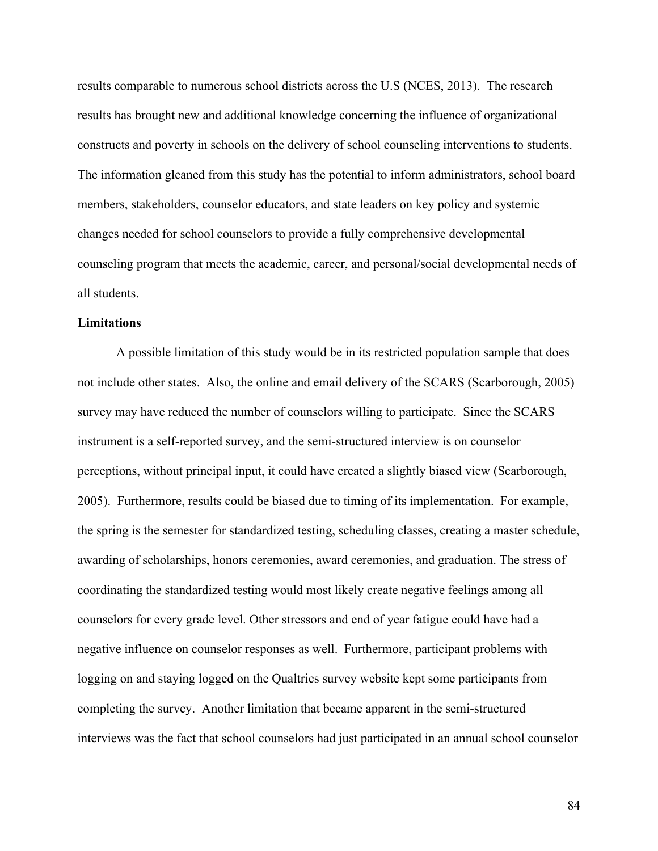results comparable to numerous school districts across the U.S (NCES, 2013). The research results has brought new and additional knowledge concerning the influence of organizational constructs and poverty in schools on the delivery of school counseling interventions to students. The information gleaned from this study has the potential to inform administrators, school board members, stakeholders, counselor educators, and state leaders on key policy and systemic changes needed for school counselors to provide a fully comprehensive developmental counseling program that meets the academic, career, and personal/social developmental needs of all students.

## **Limitations**

A possible limitation of this study would be in its restricted population sample that does not include other states. Also, the online and email delivery of the SCARS (Scarborough, 2005) survey may have reduced the number of counselors willing to participate. Since the SCARS instrument is a self-reported survey, and the semi-structured interview is on counselor perceptions, without principal input, it could have created a slightly biased view (Scarborough, 2005). Furthermore, results could be biased due to timing of its implementation. For example, the spring is the semester for standardized testing, scheduling classes, creating a master schedule, awarding of scholarships, honors ceremonies, award ceremonies, and graduation. The stress of coordinating the standardized testing would most likely create negative feelings among all counselors for every grade level. Other stressors and end of year fatigue could have had a negative influence on counselor responses as well. Furthermore, participant problems with logging on and staying logged on the Qualtrics survey website kept some participants from completing the survey. Another limitation that became apparent in the semi-structured interviews was the fact that school counselors had just participated in an annual school counselor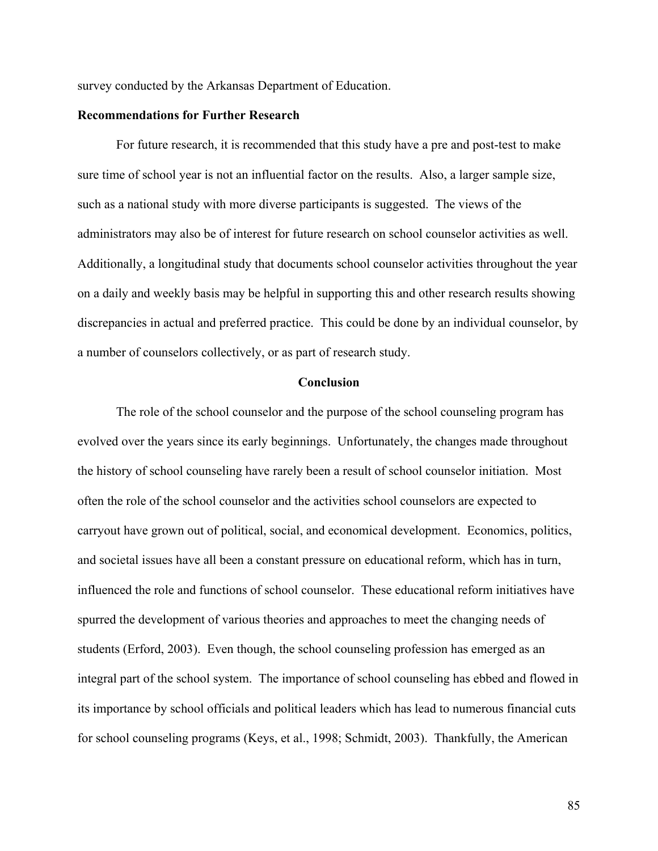survey conducted by the Arkansas Department of Education.

## **Recommendations for Further Research**

For future research, it is recommended that this study have a pre and post-test to make sure time of school year is not an influential factor on the results. Also, a larger sample size, such as a national study with more diverse participants is suggested. The views of the administrators may also be of interest for future research on school counselor activities as well. Additionally, a longitudinal study that documents school counselor activities throughout the year on a daily and weekly basis may be helpful in supporting this and other research results showing discrepancies in actual and preferred practice. This could be done by an individual counselor, by a number of counselors collectively, or as part of research study.

## **Conclusion**

The role of the school counselor and the purpose of the school counseling program has evolved over the years since its early beginnings. Unfortunately, the changes made throughout the history of school counseling have rarely been a result of school counselor initiation. Most often the role of the school counselor and the activities school counselors are expected to carryout have grown out of political, social, and economical development. Economics, politics, and societal issues have all been a constant pressure on educational reform, which has in turn, influenced the role and functions of school counselor. These educational reform initiatives have spurred the development of various theories and approaches to meet the changing needs of students (Erford, 2003). Even though, the school counseling profession has emerged as an integral part of the school system. The importance of school counseling has ebbed and flowed in its importance by school officials and political leaders which has lead to numerous financial cuts for school counseling programs (Keys, et al., 1998; Schmidt, 2003). Thankfully, the American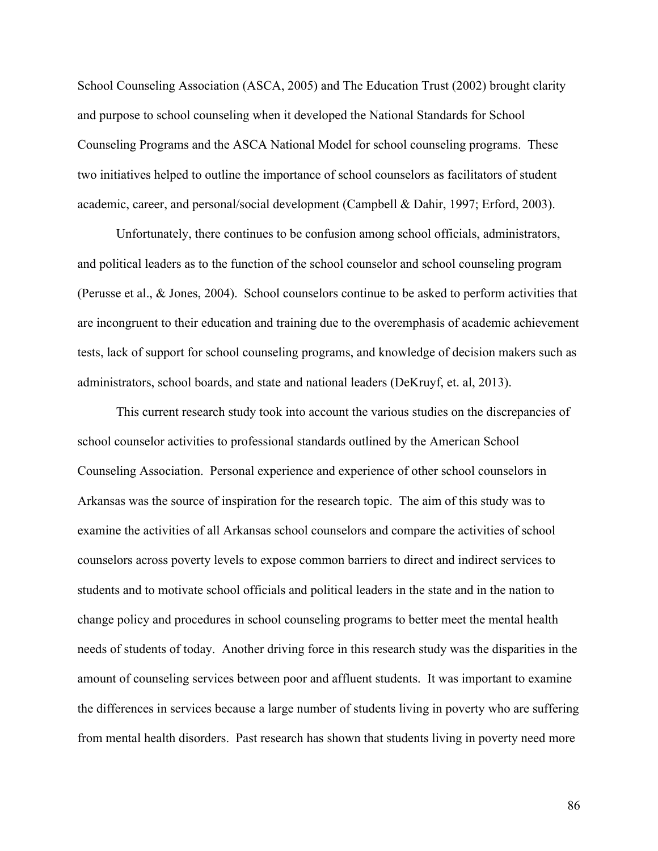School Counseling Association (ASCA, 2005) and The Education Trust (2002) brought clarity and purpose to school counseling when it developed the National Standards for School Counseling Programs and the ASCA National Model for school counseling programs. These two initiatives helped to outline the importance of school counselors as facilitators of student academic, career, and personal/social development (Campbell & Dahir, 1997; Erford, 2003).

Unfortunately, there continues to be confusion among school officials, administrators, and political leaders as to the function of the school counselor and school counseling program (Perusse et al., & Jones, 2004). School counselors continue to be asked to perform activities that are incongruent to their education and training due to the overemphasis of academic achievement tests, lack of support for school counseling programs, and knowledge of decision makers such as administrators, school boards, and state and national leaders (DeKruyf, et. al, 2013).

This current research study took into account the various studies on the discrepancies of school counselor activities to professional standards outlined by the American School Counseling Association. Personal experience and experience of other school counselors in Arkansas was the source of inspiration for the research topic. The aim of this study was to examine the activities of all Arkansas school counselors and compare the activities of school counselors across poverty levels to expose common barriers to direct and indirect services to students and to motivate school officials and political leaders in the state and in the nation to change policy and procedures in school counseling programs to better meet the mental health needs of students of today. Another driving force in this research study was the disparities in the amount of counseling services between poor and affluent students. It was important to examine the differences in services because a large number of students living in poverty who are suffering from mental health disorders. Past research has shown that students living in poverty need more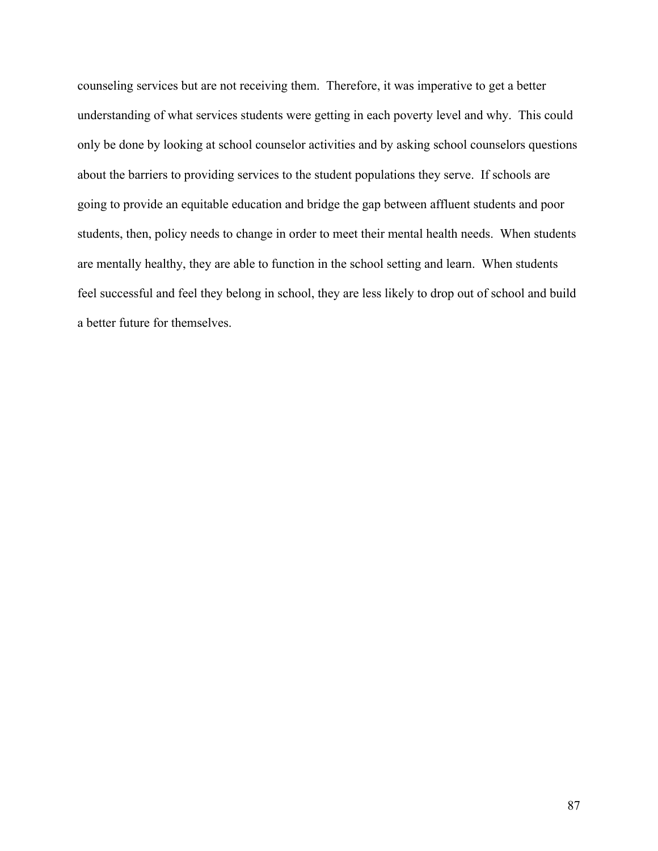counseling services but are not receiving them. Therefore, it was imperative to get a better understanding of what services students were getting in each poverty level and why. This could only be done by looking at school counselor activities and by asking school counselors questions about the barriers to providing services to the student populations they serve. If schools are going to provide an equitable education and bridge the gap between affluent students and poor students, then, policy needs to change in order to meet their mental health needs. When students are mentally healthy, they are able to function in the school setting and learn. When students feel successful and feel they belong in school, they are less likely to drop out of school and build a better future for themselves.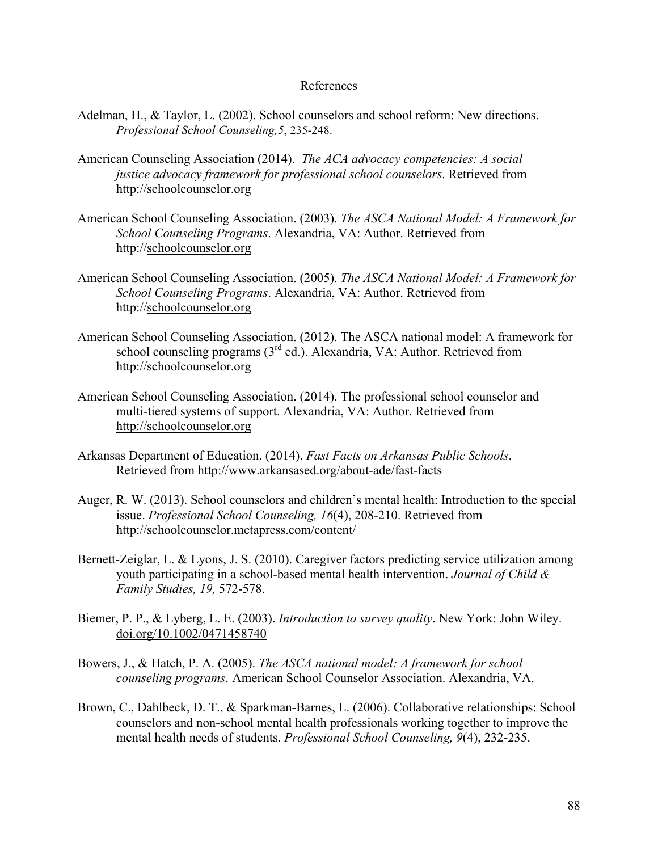## References

- Adelman, H., & Taylor, L. (2002). School counselors and school reform: New directions. *Professional School Counseling,5*, 235-248.
- American Counseling Association (2014). *The ACA advocacy competencies: A social justice advocacy framework for professional school counselors*. Retrieved from http://schoolcounselor.org
- American School Counseling Association. (2003). *The ASCA National Model: A Framework for School Counseling Programs*. Alexandria, VA: Author. Retrieved from http://schoolcounselor.org
- American School Counseling Association. (2005). *The ASCA National Model: A Framework for School Counseling Programs*. Alexandria, VA: Author. Retrieved from http://schoolcounselor.org
- American School Counseling Association. (2012). The ASCA national model: A framework for school counseling programs  $(3<sup>rd</sup>$  ed.). Alexandria, VA: Author. Retrieved from http://schoolcounselor.org
- American School Counseling Association. (2014). The professional school counselor and multi-tiered systems of support. Alexandria, VA: Author. Retrieved from http://schoolcounselor.org
- Arkansas Department of Education. (2014). *Fast Facts on Arkansas Public Schools*. Retrieved from http://www.arkansased.org/about-ade/fast-facts
- Auger, R. W. (2013). School counselors and children's mental health: Introduction to the special issue. *Professional School Counseling, 16*(4), 208-210. Retrieved from http://schoolcounselor.metapress.com/content/
- Bernett-Zeiglar, L. & Lyons, J. S. (2010). Caregiver factors predicting service utilization among youth participating in a school-based mental health intervention. *Journal of Child & Family Studies, 19,* 572-578.
- Biemer, P. P., & Lyberg, L. E. (2003). *Introduction to survey quality*. New York: John Wiley. doi.org/10.1002/0471458740
- Bowers, J., & Hatch, P. A. (2005). *The ASCA national model: A framework for school counseling programs*. American School Counselor Association. Alexandria, VA.
- Brown, C., Dahlbeck, D. T., & Sparkman-Barnes, L. (2006). Collaborative relationships: School counselors and non-school mental health professionals working together to improve the mental health needs of students. *Professional School Counseling, 9*(4), 232-235.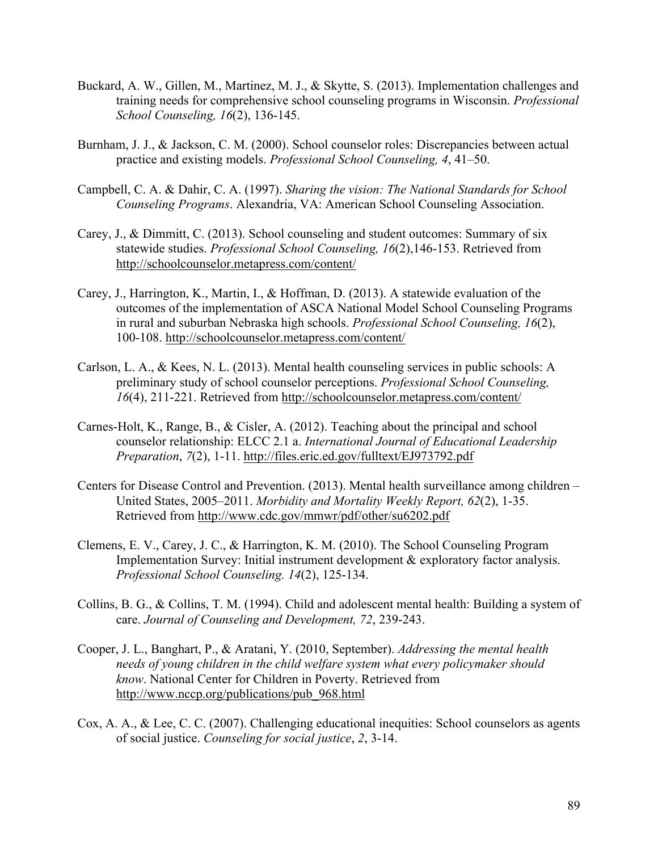- Buckard, A. W., Gillen, M., Martinez, M. J., & Skytte, S. (2013). Implementation challenges and training needs for comprehensive school counseling programs in Wisconsin. *Professional School Counseling, 16*(2), 136-145.
- Burnham, J. J., & Jackson, C. M. (2000). School counselor roles: Discrepancies between actual practice and existing models. *Professional School Counseling, 4*, 41–50.
- Campbell, C. A. & Dahir, C. A. (1997). *Sharing the vision: The National Standards for School Counseling Programs*. Alexandria, VA: American School Counseling Association.
- Carey, J., & Dimmitt, C. (2013). School counseling and student outcomes: Summary of six statewide studies. *Professional School Counseling, 16*(2),146-153. Retrieved from http://schoolcounselor.metapress.com/content/
- Carey, J., Harrington, K., Martin, I., & Hoffman, D. (2013). A statewide evaluation of the outcomes of the implementation of ASCA National Model School Counseling Programs in rural and suburban Nebraska high schools. *Professional School Counseling, 16*(2), 100-108. http://schoolcounselor.metapress.com/content/
- Carlson, L. A., & Kees, N. L. (2013). Mental health counseling services in public schools: A preliminary study of school counselor perceptions. *Professional School Counseling, 16*(4), 211-221. Retrieved from http://schoolcounselor.metapress.com/content/
- Carnes-Holt, K., Range, B., & Cisler, A. (2012). Teaching about the principal and school counselor relationship: ELCC 2.1 a. *International Journal of Educational Leadership Preparation*, *7*(2), 1-11. http://files.eric.ed.gov/fulltext/EJ973792.pdf
- Centers for Disease Control and Prevention. (2013). Mental health surveillance among children United States, 2005–2011. *Morbidity and Mortality Weekly Report, 62*(2), 1-35. Retrieved from http://www.cdc.gov/mmwr/pdf/other/su6202.pdf
- Clemens, E. V., Carey, J. C., & Harrington, K. M. (2010). The School Counseling Program Implementation Survey: Initial instrument development & exploratory factor analysis. *Professional School Counseling. 14*(2), 125-134.
- Collins, B. G., & Collins, T. M. (1994). Child and adolescent mental health: Building a system of care. *Journal of Counseling and Development, 72*, 239-243.
- Cooper, J. L., Banghart, P., & Aratani, Y. (2010, September). *Addressing the mental health needs of young children in the child welfare system what every policymaker should know*. National Center for Children in Poverty. Retrieved from http://www.nccp.org/publications/pub\_968.html
- Cox, A. A., & Lee, C. C. (2007). Challenging educational inequities: School counselors as agents of social justice. *Counseling for social justice*, *2*, 3-14.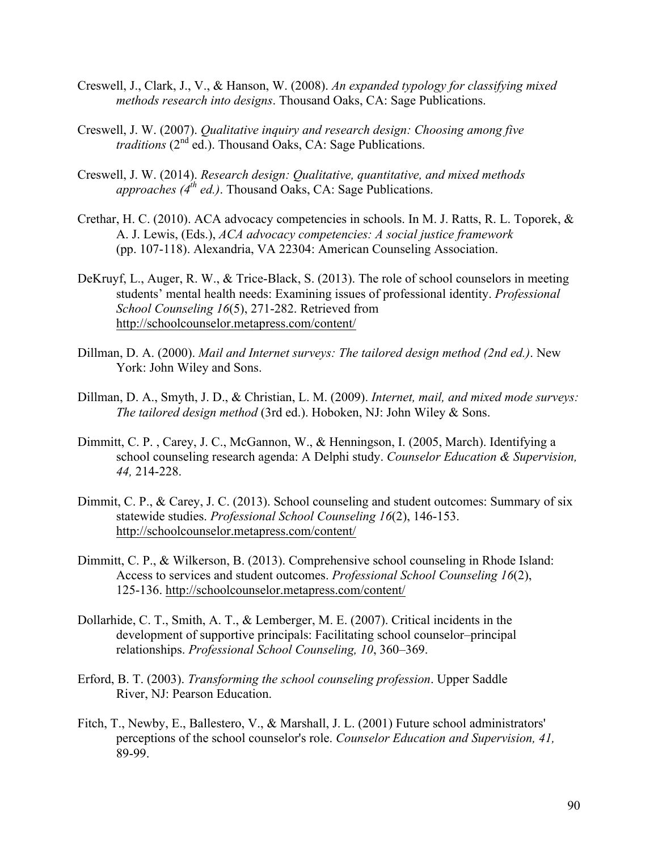- Creswell, J., Clark, J., V., & Hanson, W. (2008). *An expanded typology for classifying mixed methods research into designs*. Thousand Oaks, CA: Sage Publications.
- Creswell, J. W. (2007). *Qualitative inquiry and research design: Choosing among five traditions* (2<sup>nd</sup> ed.). Thousand Oaks, CA: Sage Publications.
- Creswell, J. W. (2014). *Research design: Qualitative, quantitative, and mixed methods approaches (4th ed.)*. Thousand Oaks, CA: Sage Publications.
- Crethar, H. C. (2010). ACA advocacy competencies in schools. In M. J. Ratts, R. L. Toporek, & A. J. Lewis, (Eds.), *ACA advocacy competencies: A social justice framework* (pp. 107-118). Alexandria, VA 22304: American Counseling Association.
- DeKruyf, L., Auger, R. W., & Trice-Black, S. (2013). The role of school counselors in meeting students' mental health needs: Examining issues of professional identity. *Professional School Counseling 16*(5), 271-282. Retrieved from http://schoolcounselor.metapress.com/content/
- Dillman, D. A. (2000). *Mail and Internet surveys: The tailored design method (2nd ed.)*. New York: John Wiley and Sons.
- Dillman, D. A., Smyth, J. D., & Christian, L. M. (2009). *Internet, mail, and mixed mode surveys: The tailored design method* (3rd ed.). Hoboken, NJ: John Wiley & Sons.
- Dimmitt, C. P. , Carey, J. C., McGannon, W., & Henningson, I. (2005, March). Identifying a school counseling research agenda: A Delphi study. *Counselor Education & Supervision, 44,* 214-228.
- Dimmit, C. P., & Carey, J. C. (2013). School counseling and student outcomes: Summary of six statewide studies. *Professional School Counseling 16*(2), 146-153. http://schoolcounselor.metapress.com/content/
- Dimmitt, C. P., & Wilkerson, B. (2013). Comprehensive school counseling in Rhode Island: Access to services and student outcomes. *Professional School Counseling 16*(2), 125-136. http://schoolcounselor.metapress.com/content/
- Dollarhide, C. T., Smith, A. T., & Lemberger, M. E. (2007). Critical incidents in the development of supportive principals: Facilitating school counselor–principal relationships. *Professional School Counseling, 10*, 360–369.
- Erford, B. T. (2003). *Transforming the school counseling profession*. Upper Saddle River, NJ: Pearson Education.
- Fitch, T., Newby, E., Ballestero, V., & Marshall, J. L. (2001) Future school administrators' perceptions of the school counselor's role. *Counselor Education and Supervision, 41,*  89-99.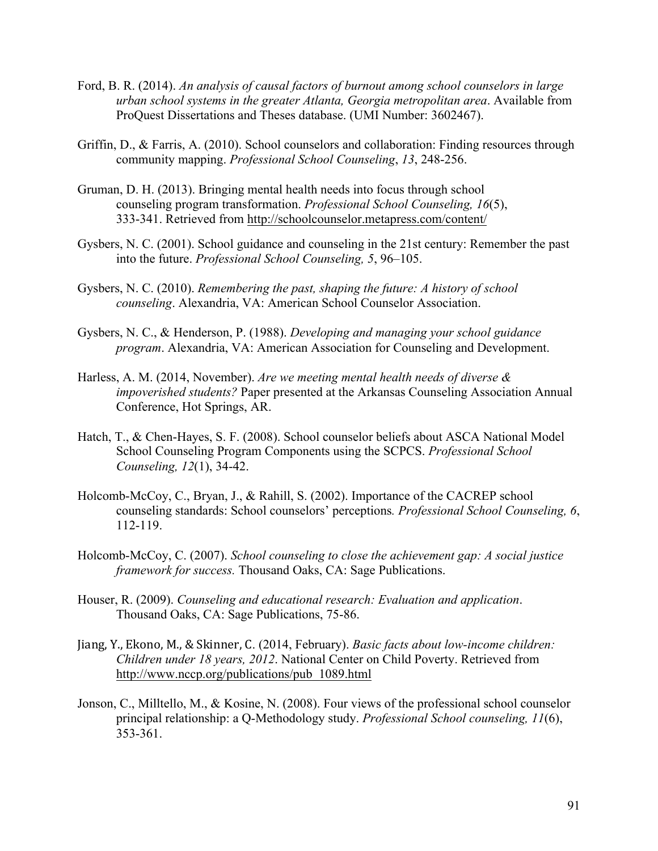- Ford, B. R. (2014). *An analysis of causal factors of burnout among school counselors in large urban school systems in the greater Atlanta, Georgia metropolitan area*. Available from ProQuest Dissertations and Theses database. (UMI Number: 3602467).
- Griffin, D., & Farris, A. (2010). School counselors and collaboration: Finding resources through community mapping. *Professional School Counseling*, *13*, 248-256.
- Gruman, D. H. (2013). Bringing mental health needs into focus through school counseling program transformation. *Professional School Counseling, 16*(5), 333-341. Retrieved from http://schoolcounselor.metapress.com/content/
- Gysbers, N. C. (2001). School guidance and counseling in the 21st century: Remember the past into the future. *Professional School Counseling, 5*, 96–105.
- Gysbers, N. C. (2010). *Remembering the past, shaping the future: A history of school counseling*. Alexandria, VA: American School Counselor Association.
- Gysbers, N. C., & Henderson, P. (1988). *Developing and managing your school guidance program*. Alexandria, VA: American Association for Counseling and Development.
- Harless, A. M. (2014, November). *Are we meeting mental health needs of diverse & impoverished students?* Paper presented at the Arkansas Counseling Association Annual Conference, Hot Springs, AR.
- Hatch, T., & Chen-Hayes, S. F. (2008). School counselor beliefs about ASCA National Model School Counseling Program Components using the SCPCS. *Professional School Counseling, 12*(1), 34-42.
- Holcomb-McCoy, C., Bryan, J., & Rahill, S. (2002). Importance of the CACREP school counseling standards: School counselors' perceptions*. Professional School Counseling, 6*, 112-119.
- Holcomb-McCoy, C. (2007). *School counseling to close the achievement gap: A social justice framework for success.* Thousand Oaks, CA: Sage Publications.
- Houser, R. (2009). *Counseling and educational research: Evaluation and application*. Thousand Oaks, CA: Sage Publications, 75-86.
- Jiang, Y., Ekono, M., & Skinner, C. (2014, February). *Basic facts about low-income children: Children under 18 years, 2012*. National Center on Child Poverty. Retrieved from http://www.nccp.org/publications/pub\_1089.html
- Jonson, C., Milltello, M., & Kosine, N. (2008). Four views of the professional school counselor principal relationship: a Q-Methodology study. *Professional School counseling, 11*(6), 353-361.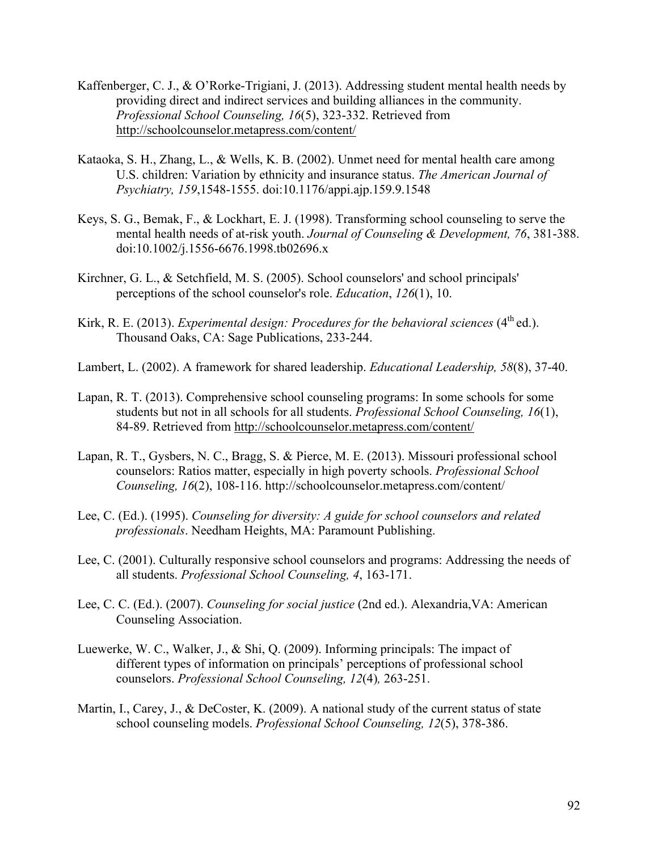- Kaffenberger, C. J., & O'Rorke-Trigiani, J. (2013). Addressing student mental health needs by providing direct and indirect services and building alliances in the community. *Professional School Counseling, 16*(5), 323-332. Retrieved from http://schoolcounselor.metapress.com/content/
- Kataoka, S. H., Zhang, L., & Wells, K. B. (2002). Unmet need for mental health care among U.S. children: Variation by ethnicity and insurance status. *The American Journal of Psychiatry, 159*,1548-1555. doi:10.1176/appi.ajp.159.9.1548
- Keys, S. G., Bemak, F., & Lockhart, E. J. (1998). Transforming school counseling to serve the mental health needs of at-risk youth. *Journal of Counseling & Development, 76*, 381-388. doi:10.1002/j.1556-6676.1998.tb02696.x
- Kirchner, G. L., & Setchfield, M. S. (2005). School counselors' and school principals' perceptions of the school counselor's role. *Education*, *126*(1), 10.
- Kirk, R. E. (2013). *Experimental design: Procedures for the behavioral sciences*  $(4<sup>th</sup>$ ed.). Thousand Oaks, CA: Sage Publications, 233-244.
- Lambert, L. (2002). A framework for shared leadership. *Educational Leadership, 58*(8), 37-40.
- Lapan, R. T. (2013). Comprehensive school counseling programs: In some schools for some students but not in all schools for all students. *Professional School Counseling, 16*(1), 84-89. Retrieved from http://schoolcounselor.metapress.com/content/
- Lapan, R. T., Gysbers, N. C., Bragg, S. & Pierce, M. E. (2013). Missouri professional school counselors: Ratios matter, especially in high poverty schools. *Professional School Counseling, 16*(2), 108-116. http://schoolcounselor.metapress.com/content/
- Lee, C. (Ed.). (1995). *Counseling for diversity: A guide for school counselors and related professionals*. Needham Heights, MA: Paramount Publishing.
- Lee, C. (2001). Culturally responsive school counselors and programs: Addressing the needs of all students. *Professional School Counseling, 4*, 163-171.
- Lee, C. C. (Ed.). (2007). *Counseling for social justice* (2nd ed.). Alexandria,VA: American Counseling Association.
- Luewerke, W. C., Walker, J., & Shi, Q. (2009). Informing principals: The impact of different types of information on principals' perceptions of professional school counselors. *Professional School Counseling, 12*(4)*,* 263-251.
- Martin, I., Carey, J., & DeCoster, K. (2009). A national study of the current status of state school counseling models. *Professional School Counseling, 12*(5), 378-386.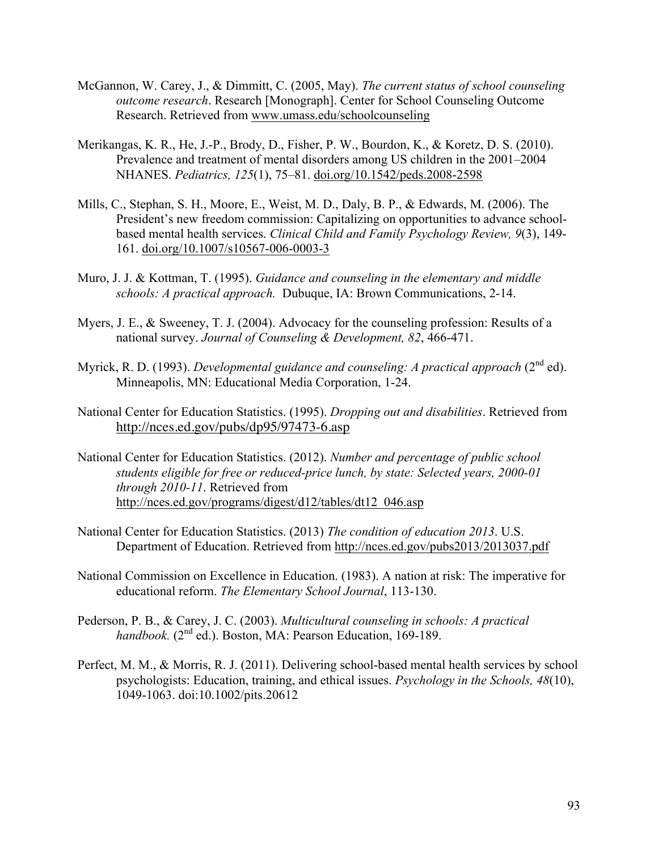- McGannon, W. Carey, J., & Dimmitt, C. (2005, May). *The current status of school counseling outcome research*. Research [Monograph]. Center for School Counseling Outcome Research. Retrieved from www.umass.edu/schoolcounseling
- Merikangas, K. R., He, J.-P., Brody, D., Fisher, P. W., Bourdon, K., & Koretz, D. S. (2010). Prevalence and treatment of mental disorders among US children in the 2001–2004 NHANES. *Pediatrics, 125*(1), 75–81. doi.org/10.1542/peds.2008-2598
- Mills, C., Stephan, S. H., Moore, E., Weist, M. D., Daly, B. P., & Edwards, M. (2006). The President's new freedom commission: Capitalizing on opportunities to advance schoolbased mental health services. *Clinical Child and Family Psychology Review, 9*(3), 149- 161. doi.org/10.1007/s10567-006-0003-3
- Muro, J. J. & Kottman, T. (1995). *Guidance and counseling in the elementary and middle schools: A practical approach.* Dubuque, IA: Brown Communications, 2-14.
- Myers, J. E., & Sweeney, T. J. (2004). Advocacy for the counseling profession: Results of a national survey. *Journal of Counseling & Development, 82*, 466-471.
- Myrick, R. D. (1993). *Developmental guidance and counseling: A practical approach* (2<sup>nd</sup> ed). Minneapolis, MN: Educational Media Corporation, 1-24.
- National Center for Education Statistics. (1995). *Dropping out and disabilities*. Retrieved from http://nces.ed.gov/pubs/dp95/97473-6.asp
- National Center for Education Statistics. (2012). *Number and percentage of public school students eligible for free or reduced-price lunch, by state: Selected years, 2000-01 through 2010-11*. Retrieved from http://nces.ed.gov/programs/digest/d12/tables/dt12\_046.asp
- National Center for Education Statistics. (2013) *The condition of education 2013*. U.S. Department of Education. Retrieved from http://nces.ed.gov/pubs2013/2013037.pdf
- National Commission on Excellence in Education. (1983). A nation at risk: The imperative for educational reform. *The Elementary School Journal*, 113-130.
- Pederson, P. B., & Carey, J. C. (2003). *Multicultural counseling in schools: A practical handbook.* (2<sup>nd</sup> ed.). Boston, MA: Pearson Education, 169-189.
- Perfect, M. M., & Morris, R. J. (2011). Delivering school-based mental health services by school psychologists: Education, training, and ethical issues. *Psychology in the Schools, 48*(10), 1049-1063. doi:10.1002/pits.20612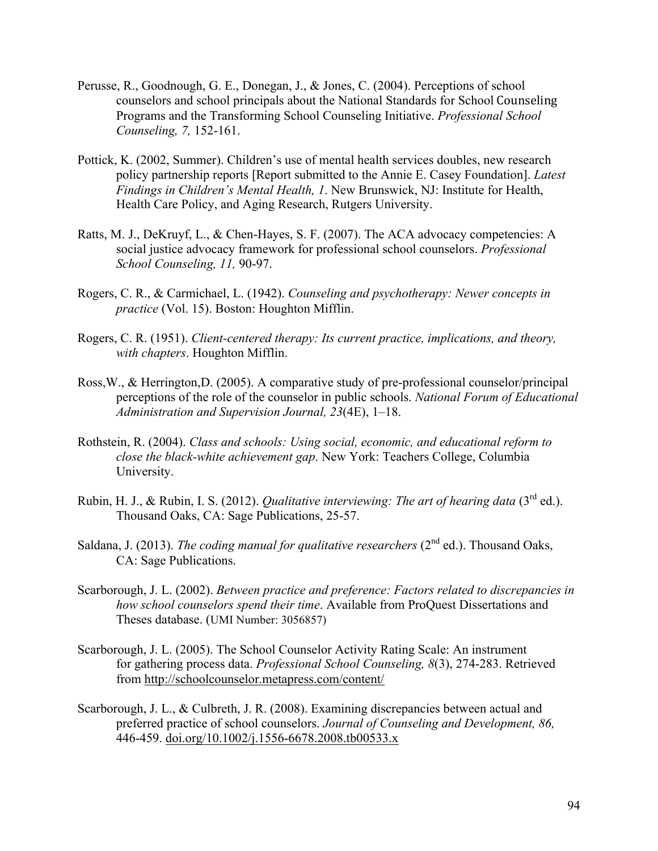- Perusse, R., Goodnough, G. E., Donegan, J., & Jones, C. (2004). Perceptions of school counselors and school principals about the National Standards for School Counseling Programs and the Transforming School Counseling Initiative. *Professional School Counseling, 7,* 152-161.
- Pottick, K. (2002, Summer). Children's use of mental health services doubles, new research policy partnership reports [Report submitted to the Annie E. Casey Foundation]. *Latest Findings in Children's Mental Health, 1*. New Brunswick, NJ: Institute for Health, Health Care Policy, and Aging Research, Rutgers University.
- Ratts, M. J., DeKruyf, L., & Chen-Hayes, S. F. (2007). The ACA advocacy competencies: A social justice advocacy framework for professional school counselors. *Professional School Counseling, 11,* 90-97.
- Rogers, C. R., & Carmichael, L. (1942). *Counseling and psychotherapy: Newer concepts in practice* (Vol. 15). Boston: Houghton Mifflin.
- Rogers, C. R. (1951). *Client-centered therapy: Its current practice, implications, and theory, with chapters*. Houghton Mifflin.
- Ross,W., & Herrington,D. (2005). A comparative study of pre-professional counselor/principal perceptions of the role of the counselor in public schools. *National Forum of Educational Administration and Supervision Journal, 23*(4E), 1–18.
- Rothstein, R. (2004). *Class and schools: Using social, economic, and educational reform to close the black-white achievement gap*. New York: Teachers College, Columbia University.
- Rubin, H. J., & Rubin, I. S. (2012). *Qualitative interviewing: The art of hearing data* (3rd ed.). Thousand Oaks, CA: Sage Publications, 25-57.
- Saldana, J. (2013). *The coding manual for qualitative researchers*  $(2^{nd}$  ed.). Thousand Oaks, CA: Sage Publications.
- Scarborough, J. L. (2002). *Between practice and preference: Factors related to discrepancies in how school counselors spend their time*. Available from ProQuest Dissertations and Theses database. (UMI Number: 3056857)
- Scarborough, J. L. (2005). The School Counselor Activity Rating Scale: An instrument for gathering process data. *Professional School Counseling, 8*(3), 274-283. Retrieved from http://schoolcounselor.metapress.com/content/
- Scarborough, J. L., & Culbreth, J. R. (2008). Examining discrepancies between actual and preferred practice of school counselors. *Journal of Counseling and Development, 86,* 446-459. doi.org/10.1002/j.1556-6678.2008.tb00533.x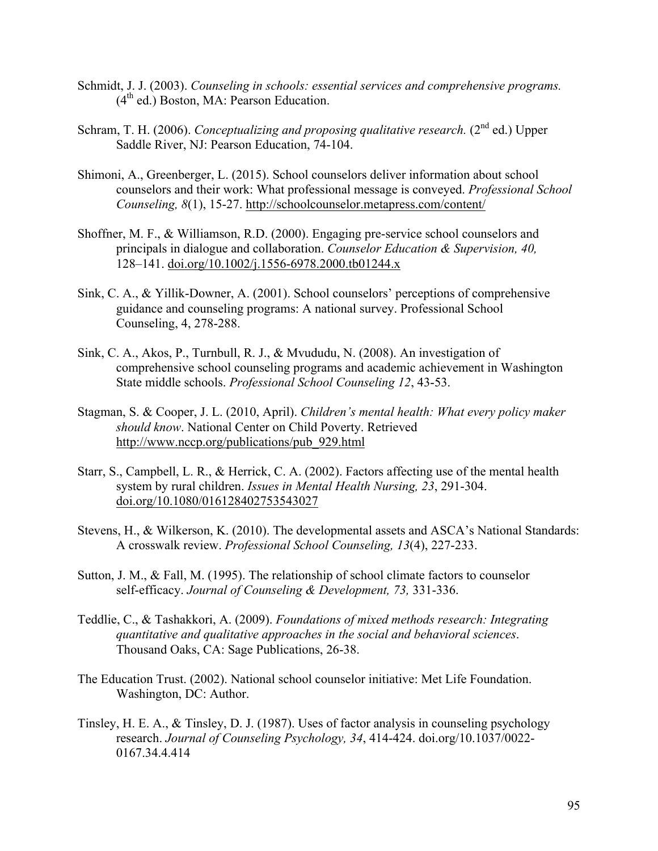- Schmidt, J. J. (2003). *Counseling in schools: essential services and comprehensive programs.*  $(4<sup>th</sup>$  ed.) Boston, MA: Pearson Education.
- Schram, T. H. (2006). *Conceptualizing and proposing qualitative research*. (2<sup>nd</sup> ed.) Upper Saddle River, NJ: Pearson Education, 74-104.
- Shimoni, A., Greenberger, L. (2015). School counselors deliver information about school counselors and their work: What professional message is conveyed. *Professional School Counseling, 8*(1), 15-27. http://schoolcounselor.metapress.com/content/
- Shoffner, M. F., & Williamson, R.D. (2000). Engaging pre-service school counselors and principals in dialogue and collaboration. *Counselor Education & Supervision, 40,* 128–141. doi.org/10.1002/j.1556-6978.2000.tb01244.x
- Sink, C. A., & Yillik-Downer, A. (2001). School counselors' perceptions of comprehensive guidance and counseling programs: A national survey. Professional School Counseling, 4, 278-288.
- Sink, C. A., Akos, P., Turnbull, R. J., & Mvududu, N. (2008). An investigation of comprehensive school counseling programs and academic achievement in Washington State middle schools. *Professional School Counseling 12*, 43-53.
- Stagman, S. & Cooper, J. L. (2010, April). *Children's mental health: What every policy maker should know*. National Center on Child Poverty. Retrieved http://www.nccp.org/publications/pub\_929.html
- Starr, S., Campbell, L. R., & Herrick, C. A. (2002). Factors affecting use of the mental health system by rural children. *Issues in Mental Health Nursing, 23*, 291-304. doi.org/10.1080/016128402753543027
- Stevens, H., & Wilkerson, K. (2010). The developmental assets and ASCA's National Standards: A crosswalk review. *Professional School Counseling, 13*(4), 227-233.
- Sutton, J. M., & Fall, M. (1995). The relationship of school climate factors to counselor self-efficacy. *Journal of Counseling & Development, 73,* 331-336.
- Teddlie, C., & Tashakkori, A. (2009). *Foundations of mixed methods research: Integrating quantitative and qualitative approaches in the social and behavioral sciences*. Thousand Oaks, CA: Sage Publications, 26-38.
- The Education Trust. (2002). National school counselor initiative: Met Life Foundation. Washington, DC: Author.
- Tinsley, H. E. A., & Tinsley, D. J. (1987). Uses of factor analysis in counseling psychology research. *Journal of Counseling Psychology, 34*, 414-424. doi.org/10.1037/0022- 0167.34.4.414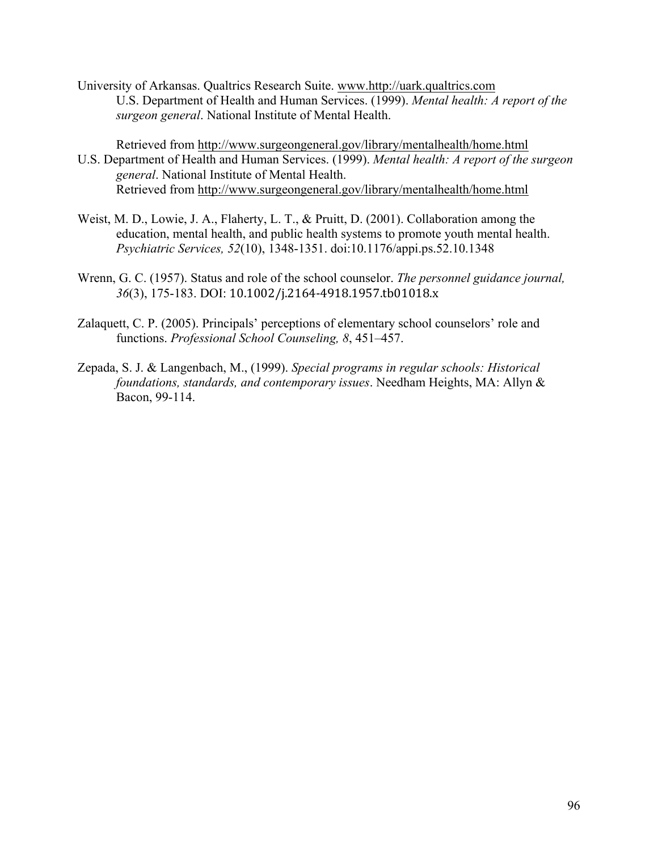University of Arkansas. Qualtrics Research Suite. www.http://uark.qualtrics.com U.S. Department of Health and Human Services. (1999). *Mental health: A report of the surgeon general*. National Institute of Mental Health.

Retrieved from http://www.surgeongeneral.gov/library/mentalhealth/home.html U.S. Department of Health and Human Services. (1999). *Mental health: A report of the surgeon general*. National Institute of Mental Health. Retrieved from http://www.surgeongeneral.gov/library/mentalhealth/home.html

- Weist, M. D., Lowie, J. A., Flaherty, L. T., & Pruitt, D. (2001). Collaboration among the education, mental health, and public health systems to promote youth mental health. *Psychiatric Services, 52*(10), 1348-1351. doi:10.1176/appi.ps.52.10.1348
- Wrenn, G. C. (1957). Status and role of the school counselor. *The personnel guidance journal, 36*(3), 175-183. DOI: 10.1002/j.2164-4918.1957.tb01018.x
- Zalaquett, C. P. (2005). Principals' perceptions of elementary school counselors' role and functions. *Professional School Counseling, 8*, 451–457.
- Zepada, S. J. & Langenbach, M., (1999). *Special programs in regular schools: Historical foundations, standards, and contemporary issues*. Needham Heights, MA: Allyn & Bacon, 99-114.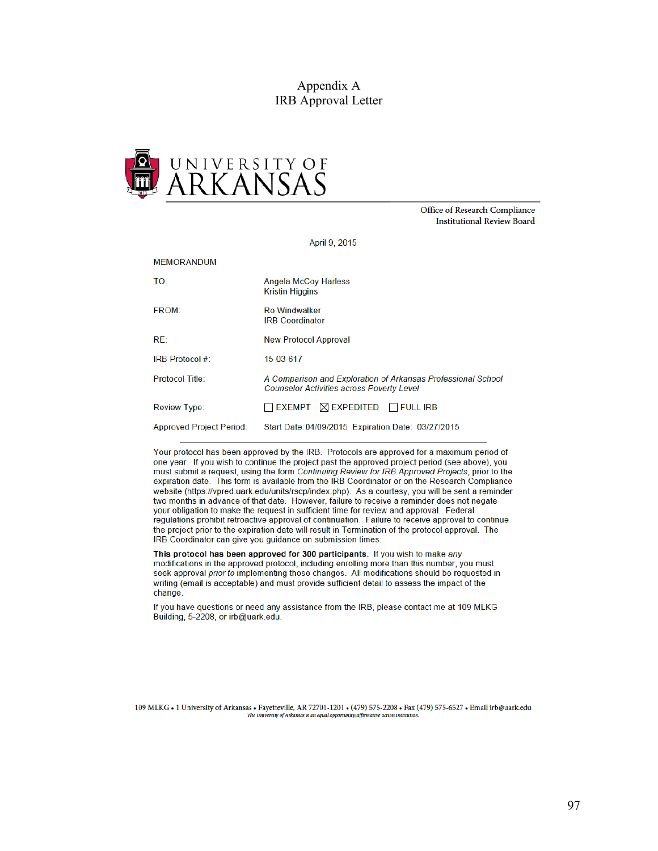#### Appendix A IRB Approval Letter



Office of Research Compliance **Institutional Review Board** 

April 9, 2015

#### **MEMORANDUM**

| TO:                             | <b>Angela McCoy Harless</b><br><b>Kristin Higgins</b>                                                            |
|---------------------------------|------------------------------------------------------------------------------------------------------------------|
| <b>FROM:</b>                    | <b>Ro Windwalker</b><br><b>IRB Coordinator</b>                                                                   |
| RE:                             | <b>New Protocol Approval</b>                                                                                     |
| <b>IRB Protocol #:</b>          | 15-03-617                                                                                                        |
| Protocol Title:                 | A Comparison and Exploration of Arkansas Professional School<br><b>Counselor Activities across Poverty Level</b> |
| <b>Review Type:</b>             | $\Box$ EXEMPT $\Box$ EXPEDITED $\Box$ FULL IRB                                                                   |
| <b>Approved Project Period:</b> | Start Date: 04/09/2015 Expiration Date: 03/27/2015                                                               |

Your protocol has been approved by the IRB. Protocols are approved for a maximum period of one year. If you wish to continue the project past the approved project period (see above), you must submit a request, using the form Continuing Review for IRB Approved Projects, prior to the expiration date. This form is available from the IRB Coordinator or on the Research Compliance website (https://vpred.uark.edu/units/rscp/index.php). As a courtesy, you will be sent a reminder two months in advance of that date. However, failure to receive a reminder does not negate your obligation to make the request in sufficient time for review and approval. Federal regulations prohibit retroactive approval of continuation. Failure to receive approval to continue the project prior to the expiration date will result in Termination of the protocol approval. The IRB Coordinator can give you guidance on submission times.

This protocol has been approved for 300 participants. If you wish to make any modifications in the approved protocol, including enrolling more than this number, you must seek approval prior to implementing those changes. All modifications should be requested in writing (email is acceptable) and must provide sufficient detail to assess the impact of the change.

If you have questions or need any assistance from the IRB, please contact me at 109 MLKG Building, 5-2208, or irb@uark.edu.

109 MLKG . 1 University of Arkansas . Fayetteville, AR 72701-1201 . (479) 575-2208 . Fax (479) 575-6527 . Email irb@uark.edu The University of Arkansas is an equal opportunity/affin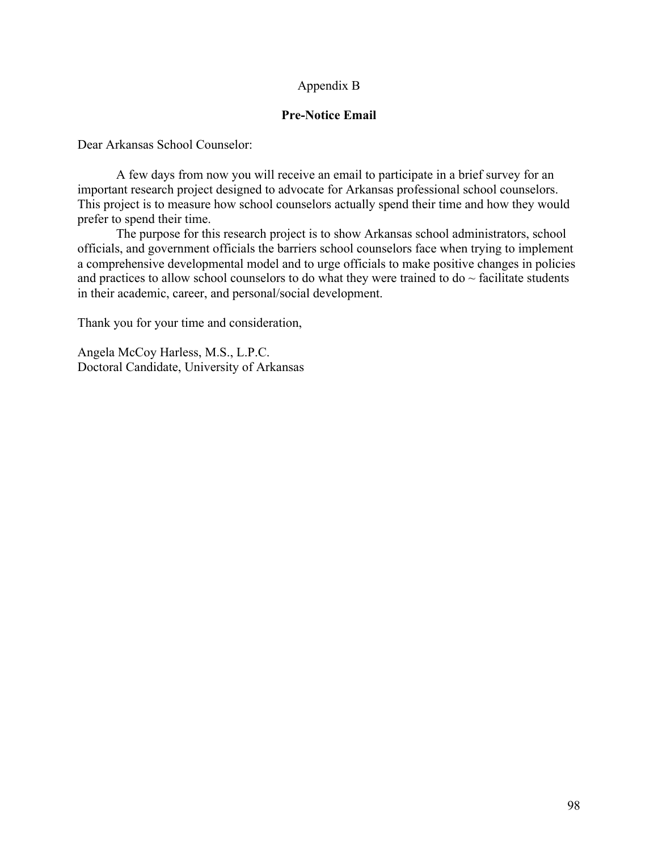### Appendix B

#### **Pre-Notice Email**

Dear Arkansas School Counselor:

A few days from now you will receive an email to participate in a brief survey for an important research project designed to advocate for Arkansas professional school counselors. This project is to measure how school counselors actually spend their time and how they would prefer to spend their time.

The purpose for this research project is to show Arkansas school administrators, school officials, and government officials the barriers school counselors face when trying to implement a comprehensive developmental model and to urge officials to make positive changes in policies and practices to allow school counselors to do what they were trained to do  $\sim$  facilitate students in their academic, career, and personal/social development.

Thank you for your time and consideration,

Angela McCoy Harless, M.S., L.P.C. Doctoral Candidate, University of Arkansas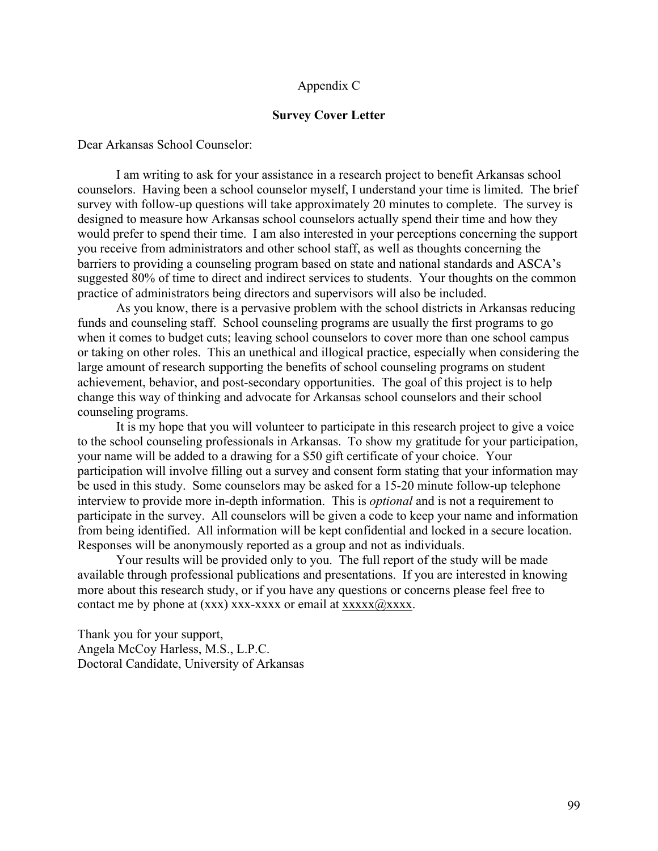#### Appendix C

#### **Survey Cover Letter**

Dear Arkansas School Counselor:

I am writing to ask for your assistance in a research project to benefit Arkansas school counselors. Having been a school counselor myself, I understand your time is limited. The brief survey with follow-up questions will take approximately 20 minutes to complete. The survey is designed to measure how Arkansas school counselors actually spend their time and how they would prefer to spend their time. I am also interested in your perceptions concerning the support you receive from administrators and other school staff, as well as thoughts concerning the barriers to providing a counseling program based on state and national standards and ASCA's suggested 80% of time to direct and indirect services to students. Your thoughts on the common practice of administrators being directors and supervisors will also be included.

As you know, there is a pervasive problem with the school districts in Arkansas reducing funds and counseling staff. School counseling programs are usually the first programs to go when it comes to budget cuts; leaving school counselors to cover more than one school campus or taking on other roles. This an unethical and illogical practice, especially when considering the large amount of research supporting the benefits of school counseling programs on student achievement, behavior, and post-secondary opportunities. The goal of this project is to help change this way of thinking and advocate for Arkansas school counselors and their school counseling programs.

It is my hope that you will volunteer to participate in this research project to give a voice to the school counseling professionals in Arkansas. To show my gratitude for your participation, your name will be added to a drawing for a \$50 gift certificate of your choice. Your participation will involve filling out a survey and consent form stating that your information may be used in this study. Some counselors may be asked for a 15-20 minute follow-up telephone interview to provide more in-depth information. This is *optional* and is not a requirement to participate in the survey. All counselors will be given a code to keep your name and information from being identified. All information will be kept confidential and locked in a secure location. Responses will be anonymously reported as a group and not as individuals.

Your results will be provided only to you. The full report of the study will be made available through professional publications and presentations. If you are interested in knowing more about this research study, or if you have any questions or concerns please feel free to contact me by phone at  $(xxx)$  xxx-xxxx or email at  $xxxxx@xxxx$ .

Thank you for your support, Angela McCoy Harless, M.S., L.P.C. Doctoral Candidate, University of Arkansas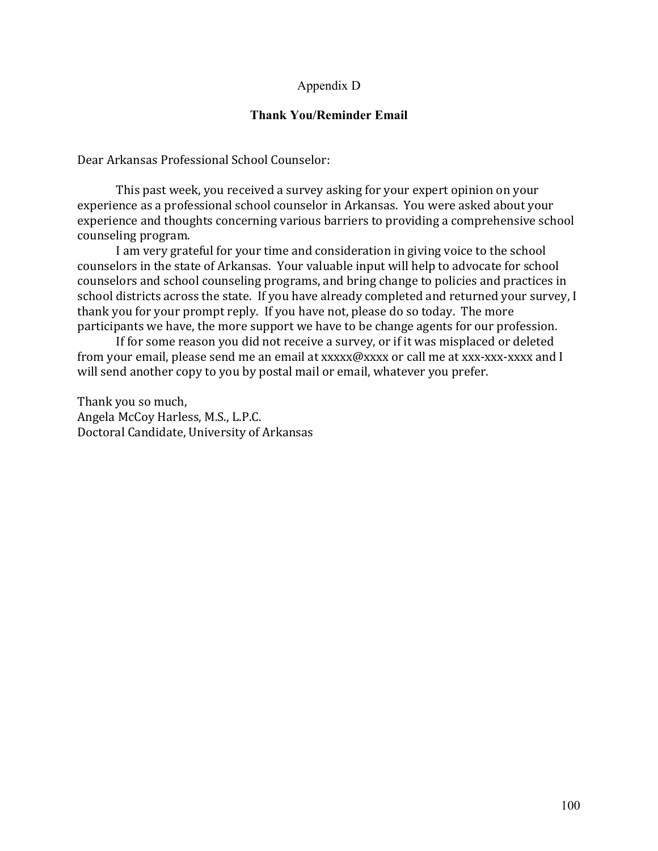#### Appendix D

#### **Thank You/Reminder Email**

Dear Arkansas Professional School Counselor:

This past week, you received a survey asking for your expert opinion on your experience as a professional school counselor in Arkansas. You were asked about your experience and thoughts concerning various barriers to providing a comprehensive school counseling program.

I am very grateful for your time and consideration in giving voice to the school counselors in the state of Arkansas. Your valuable input will help to advocate for school counselors and school counseling programs, and bring change to policies and practices in school districts across the state. If you have already completed and returned your survey, I thank you for your prompt reply. If you have not, please do so today. The more participants we have, the more support we have to be change agents for our profession.

If for some reason you did not receive a survey, or if it was misplaced or deleted from your email, please send me an email at xxxxx $\omega$ xxx or call me at xxx-xxx-xxx and I will send another copy to you by postal mail or email, whatever you prefer.

Thank you so much, Angela McCoy Harless, M.S., L.P.C. Doctoral Candidate, University of Arkansas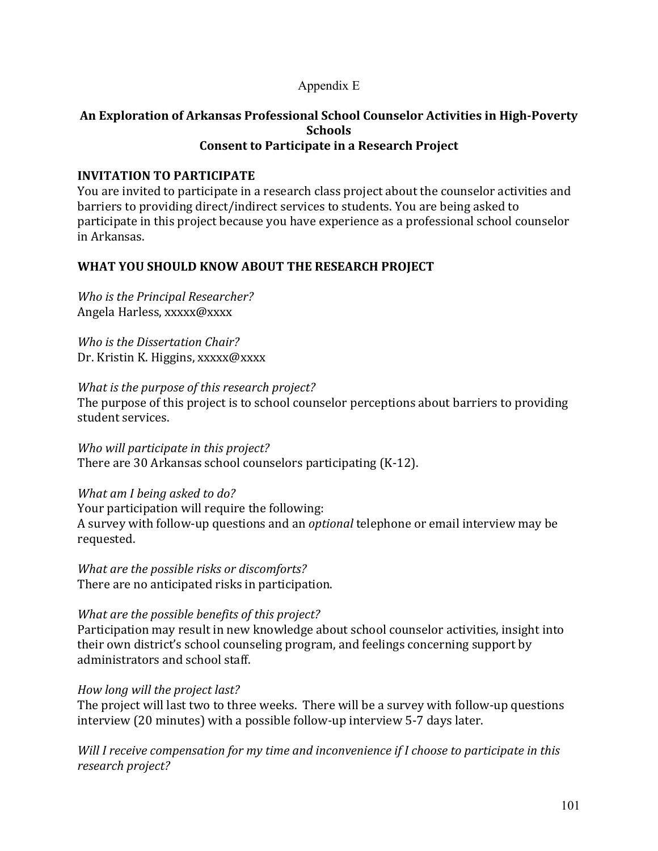### Appendix E

#### An Exploration of Arkansas Professional School Counselor Activities in High-Poverty **Schools Consent to Participate in a Research Project**

### **INVITATION TO PARTICIPATE**

You are invited to participate in a research class project about the counselor activities and barriers to providing direct/indirect services to students. You are being asked to participate in this project because you have experience as a professional school counselor in Arkansas.

### WHAT YOU SHOULD KNOW ABOUT THE RESEARCH PROJECT

*Who is the Principal Researcher?* Angela Harless, xxxxx@xxxx

*Who is the Dissertation Chair?* Dr. Kristin K. Higgins, xxxxx@xxxx

#### *What is the purpose of this research project?*

The purpose of this project is to school counselor perceptions about barriers to providing student services.

*Who will participate in this project?* There are  $30$  Arkansas school counselors participating  $(K-12)$ .

### *What am I being asked to do?*

Your participation will require the following: A survey with follow-up questions and an *optional* telephone or email interview may be requested.

*What are the possible risks or discomforts?* There are no anticipated risks in participation.

### *What are the possible benefits of this project?*

Participation may result in new knowledge about school counselor activities, insight into their own district's school counseling program, and feelings concerning support by administrators and school staff.

### *How long will the project last?*

The project will last two to three weeks. There will be a survey with follow-up questions interview (20 minutes) with a possible follow-up interview 5-7 days later.

*Will I receive compensation for my time and inconvenience if I choose to participate in this research project?*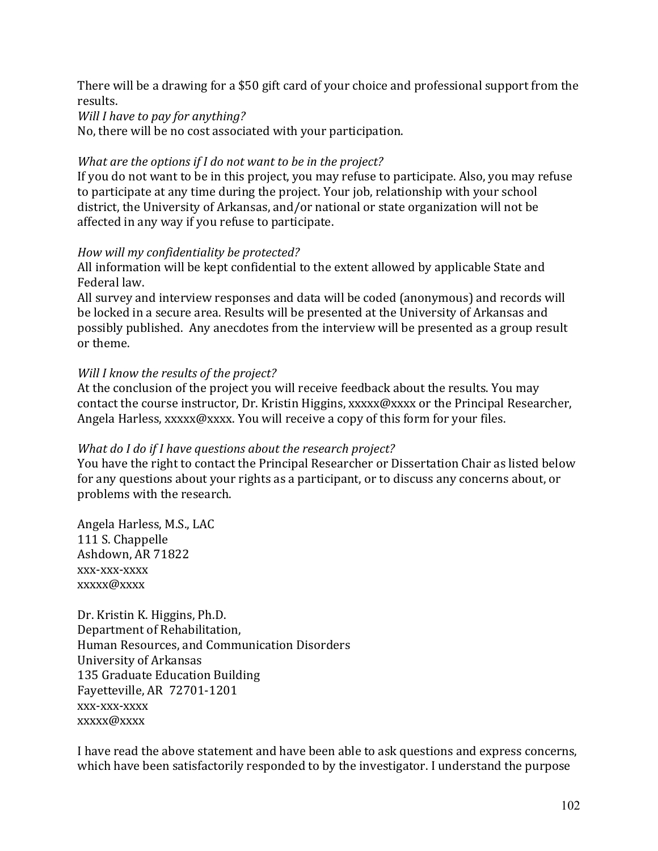There will be a drawing for a \$50 gift card of your choice and professional support from the results.

*Will I have to pay for anything?* 

No, there will be no cost associated with your participation.

#### *What are the options if I do not want to be in the project?*

If you do not want to be in this project, you may refuse to participate. Also, you may refuse to participate at any time during the project. Your job, relationship with your school district, the University of Arkansas, and/or national or state organization will not be affected in any way if you refuse to participate.

#### *How will my confidentiality be protected?*

All information will be kept confidential to the extent allowed by applicable State and Federal law.

All survey and interview responses and data will be coded (anonymous) and records will be locked in a secure area. Results will be presented at the University of Arkansas and possibly published. Any anecdotes from the interview will be presented as a group result or theme.

#### *Will I know the results of the project?*

At the conclusion of the project you will receive feedback about the results. You may contact the course instructor, Dr. Kristin Higgins, xxxxx@xxxx or the Principal Researcher, Angela Harless, xxxxx@xxxx. You will receive a copy of this form for your files.

### *What do I do if I have questions about the research project?*

You have the right to contact the Principal Researcher or Dissertation Chair as listed below for any questions about your rights as a participant, or to discuss any concerns about, or problems with the research.

Angela Harless, M.S., LAC 111 S. Chappelle Ashdown, AR 71822 xxx-xxx-xxxx xxxxx@xxxx

Dr. Kristin K. Higgins, Ph.D. Department of Rehabilitation, Human Resources, and Communication Disorders University of Arkansas 135 Graduate Education Building Fayetteville, AR 72701-1201 xxx-xxx-xxxx xxxxx@xxxx

I have read the above statement and have been able to ask questions and express concerns, which have been satisfactorily responded to by the investigator. I understand the purpose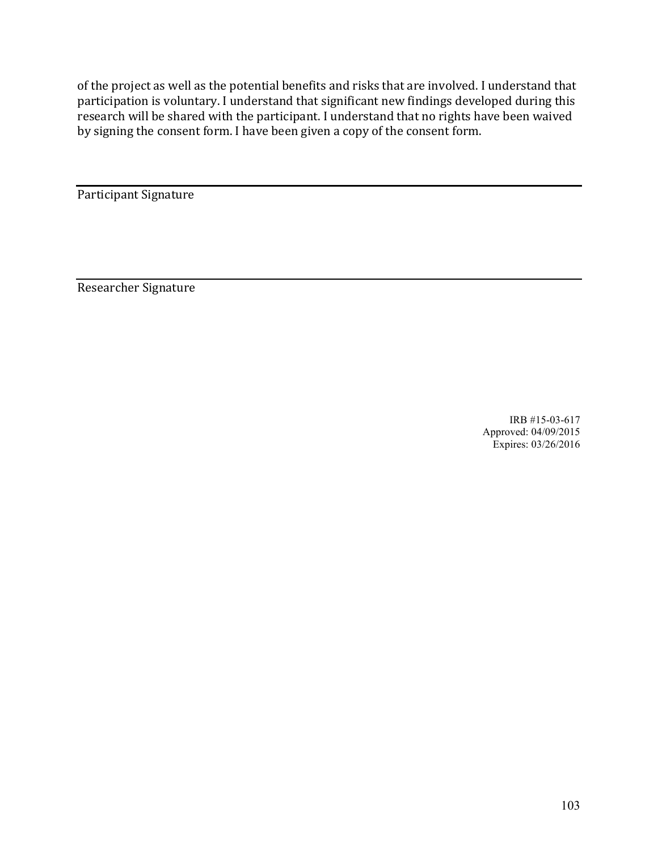of the project as well as the potential benefits and risks that are involved. I understand that participation is voluntary. I understand that significant new findings developed during this research will be shared with the participant. I understand that no rights have been waived by signing the consent form. I have been given a copy of the consent form.

Participant Signature

Researcher Signature

IRB #15-03-617 Approved: 04/09/2015 Expires: 03/26/2016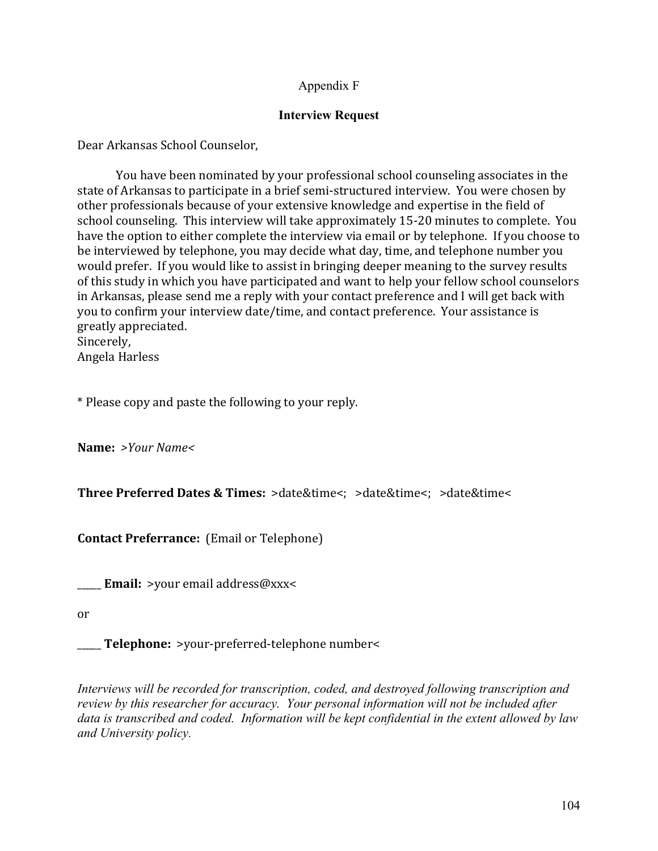### Appendix F

#### **Interview Request**

Dear Arkansas School Counselor,

You have been nominated by your professional school counseling associates in the state of Arkansas to participate in a brief semi-structured interview. You were chosen by other professionals because of your extensive knowledge and expertise in the field of school counseling. This interview will take approximately 15-20 minutes to complete. You have the option to either complete the interview via email or by telephone. If you choose to be interviewed by telephone, you may decide what day, time, and telephone number you would prefer. If you would like to assist in bringing deeper meaning to the survey results of this study in which you have participated and want to help your fellow school counselors in Arkansas, please send me a reply with your contact preference and I will get back with you to confirm your interview date/time, and contact preference. Your assistance is greatly appreciated.

Sincerely, Angela Harless

\* Please copy and paste the following to your reply.

**Name:** *>Your Name<*

**Three Preferred Dates & Times:**  $>$ date&time $\lt$ :  $>$ date&time $\lt$ :  $>$ date&time $\lt$ 

**Contact Preferrance:** (Email or Telephone)

**Email:** >your email address@xxx<

or

**\_\_\_\_\_ Telephone:** >your-preferred-telephone number<

*Interviews will be recorded for transcription, coded, and destroyed following transcription and review by this researcher for accuracy. Your personal information will not be included after data is transcribed and coded. Information will be kept confidential in the extent allowed by law and University policy.*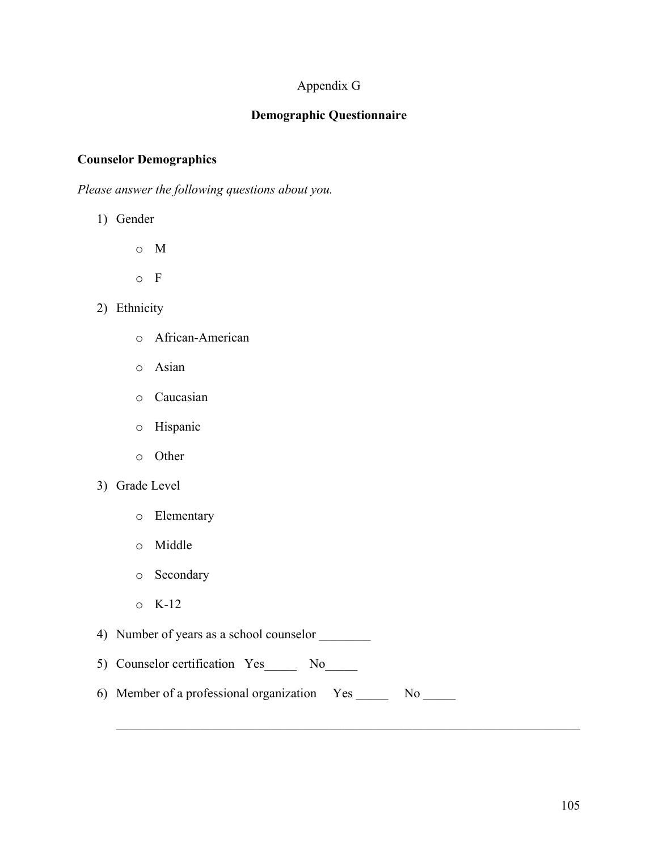## Appendix G

### **Demographic Questionnaire**

#### **Counselor Demographics**

*Please answer the following questions about you.*

1) Gender

o M

- o F
- 2) Ethnicity
	- o African-American
	- o Asian
	- o Caucasian
	- o Hispanic
	- o Other
- 3) Grade Level
	- o Elementary
	- o Middle
	- o Secondary
	- $\circ$  K-12

4) Number of years as a school counselor \_\_\_\_\_\_\_\_

- 5) Counselor certification Yes No
- 6) Member of a professional organization Yes \_\_\_\_\_ No \_\_\_\_\_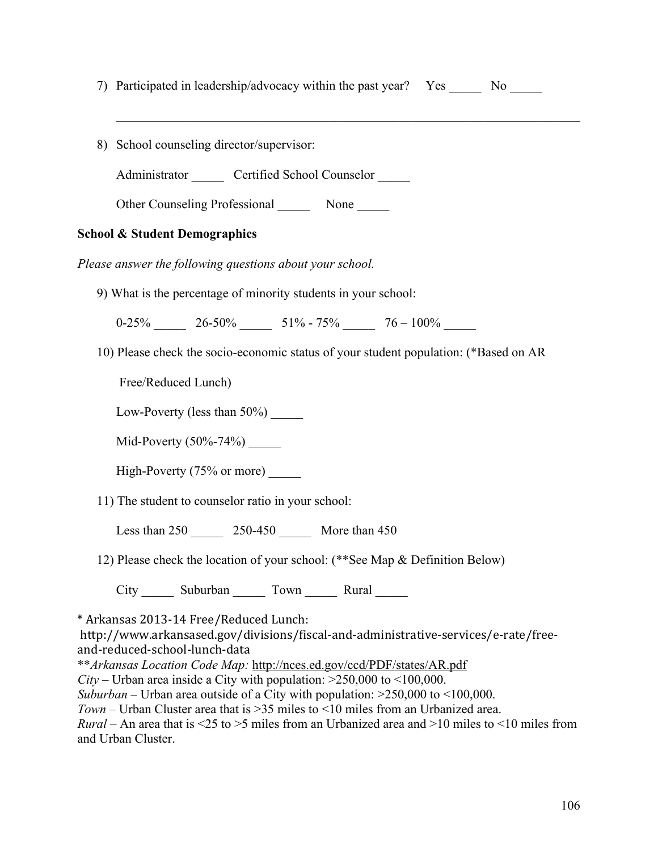7) Participated in leadership/advocacy within the past year? Yes No

 $\mathcal{L}_\text{max} = \mathcal{L}_\text{max} = \mathcal{L}_\text{max} = \mathcal{L}_\text{max} = \mathcal{L}_\text{max} = \mathcal{L}_\text{max} = \mathcal{L}_\text{max} = \mathcal{L}_\text{max} = \mathcal{L}_\text{max} = \mathcal{L}_\text{max} = \mathcal{L}_\text{max} = \mathcal{L}_\text{max} = \mathcal{L}_\text{max} = \mathcal{L}_\text{max} = \mathcal{L}_\text{max} = \mathcal{L}_\text{max} = \mathcal{L}_\text{max} = \mathcal{L}_\text{max} = \mathcal{$ 

8) School counseling director/supervisor:

Administrator Certified School Counselor

Other Counseling Professional None

### **School & Student Demographics**

*Please answer the following questions about your school.*

9) What is the percentage of minority students in your school:

 $0-25\%$  26-50% 51% - 75% 76 - 100%

10) Please check the socio-economic status of your student population: (\*Based on AR

Free/Reduced Lunch)

Low-Poverty (less than  $50\%$ )

Mid-Poverty  $(50\% - 74\%)$ 

High-Poverty (75% or more) \_\_\_\_\_

11) The student to counselor ratio in your school:

Less than  $250$   $250-450$  More than  $450$ 

12) Please check the location of your school: (\*\*See Map & Definition Below)

City Suburban Town Rural

\* Arkansas 2013-14 Free/Reduced Lunch:

http://www.arkansased.gov/divisions/fiscal-and-administrative-services/e-rate/freeand-reduced-school-lunch-data

\*\**Arkansas Location Code Map:* http://nces.ed.gov/ccd/PDF/states/AR.pdf

*City* – Urban area inside a City with population:  $>250,000$  to  $<100,000$ .

*Suburban* – Urban area outside of a City with population: >250,000 to <100,000.

*Town* – Urban Cluster area that is >35 miles to <10 miles from an Urbanized area.

*Rural* – An area that is <25 to >5 miles from an Urbanized area and >10 miles to <10 miles from and Urban Cluster.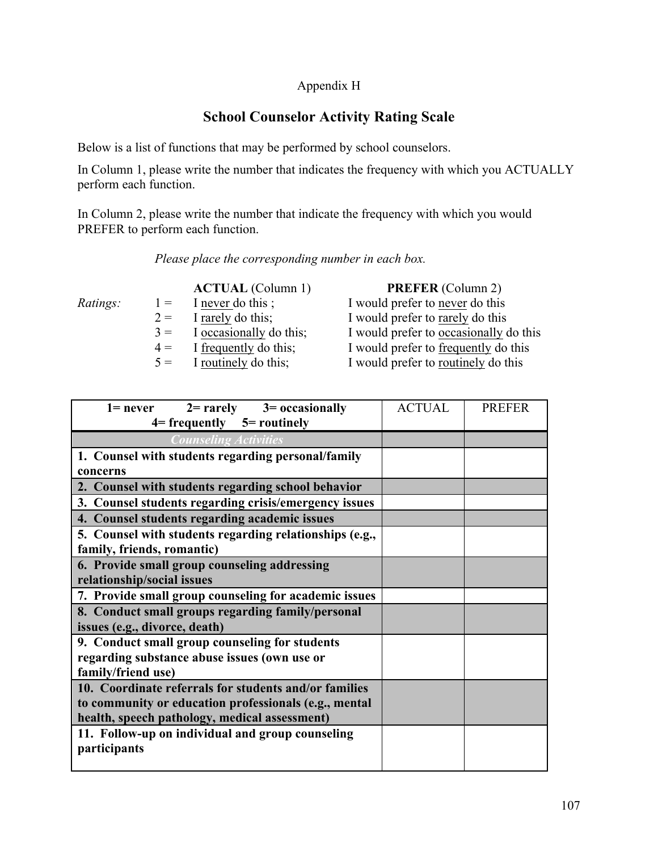### Appendix H

# **School Counselor Activity Rating Scale**

Below is a list of functions that may be performed by school counselors.

In Column 1, please write the number that indicates the frequency with which you ACTUALLY perform each function.

In Column 2, please write the number that indicate the frequency with which you would PREFER to perform each function.

#### *Please place the corresponding number in each box.*

**ACTUAL** (Column 1) **PREFER** (Column 2) *Ratings:* 1 = I never do this ; I would prefer to never do this  $2 =$  I rarely do this; I would prefer to rarely do this  $3 =$  I occasionally do this; I would prefer to occasionally do this 4 = I frequently do this; I would prefer to frequently do this 5 = I routinely do this; I would prefer to routinely do this

| $1 = never$ $2 = rarely$ $3 = occasionally$             | <b>ACTUAL</b> | <b>PREFER</b> |
|---------------------------------------------------------|---------------|---------------|
| $4 = frequency$ $5 = routing$                           |               |               |
| <b>Counseling Activities</b>                            |               |               |
| 1. Counsel with students regarding personal/family      |               |               |
| concerns                                                |               |               |
| 2. Counsel with students regarding school behavior      |               |               |
| 3. Counsel students regarding crisis/emergency issues   |               |               |
| 4. Counsel students regarding academic issues           |               |               |
| 5. Counsel with students regarding relationships (e.g., |               |               |
| family, friends, romantic)                              |               |               |
| 6. Provide small group counseling addressing            |               |               |
| relationship/social issues                              |               |               |
| 7. Provide small group counseling for academic issues   |               |               |
| 8. Conduct small groups regarding family/personal       |               |               |
| issues (e.g., divorce, death)                           |               |               |
| 9. Conduct small group counseling for students          |               |               |
| regarding substance abuse issues (own use or            |               |               |
| family/friend use)                                      |               |               |
| 10. Coordinate referrals for students and/or families   |               |               |
| to community or education professionals (e.g., mental   |               |               |
| health, speech pathology, medical assessment)           |               |               |
| 11. Follow-up on individual and group counseling        |               |               |
| participants                                            |               |               |
|                                                         |               |               |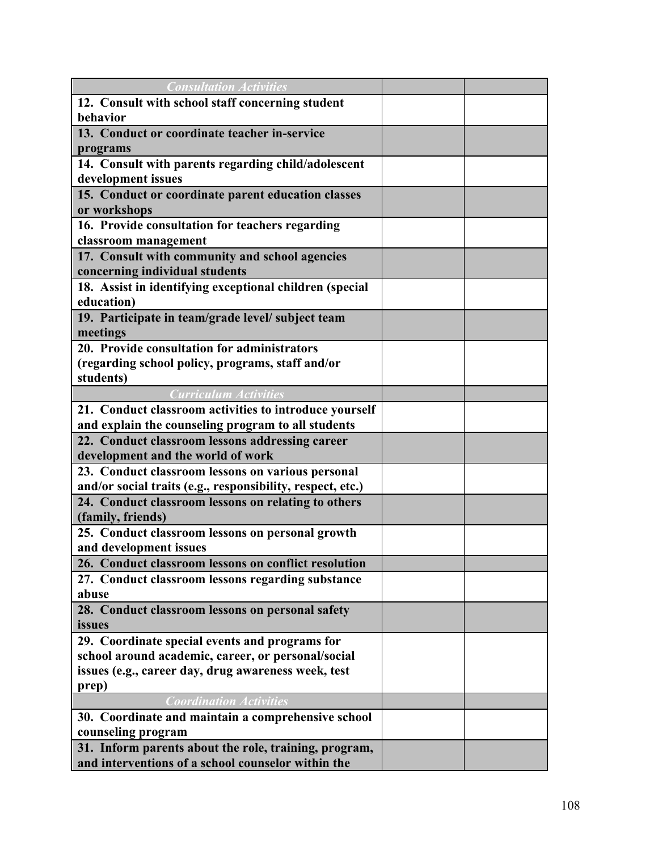| <b>Consultation Activities</b>                             |  |
|------------------------------------------------------------|--|
| 12. Consult with school staff concerning student           |  |
| behavior                                                   |  |
| 13. Conduct or coordinate teacher in-service               |  |
| programs                                                   |  |
| 14. Consult with parents regarding child/adolescent        |  |
| development issues                                         |  |
| 15. Conduct or coordinate parent education classes         |  |
| or workshops                                               |  |
| 16. Provide consultation for teachers regarding            |  |
| classroom management                                       |  |
| 17. Consult with community and school agencies             |  |
| concerning individual students                             |  |
| 18. Assist in identifying exceptional children (special    |  |
| education)                                                 |  |
| 19. Participate in team/grade level/ subject team          |  |
| meetings                                                   |  |
| 20. Provide consultation for administrators                |  |
| (regarding school policy, programs, staff and/or           |  |
| students)                                                  |  |
| <b>Curriculum Activities</b>                               |  |
| 21. Conduct classroom activities to introduce yourself     |  |
| and explain the counseling program to all students         |  |
| 22. Conduct classroom lessons addressing career            |  |
| development and the world of work                          |  |
| 23. Conduct classroom lessons on various personal          |  |
| and/or social traits (e.g., responsibility, respect, etc.) |  |
| 24. Conduct classroom lessons on relating to others        |  |
| (family, friends)                                          |  |
| 25. Conduct classroom lessons on personal growth           |  |
| and development issues                                     |  |
| 26. Conduct classroom lessons on conflict resolution       |  |
| 27. Conduct classroom lessons regarding substance          |  |
| abuse                                                      |  |
| 28. Conduct classroom lessons on personal safety           |  |
| issues                                                     |  |
| 29. Coordinate special events and programs for             |  |
| school around academic, career, or personal/social         |  |
| issues (e.g., career day, drug awareness week, test        |  |
| prep)                                                      |  |
| <b>Coordination Activities</b>                             |  |
| 30. Coordinate and maintain a comprehensive school         |  |
| counseling program                                         |  |
| 31. Inform parents about the role, training, program,      |  |
| and interventions of a school counselor within the         |  |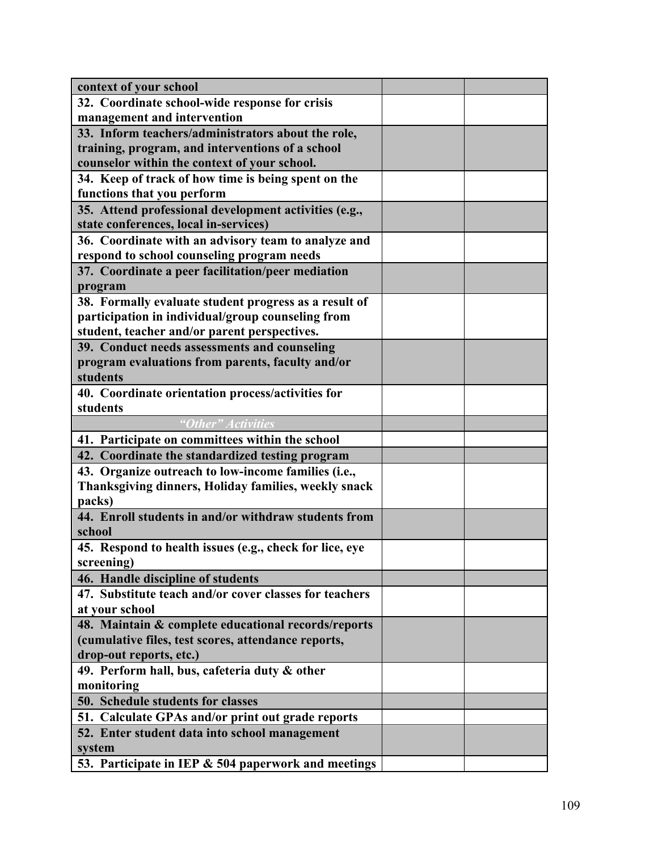| context of your school                                  |  |
|---------------------------------------------------------|--|
| 32. Coordinate school-wide response for crisis          |  |
| management and intervention                             |  |
| 33. Inform teachers/administrators about the role,      |  |
| training, program, and interventions of a school        |  |
| counselor within the context of your school.            |  |
| 34. Keep of track of how time is being spent on the     |  |
| functions that you perform                              |  |
| 35. Attend professional development activities (e.g.,   |  |
| state conferences, local in-services)                   |  |
| 36. Coordinate with an advisory team to analyze and     |  |
| respond to school counseling program needs              |  |
| 37. Coordinate a peer facilitation/peer mediation       |  |
| program                                                 |  |
| 38. Formally evaluate student progress as a result of   |  |
| participation in individual/group counseling from       |  |
| student, teacher and/or parent perspectives.            |  |
| 39. Conduct needs assessments and counseling            |  |
| program evaluations from parents, faculty and/or        |  |
| students                                                |  |
| 40. Coordinate orientation process/activities for       |  |
| students                                                |  |
| "Other" Activities                                      |  |
| 41. Participate on committees within the school         |  |
| 42. Coordinate the standardized testing program         |  |
|                                                         |  |
| 43. Organize outreach to low-income families (i.e.,     |  |
| Thanksgiving dinners, Holiday families, weekly snack    |  |
| packs)                                                  |  |
| 44. Enroll students in and/or withdraw students from    |  |
| school                                                  |  |
| 45. Respond to health issues (e.g., check for lice, eye |  |
| screening)                                              |  |
| 46. Handle discipline of students                       |  |
| 47. Substitute teach and/or cover classes for teachers  |  |
| at your school                                          |  |
| 48. Maintain & complete educational records/reports     |  |
| (cumulative files, test scores, attendance reports,     |  |
| drop-out reports, etc.)                                 |  |
| 49. Perform hall, bus, cafeteria duty & other           |  |
| monitoring                                              |  |
| 50. Schedule students for classes                       |  |
| 51. Calculate GPAs and/or print out grade reports       |  |
| 52. Enter student data into school management           |  |
| system                                                  |  |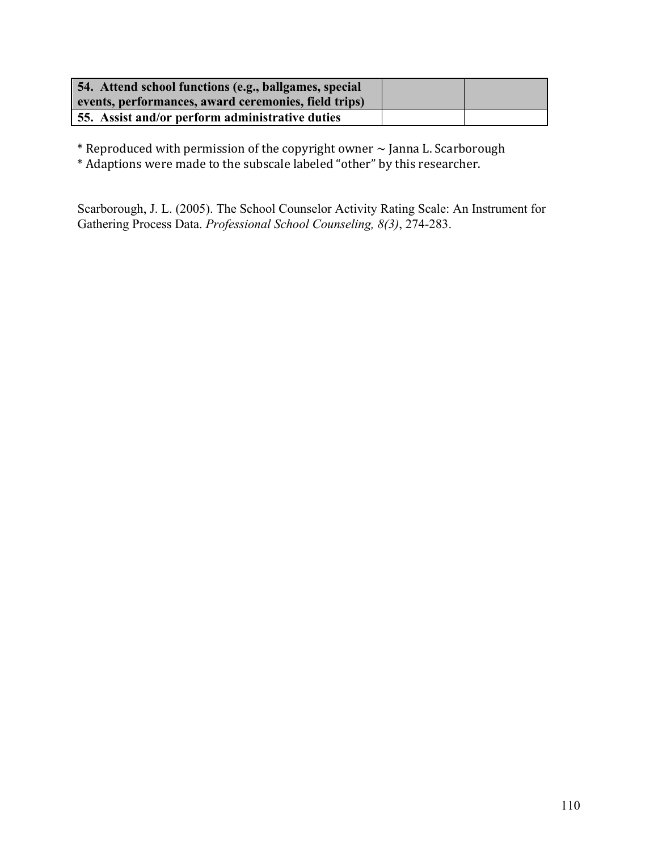| 54. Attend school functions (e.g., ballgames, special<br>events, performances, award ceremonies, field trips) |  |
|---------------------------------------------------------------------------------------------------------------|--|
| 55. Assist and/or perform administrative duties                                                               |  |

 $*$  Reproduced with permission of the copyright owner  $\sim$  Janna L. Scarborough

\* Adaptions were made to the subscale labeled "other" by this researcher.

Scarborough, J. L. (2005). The School Counselor Activity Rating Scale: An Instrument for Gathering Process Data. *Professional School Counseling, 8(3)*, 274-283.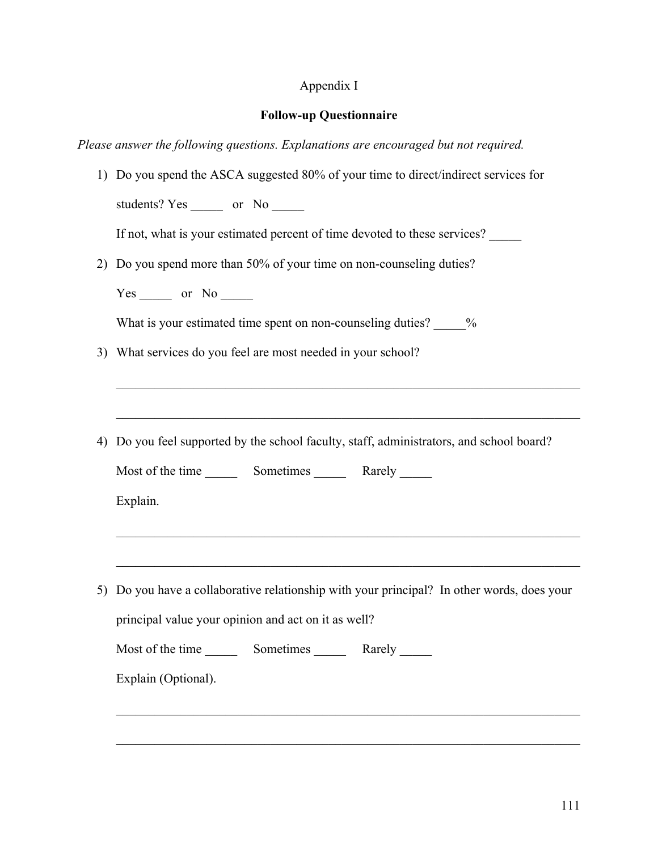### Appendix I

#### **Follow-up Questionnaire**

*Please answer the following questions. Explanations are encouraged but not required.*

1) Do you spend the ASCA suggested 80% of your time to direct/indirect services for students? Yes \_\_\_\_\_\_ or No \_\_\_\_\_ If not, what is your estimated percent of time devoted to these services? 2) Do you spend more than 50% of your time on non-counseling duties? Yes or No What is your estimated time spent on non-counseling duties? \_\_\_\_\_\_% 3) What services do you feel are most needed in your school?  $\mathcal{L}_\mathcal{L} = \{ \mathcal{L}_\mathcal{L} = \{ \mathcal{L}_\mathcal{L} = \{ \mathcal{L}_\mathcal{L} = \{ \mathcal{L}_\mathcal{L} = \{ \mathcal{L}_\mathcal{L} = \{ \mathcal{L}_\mathcal{L} = \{ \mathcal{L}_\mathcal{L} = \{ \mathcal{L}_\mathcal{L} = \{ \mathcal{L}_\mathcal{L} = \{ \mathcal{L}_\mathcal{L} = \{ \mathcal{L}_\mathcal{L} = \{ \mathcal{L}_\mathcal{L} = \{ \mathcal{L}_\mathcal{L} = \{ \mathcal{L}_\mathcal{$ 4) Do you feel supported by the school faculty, staff, administrators, and school board? Most of the time Sometimes Rarely Reserves Explain.  $\mathcal{L}_\mathcal{L} = \{ \mathcal{L}_\mathcal{L} = \{ \mathcal{L}_\mathcal{L} = \{ \mathcal{L}_\mathcal{L} = \{ \mathcal{L}_\mathcal{L} = \{ \mathcal{L}_\mathcal{L} = \{ \mathcal{L}_\mathcal{L} = \{ \mathcal{L}_\mathcal{L} = \{ \mathcal{L}_\mathcal{L} = \{ \mathcal{L}_\mathcal{L} = \{ \mathcal{L}_\mathcal{L} = \{ \mathcal{L}_\mathcal{L} = \{ \mathcal{L}_\mathcal{L} = \{ \mathcal{L}_\mathcal{L} = \{ \mathcal{L}_\mathcal{$  $\mathcal{L}_\text{max} = \mathcal{L}_\text{max} = \mathcal{L}_\text{max} = \mathcal{L}_\text{max} = \mathcal{L}_\text{max} = \mathcal{L}_\text{max} = \mathcal{L}_\text{max} = \mathcal{L}_\text{max} = \mathcal{L}_\text{max} = \mathcal{L}_\text{max} = \mathcal{L}_\text{max} = \mathcal{L}_\text{max} = \mathcal{L}_\text{max} = \mathcal{L}_\text{max} = \mathcal{L}_\text{max} = \mathcal{L}_\text{max} = \mathcal{L}_\text{max} = \mathcal{L}_\text{max} = \mathcal{$ 5) Do you have a collaborative relationship with your principal? In other words, does your principal value your opinion and act on it as well? Most of the time \_\_\_\_\_\_\_\_ Sometimes \_\_\_\_\_\_\_\_ Rarely \_\_\_\_\_\_ Explain (Optional).  $\mathcal{L}_\text{max} = \mathcal{L}_\text{max} = \mathcal{L}_\text{max} = \mathcal{L}_\text{max} = \mathcal{L}_\text{max} = \mathcal{L}_\text{max} = \mathcal{L}_\text{max} = \mathcal{L}_\text{max} = \mathcal{L}_\text{max} = \mathcal{L}_\text{max} = \mathcal{L}_\text{max} = \mathcal{L}_\text{max} = \mathcal{L}_\text{max} = \mathcal{L}_\text{max} = \mathcal{L}_\text{max} = \mathcal{L}_\text{max} = \mathcal{L}_\text{max} = \mathcal{L}_\text{max} = \mathcal{$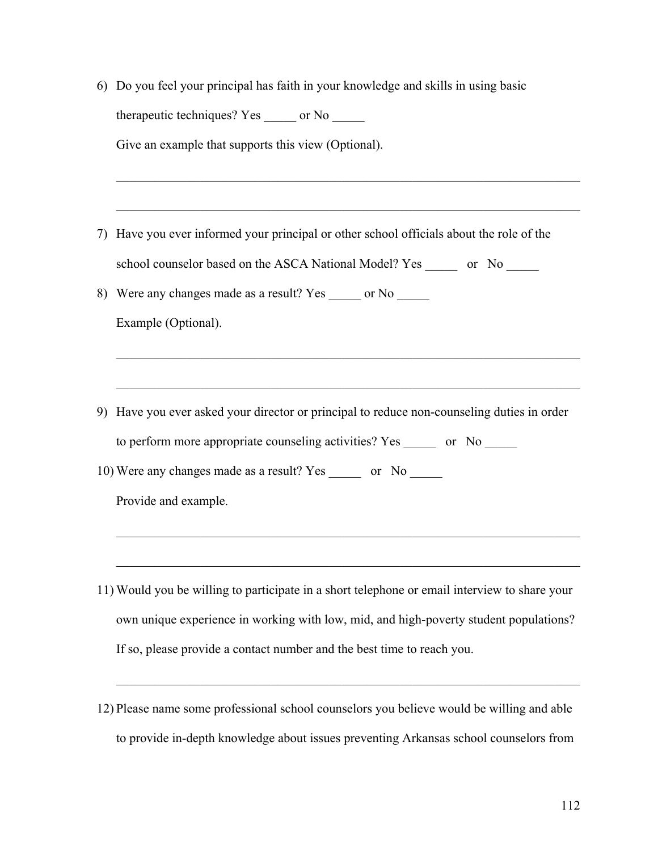|    | 6) Do you feel your principal has faith in your knowledge and skills in using basic           |
|----|-----------------------------------------------------------------------------------------------|
|    | therapeutic techniques? Yes ______ or No ______                                               |
|    | Give an example that supports this view (Optional).                                           |
|    |                                                                                               |
|    |                                                                                               |
| 7) | Have you ever informed your principal or other school officials about the role of the         |
|    | school counselor based on the ASCA National Model? Yes _______ or No ______                   |
| 8) | Were any changes made as a result? Yes ______ or No ______                                    |
|    | Example (Optional).                                                                           |
|    |                                                                                               |
|    |                                                                                               |
| 9) | Have you ever asked your director or principal to reduce non-counseling duties in order       |
|    | to perform more appropriate counseling activities? Yes ________ or No ______                  |
|    | 10) Were any changes made as a result? Yes _______ or No ______                               |
|    | Provide and example.                                                                          |
|    |                                                                                               |
|    |                                                                                               |
|    | 11) Would you be willing to participate in a short telephone or email interview to share your |
|    | own unique experience in working with low, mid, and high-poverty student populations?         |

If so, please provide a contact number and the best time to reach you.

12) Please name some professional school counselors you believe would be willing and able to provide in-depth knowledge about issues preventing Arkansas school counselors from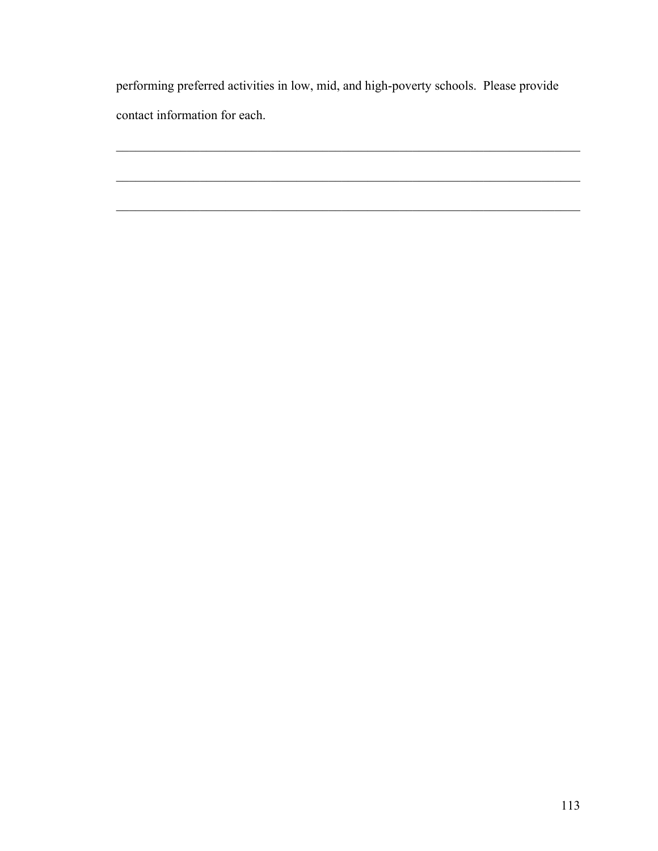performing preferred activities in low, mid, and high-poverty schools. Please provide contact information for each.

 $\mathcal{L}_\mathcal{L} = \{ \mathcal{L}_\mathcal{L} = \{ \mathcal{L}_\mathcal{L} = \{ \mathcal{L}_\mathcal{L} = \{ \mathcal{L}_\mathcal{L} = \{ \mathcal{L}_\mathcal{L} = \{ \mathcal{L}_\mathcal{L} = \{ \mathcal{L}_\mathcal{L} = \{ \mathcal{L}_\mathcal{L} = \{ \mathcal{L}_\mathcal{L} = \{ \mathcal{L}_\mathcal{L} = \{ \mathcal{L}_\mathcal{L} = \{ \mathcal{L}_\mathcal{L} = \{ \mathcal{L}_\mathcal{L} = \{ \mathcal{L}_\mathcal{$ 

 $\mathcal{L}_\mathcal{L} = \{ \mathcal{L}_\mathcal{L} = \{ \mathcal{L}_\mathcal{L} = \{ \mathcal{L}_\mathcal{L} = \{ \mathcal{L}_\mathcal{L} = \{ \mathcal{L}_\mathcal{L} = \{ \mathcal{L}_\mathcal{L} = \{ \mathcal{L}_\mathcal{L} = \{ \mathcal{L}_\mathcal{L} = \{ \mathcal{L}_\mathcal{L} = \{ \mathcal{L}_\mathcal{L} = \{ \mathcal{L}_\mathcal{L} = \{ \mathcal{L}_\mathcal{L} = \{ \mathcal{L}_\mathcal{L} = \{ \mathcal{L}_\mathcal{$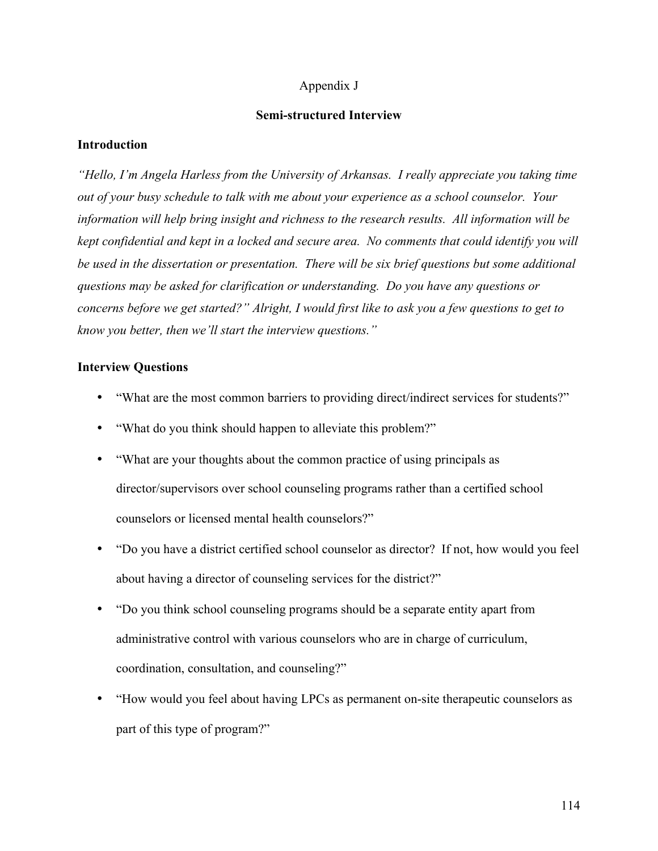#### Appendix J

#### **Semi-structured Interview**

#### **Introduction**

*"Hello, I'm Angela Harless from the University of Arkansas. I really appreciate you taking time out of your busy schedule to talk with me about your experience as a school counselor. Your information will help bring insight and richness to the research results. All information will be kept confidential and kept in a locked and secure area. No comments that could identify you will be used in the dissertation or presentation. There will be six brief questions but some additional questions may be asked for clarification or understanding. Do you have any questions or concerns before we get started?" Alright, I would first like to ask you a few questions to get to know you better, then we'll start the interview questions."*

#### **Interview Questions**

- "What are the most common barriers to providing direct/indirect services for students?"
- "What do you think should happen to alleviate this problem?"
- "What are your thoughts about the common practice of using principals as director/supervisors over school counseling programs rather than a certified school counselors or licensed mental health counselors?"
- "Do you have a district certified school counselor as director? If not, how would you feel about having a director of counseling services for the district?"
- "Do you think school counseling programs should be a separate entity apart from administrative control with various counselors who are in charge of curriculum, coordination, consultation, and counseling?"
- "How would you feel about having LPCs as permanent on-site therapeutic counselors as part of this type of program?"